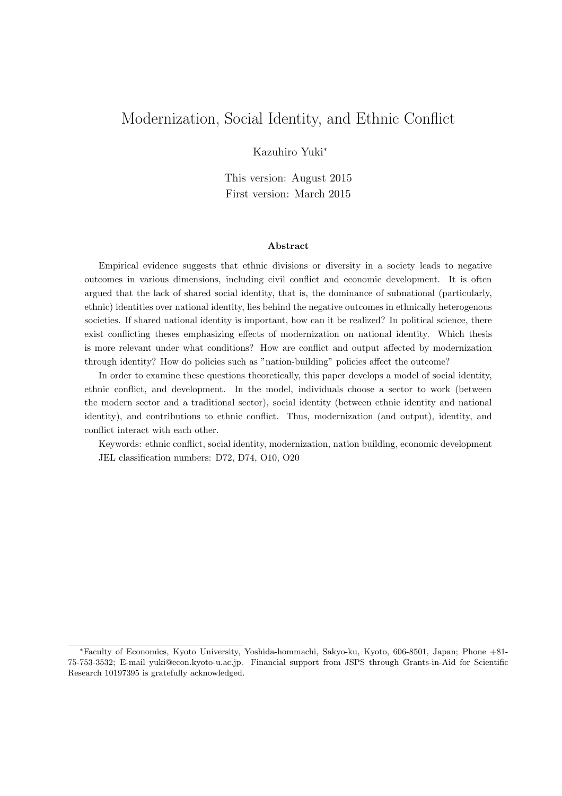# Modernization, Social Identity, and Ethnic Conflict

Kazuhiro Yuki*<sup>∗</sup>*

This version: August 2015 First version: March 2015

#### **Abstract**

Empirical evidence suggests that ethnic divisions or diversity in a society leads to negative outcomes in various dimensions, including civil conflict and economic development. It is often argued that the lack of shared social identity, that is, the dominance of subnational (particularly, ethnic) identities over national identity, lies behind the negative outcomes in ethnically heterogenous societies. If shared national identity is important, how can it be realized? In political science, there exist conflicting theses emphasizing effects of modernization on national identity. Which thesis is more relevant under what conditions? How are conflict and output affected by modernization through identity? How do policies such as "nation-building" policies affect the outcome?

In order to examine these questions theoretically, this paper develops a model of social identity, ethnic conflict, and development. In the model, individuals choose a sector to work (between the modern sector and a traditional sector), social identity (between ethnic identity and national identity), and contributions to ethnic conflict. Thus, modernization (and output), identity, and conflict interact with each other.

Keywords: ethnic conflict, social identity, modernization, nation building, economic development JEL classification numbers: D72, D74, O10, O20

*<sup>∗</sup>*Faculty of Economics, Kyoto University, Yoshida-hommachi, Sakyo-ku, Kyoto, 606-8501, Japan; Phone +81- 75-753-3532; E-mail yuki@econ.kyoto-u.ac.jp. Financial support from JSPS through Grants-in-Aid for Scientific Research 10197395 is gratefully acknowledged.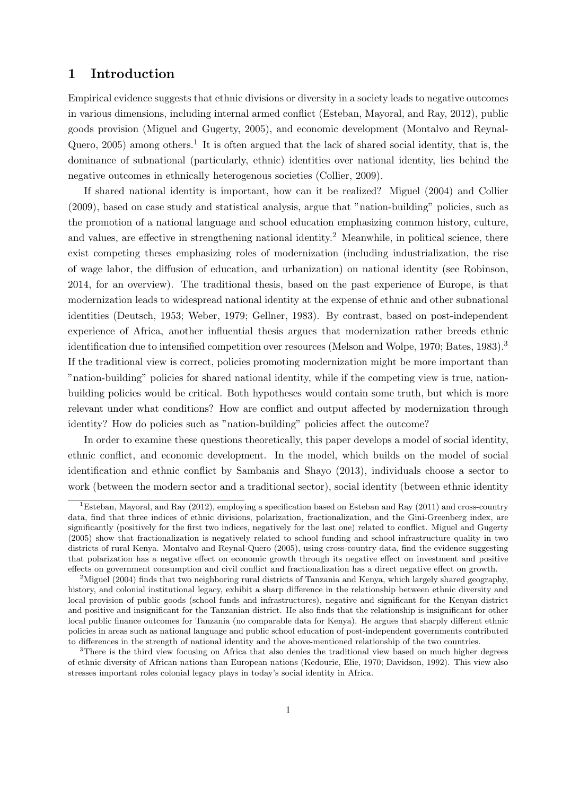### **1 Introduction**

Empirical evidence suggests that ethnic divisions or diversity in a society leads to negative outcomes in various dimensions, including internal armed conflict (Esteban, Mayoral, and Ray, 2012), public goods provision (Miguel and Gugerty, 2005), and economic development (Montalvo and Reynal-Quero, 2005) among others.<sup>1</sup> It is often argued that the lack of shared social identity, that is, the dominance of subnational (particularly, ethnic) identities over national identity, lies behind the negative outcomes in ethnically heterogenous societies (Collier, 2009).

If shared national identity is important, how can it be realized? Miguel (2004) and Collier (2009), based on case study and statistical analysis, argue that "nation-building" policies, such as the promotion of a national language and school education emphasizing common history, culture, and values, are effective in strengthening national identity.<sup>2</sup> Meanwhile, in political science, there exist competing theses emphasizing roles of modernization (including industrialization, the rise of wage labor, the diffusion of education, and urbanization) on national identity (see Robinson, 2014, for an overview). The traditional thesis, based on the past experience of Europe, is that modernization leads to widespread national identity at the expense of ethnic and other subnational identities (Deutsch, 1953; Weber, 1979; Gellner, 1983). By contrast, based on post-independent experience of Africa, another influential thesis argues that modernization rather breeds ethnic identification due to intensified competition over resources (Melson and Wolpe, 1970; Bates, 1983).<sup>3</sup> If the traditional view is correct, policies promoting modernization might be more important than "nation-building" policies for shared national identity, while if the competing view is true, nationbuilding policies would be critical. Both hypotheses would contain some truth, but which is more relevant under what conditions? How are conflict and output affected by modernization through identity? How do policies such as "nation-building" policies affect the outcome?

In order to examine these questions theoretically, this paper develops a model of social identity, ethnic conflict, and economic development. In the model, which builds on the model of social identification and ethnic conflict by Sambanis and Shayo (2013), individuals choose a sector to work (between the modern sector and a traditional sector), social identity (between ethnic identity

<sup>&</sup>lt;sup>1</sup>Esteban, Mayoral, and Ray (2012), employing a specification based on Esteban and Ray (2011) and cross-country data, find that three indices of ethnic divisions, polarization, fractionalization, and the Gini-Greenberg index, are significantly (positively for the first two indices, negatively for the last one) related to conflict. Miguel and Gugerty (2005) show that fractionalization is negatively related to school funding and school infrastructure quality in two districts of rural Kenya. Montalvo and Reynal-Quero (2005), using cross-country data, find the evidence suggesting that polarization has a negative effect on economic growth through its negative effect on investment and positive effects on government consumption and civil conflict and fractionalization has a direct negative effect on growth.

 $^{2}$ Miguel (2004) finds that two neighboring rural districts of Tanzania and Kenya, which largely shared geography, history, and colonial institutional legacy, exhibit a sharp difference in the relationship between ethnic diversity and local provision of public goods (school funds and infrastructures), negative and significant for the Kenyan district and positive and insignificant for the Tanzanian district. He also finds that the relationship is insignificant for other local public finance outcomes for Tanzania (no comparable data for Kenya). He argues that sharply different ethnic policies in areas such as national language and public school education of post-independent governments contributed to differences in the strength of national identity and the above-mentioned relationship of the two countries.

<sup>&</sup>lt;sup>3</sup>There is the third view focusing on Africa that also denies the traditional view based on much higher degrees of ethnic diversity of African nations than European nations (Kedourie, Elie, 1970; Davidson, 1992). This view also stresses important roles colonial legacy plays in today's social identity in Africa.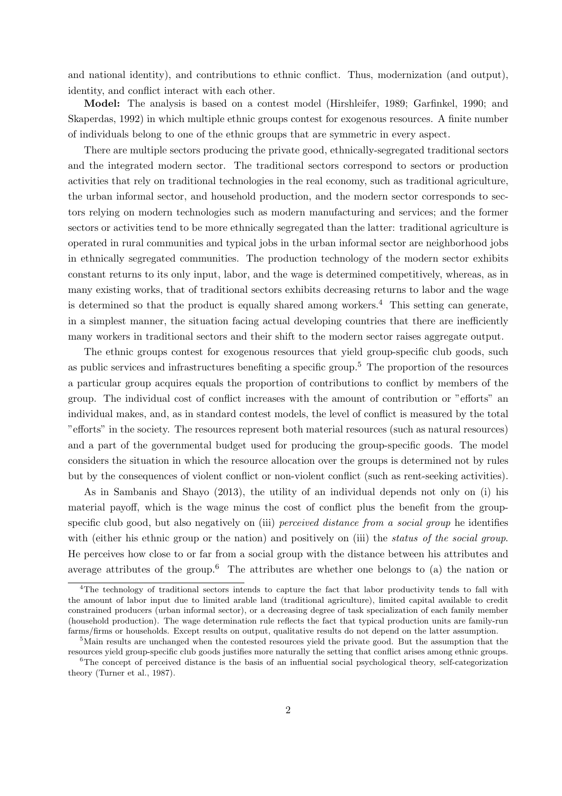and national identity), and contributions to ethnic conflict. Thus, modernization (and output), identity, and conflict interact with each other.

**Model:** The analysis is based on a contest model (Hirshleifer, 1989; Garfinkel, 1990; and Skaperdas, 1992) in which multiple ethnic groups contest for exogenous resources. A finite number of individuals belong to one of the ethnic groups that are symmetric in every aspect.

There are multiple sectors producing the private good, ethnically-segregated traditional sectors and the integrated modern sector. The traditional sectors correspond to sectors or production activities that rely on traditional technologies in the real economy, such as traditional agriculture, the urban informal sector, and household production, and the modern sector corresponds to sectors relying on modern technologies such as modern manufacturing and services; and the former sectors or activities tend to be more ethnically segregated than the latter: traditional agriculture is operated in rural communities and typical jobs in the urban informal sector are neighborhood jobs in ethnically segregated communities. The production technology of the modern sector exhibits constant returns to its only input, labor, and the wage is determined competitively, whereas, as in many existing works, that of traditional sectors exhibits decreasing returns to labor and the wage is determined so that the product is equally shared among workers.<sup>4</sup> This setting can generate, in a simplest manner, the situation facing actual developing countries that there are inefficiently many workers in traditional sectors and their shift to the modern sector raises aggregate output.

The ethnic groups contest for exogenous resources that yield group-specific club goods, such as public services and infrastructures benefiting a specific group.<sup>5</sup> The proportion of the resources a particular group acquires equals the proportion of contributions to conflict by members of the group. The individual cost of conflict increases with the amount of contribution or "efforts" an individual makes, and, as in standard contest models, the level of conflict is measured by the total "efforts" in the society. The resources represent both material resources (such as natural resources) and a part of the governmental budget used for producing the group-specific goods. The model considers the situation in which the resource allocation over the groups is determined not by rules but by the consequences of violent conflict or non-violent conflict (such as rent-seeking activities).

As in Sambanis and Shayo (2013), the utility of an individual depends not only on (i) his material payoff, which is the wage minus the cost of conflict plus the benefit from the groupspecific club good, but also negatively on (iii) *perceived distance from a social group* he identifies with (either his ethnic group or the nation) and positively on (iii) the *status of the social group*. He perceives how close to or far from a social group with the distance between his attributes and average attributes of the group.<sup>6</sup> The attributes are whether one belongs to (a) the nation or

<sup>4</sup>The technology of traditional sectors intends to capture the fact that labor productivity tends to fall with the amount of labor input due to limited arable land (traditional agriculture), limited capital available to credit constrained producers (urban informal sector), or a decreasing degree of task specialization of each family member (household production). The wage determination rule reflects the fact that typical production units are family-run farms/firms or households. Except results on output, qualitative results do not depend on the latter assumption.

<sup>&</sup>lt;sup>5</sup>Main results are unchanged when the contested resources yield the private good. But the assumption that the resources yield group-specific club goods justifies more naturally the setting that conflict arises among ethnic groups.

 ${}^{6}$ The concept of perceived distance is the basis of an influential social psychological theory, self-categorization theory (Turner et al., 1987).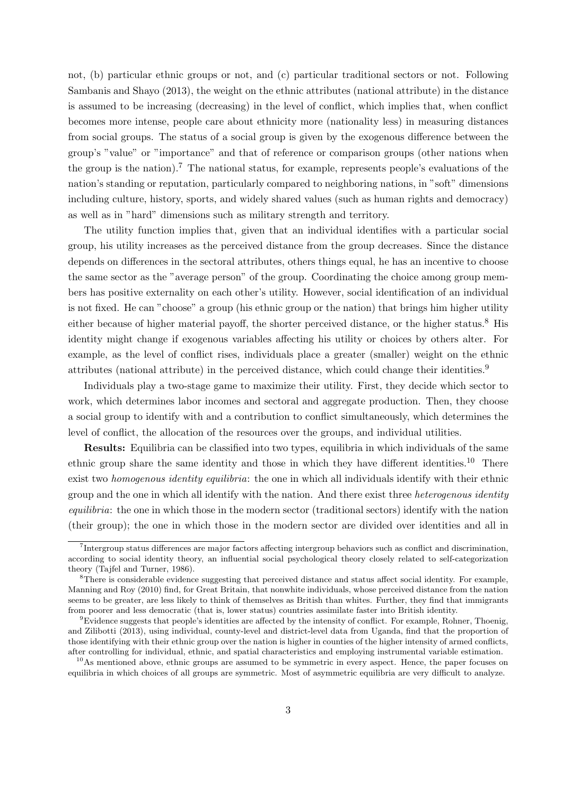not, (b) particular ethnic groups or not, and (c) particular traditional sectors or not. Following Sambanis and Shayo (2013), the weight on the ethnic attributes (national attribute) in the distance is assumed to be increasing (decreasing) in the level of conflict, which implies that, when conflict becomes more intense, people care about ethnicity more (nationality less) in measuring distances from social groups. The status of a social group is given by the exogenous difference between the group's "value" or "importance" and that of reference or comparison groups (other nations when the group is the nation).<sup>7</sup> The national status, for example, represents people's evaluations of the nation's standing or reputation, particularly compared to neighboring nations, in "soft" dimensions including culture, history, sports, and widely shared values (such as human rights and democracy) as well as in "hard" dimensions such as military strength and territory.

The utility function implies that, given that an individual identifies with a particular social group, his utility increases as the perceived distance from the group decreases. Since the distance depends on differences in the sectoral attributes, others things equal, he has an incentive to choose the same sector as the "average person" of the group. Coordinating the choice among group members has positive externality on each other's utility. However, social identification of an individual is not fixed. He can "choose" a group (his ethnic group or the nation) that brings him higher utility either because of higher material payoff, the shorter perceived distance, or the higher status.<sup>8</sup> His identity might change if exogenous variables affecting his utility or choices by others alter. For example, as the level of conflict rises, individuals place a greater (smaller) weight on the ethnic attributes (national attribute) in the perceived distance, which could change their identities.<sup>9</sup>

Individuals play a two-stage game to maximize their utility. First, they decide which sector to work, which determines labor incomes and sectoral and aggregate production. Then, they choose a social group to identify with and a contribution to conflict simultaneously, which determines the level of conflict, the allocation of the resources over the groups, and individual utilities.

**Results:** Equilibria can be classified into two types, equilibria in which individuals of the same ethnic group share the same identity and those in which they have different identities.<sup>10</sup> There exist two *homogenous identity equilibria*: the one in which all individuals identify with their ethnic group and the one in which all identify with the nation. And there exist three *heterogenous identity equilibria*: the one in which those in the modern sector (traditional sectors) identify with the nation (their group); the one in which those in the modern sector are divided over identities and all in

<sup>7</sup> Intergroup status differences are major factors affecting intergroup behaviors such as conflict and discrimination, according to social identity theory, an influential social psychological theory closely related to self-categorization theory (Tajfel and Turner, 1986).

 ${}^{8}$ There is considerable evidence suggesting that perceived distance and status affect social identity. For example, Manning and Roy (2010) find, for Great Britain, that nonwhite individuals, whose perceived distance from the nation seems to be greater, are less likely to think of themselves as British than whites. Further, they find that immigrants from poorer and less democratic (that is, lower status) countries assimilate faster into British identity.

 $9E$ vidence suggests that people's identities are affected by the intensity of conflict. For example, Rohner, Thoenig, and Zilibotti (2013), using individual, county-level and district-level data from Uganda, find that the proportion of those identifying with their ethnic group over the nation is higher in counties of the higher intensity of armed conflicts, after controlling for individual, ethnic, and spatial characteristics and employing instrumental variable estimation.

<sup>10</sup>As mentioned above, ethnic groups are assumed to be symmetric in every aspect. Hence, the paper focuses on equilibria in which choices of all groups are symmetric. Most of asymmetric equilibria are very difficult to analyze.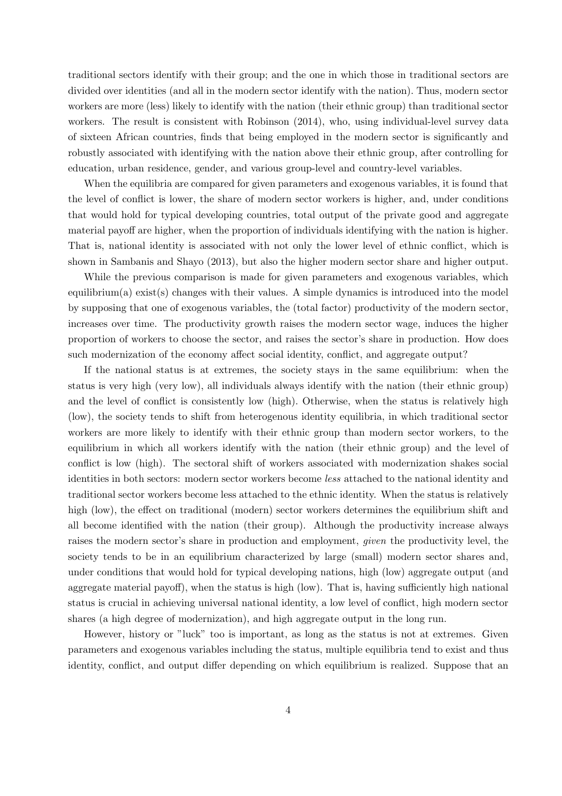traditional sectors identify with their group; and the one in which those in traditional sectors are divided over identities (and all in the modern sector identify with the nation)*.* Thus, modern sector workers are more (less) likely to identify with the nation (their ethnic group) than traditional sector workers. The result is consistent with Robinson (2014), who, using individual-level survey data of sixteen African countries, finds that being employed in the modern sector is significantly and robustly associated with identifying with the nation above their ethnic group, after controlling for education, urban residence, gender, and various group-level and country-level variables.

When the equilibria are compared for given parameters and exogenous variables, it is found that the level of conflict is lower, the share of modern sector workers is higher, and, under conditions that would hold for typical developing countries, total output of the private good and aggregate material payoff are higher, when the proportion of individuals identifying with the nation is higher. That is, national identity is associated with not only the lower level of ethnic conflict, which is shown in Sambanis and Shayo (2013), but also the higher modern sector share and higher output.

While the previous comparison is made for given parameters and exogenous variables, which equilibrium(a) exist(s) changes with their values. A simple dynamics is introduced into the model by supposing that one of exogenous variables, the (total factor) productivity of the modern sector, increases over time. The productivity growth raises the modern sector wage, induces the higher proportion of workers to choose the sector, and raises the sector's share in production. How does such modernization of the economy affect social identity, conflict, and aggregate output?

If the national status is at extremes, the society stays in the same equilibrium: when the status is very high (very low), all individuals always identify with the nation (their ethnic group) and the level of conflict is consistently low (high)*.* Otherwise, when the status is relatively high (low), the society tends to shift from heterogenous identity equilibria, in which traditional sector workers are more likely to identify with their ethnic group than modern sector workers, to the equilibrium in which all workers identify with the nation (their ethnic group) and the level of conflict is low (high). The sectoral shift of workers associated with modernization shakes social identities in both sectors: modern sector workers become *less* attached to the national identity and traditional sector workers become less attached to the ethnic identity. When the status is relatively high (low), the effect on traditional (modern) sector workers determines the equilibrium shift and all become identified with the nation (their group). Although the productivity increase always raises the modern sector's share in production and employment, *given* the productivity level, the society tends to be in an equilibrium characterized by large (small) modern sector shares and, under conditions that would hold for typical developing nations, high (low) aggregate output (and aggregate material payoff)*,* when the status is high (low). That is, having sufficiently high national status is crucial in achieving universal national identity, a low level of conflict, high modern sector shares (a high degree of modernization), and high aggregate output in the long run.

However, history or "luck" too is important, as long as the status is not at extremes. Given parameters and exogenous variables including the status, multiple equilibria tend to exist and thus identity, conflict, and output differ depending on which equilibrium is realized. Suppose that an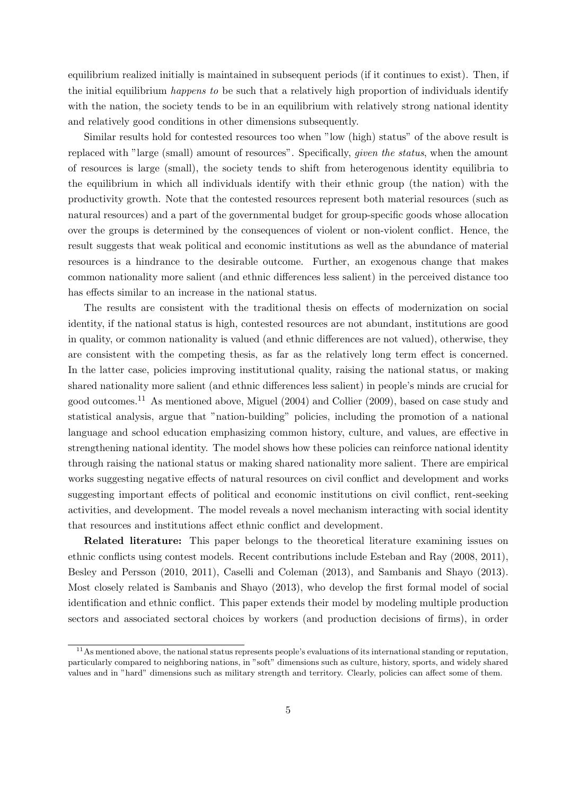equilibrium realized initially is maintained in subsequent periods (if it continues to exist). Then, if the initial equilibrium *happens to* be such that a relatively high proportion of individuals identify with the nation, the society tends to be in an equilibrium with relatively strong national identity and relatively good conditions in other dimensions subsequently.

Similar results hold for contested resources too when "low (high) status" of the above result is replaced with "large (small) amount of resources". Specifically, *given the status*, when the amount of resources is large (small), the society tends to shift from heterogenous identity equilibria to the equilibrium in which all individuals identify with their ethnic group (the nation) with the productivity growth. Note that the contested resources represent both material resources (such as natural resources) and a part of the governmental budget for group-specific goods whose allocation over the groups is determined by the consequences of violent or non-violent conflict. Hence, the result suggests that weak political and economic institutions as well as the abundance of material resources is a hindrance to the desirable outcome. Further, an exogenous change that makes common nationality more salient (and ethnic differences less salient) in the perceived distance too has effects similar to an increase in the national status.

The results are consistent with the traditional thesis on effects of modernization on social identity, if the national status is high, contested resources are not abundant, institutions are good in quality, or common nationality is valued (and ethnic differences are not valued), otherwise, they are consistent with the competing thesis, as far as the relatively long term effect is concerned. In the latter case, policies improving institutional quality, raising the national status, or making shared nationality more salient (and ethnic differences less salient) in people's minds are crucial for good outcomes.<sup>11</sup> As mentioned above, Miguel  $(2004)$  and Collier  $(2009)$ , based on case study and statistical analysis, argue that "nation-building" policies, including the promotion of a national language and school education emphasizing common history, culture, and values, are effective in strengthening national identity. The model shows how these policies can reinforce national identity through raising the national status or making shared nationality more salient. There are empirical works suggesting negative effects of natural resources on civil conflict and development and works suggesting important effects of political and economic institutions on civil conflict, rent-seeking activities, and development. The model reveals a novel mechanism interacting with social identity that resources and institutions affect ethnic conflict and development.

**Related literature:** This paper belongs to the theoretical literature examining issues on ethnic conflicts using contest models. Recent contributions include Esteban and Ray (2008, 2011), Besley and Persson (2010, 2011), Caselli and Coleman (2013), and Sambanis and Shayo (2013). Most closely related is Sambanis and Shayo (2013), who develop the first formal model of social identification and ethnic conflict. This paper extends their model by modeling multiple production sectors and associated sectoral choices by workers (and production decisions of firms), in order

 $11$ As mentioned above, the national status represents people's evaluations of its international standing or reputation, particularly compared to neighboring nations, in "soft" dimensions such as culture, history, sports, and widely shared values and in "hard" dimensions such as military strength and territory. Clearly, policies can affect some of them.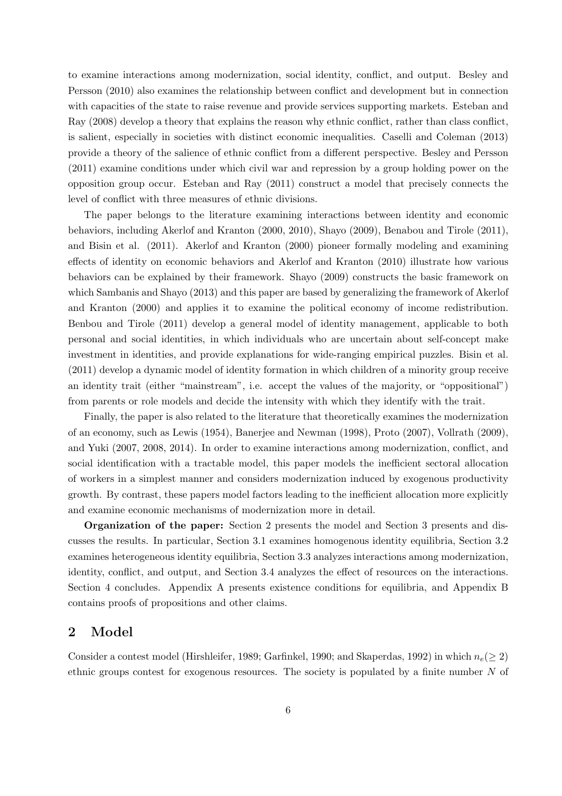to examine interactions among modernization, social identity, conflict, and output. Besley and Persson (2010) also examines the relationship between conflict and development but in connection with capacities of the state to raise revenue and provide services supporting markets. Esteban and Ray (2008) develop a theory that explains the reason why ethnic conflict, rather than class conflict, is salient, especially in societies with distinct economic inequalities. Caselli and Coleman (2013) provide a theory of the salience of ethnic conflict from a different perspective. Besley and Persson (2011) examine conditions under which civil war and repression by a group holding power on the opposition group occur. Esteban and Ray (2011) construct a model that precisely connects the level of conflict with three measures of ethnic divisions.

The paper belongs to the literature examining interactions between identity and economic behaviors, including Akerlof and Kranton (2000, 2010), Shayo (2009), Benabou and Tirole (2011), and Bisin et al. (2011). Akerlof and Kranton (2000) pioneer formally modeling and examining effects of identity on economic behaviors and Akerlof and Kranton (2010) illustrate how various behaviors can be explained by their framework. Shayo (2009) constructs the basic framework on which Sambanis and Shayo (2013) and this paper are based by generalizing the framework of Akerlof and Kranton (2000) and applies it to examine the political economy of income redistribution. Benbou and Tirole (2011) develop a general model of identity management, applicable to both personal and social identities, in which individuals who are uncertain about self-concept make investment in identities, and provide explanations for wide-ranging empirical puzzles. Bisin et al. (2011) develop a dynamic model of identity formation in which children of a minority group receive an identity trait (either "mainstream", i.e. accept the values of the majority, or "oppositional") from parents or role models and decide the intensity with which they identify with the trait.

Finally, the paper is also related to the literature that theoretically examines the modernization of an economy, such as Lewis (1954), Banerjee and Newman (1998), Proto (2007), Vollrath (2009), and Yuki (2007, 2008, 2014). In order to examine interactions among modernization, conflict, and social identification with a tractable model, this paper models the inefficient sectoral allocation of workers in a simplest manner and considers modernization induced by exogenous productivity growth. By contrast, these papers model factors leading to the inefficient allocation more explicitly and examine economic mechanisms of modernization more in detail.

**Organization of the paper:** Section 2 presents the model and Section 3 presents and discusses the results. In particular, Section 3.1 examines homogenous identity equilibria, Section 3.2 examines heterogeneous identity equilibria, Section 3.3 analyzes interactions among modernization, identity, conflict, and output, and Section 3.4 analyzes the effect of resources on the interactions. Section 4 concludes. Appendix A presents existence conditions for equilibria, and Appendix B contains proofs of propositions and other claims.

# **2 Model**

Consider a contest model (Hirshleifer, 1989; Garfinkel, 1990; and Skaperdas, 1992) in which *ne*(*≥* 2) ethnic groups contest for exogenous resources. The society is populated by a finite number *N* of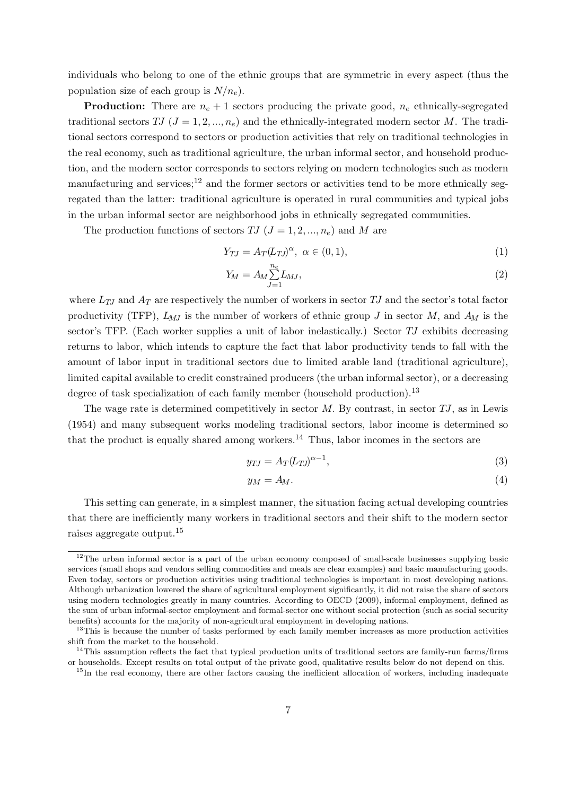individuals who belong to one of the ethnic groups that are symmetric in every aspect (thus the population size of each group is *N/ne*).

**Production:** There are  $n_e + 1$  sectors producing the private good,  $n_e$  ethnically-segregated traditional sectors  $TJ$  ( $J = 1, 2, ..., n_e$ ) and the ethnically-integrated modern sector M. The traditional sectors correspond to sectors or production activities that rely on traditional technologies in the real economy, such as traditional agriculture, the urban informal sector, and household production, and the modern sector corresponds to sectors relying on modern technologies such as modern manufacturing and services;<sup>12</sup> and the former sectors or activities tend to be more ethnically segregated than the latter: traditional agriculture is operated in rural communities and typical jobs in the urban informal sector are neighborhood jobs in ethnically segregated communities.

The production functions of sectors  $TJ$  ( $J = 1, 2, ..., n_e$ ) and  $M$  are

$$
Y_{TJ} = A_T (L_{TJ})^{\alpha}, \ \alpha \in (0,1), \tag{1}
$$

$$
Y_M = A_M \sum_{J=1}^{n_e} L_{MJ},\tag{2}
$$

where  $L_{TJ}$  and  $A_T$  are respectively the number of workers in sector  $TJ$  and the sector's total factor productivity (TFP), *LMJ* is the number of workers of ethnic group *J* in sector *M,* and *A<sup>M</sup>* is the sector's TFP. (Each worker supplies a unit of labor inelastically.) Sector *TJ* exhibits decreasing returns to labor, which intends to capture the fact that labor productivity tends to fall with the amount of labor input in traditional sectors due to limited arable land (traditional agriculture), limited capital available to credit constrained producers (the urban informal sector), or a decreasing degree of task specialization of each family member (household production).<sup>13</sup>

The wage rate is determined competitively in sector *M.* By contrast, in sector *TJ*, as in Lewis (1954) and many subsequent works modeling traditional sectors, labor income is determined so that the product is equally shared among workers.<sup>14</sup> Thus, labor incomes in the sectors are

$$
y_{TJ} = A_T (L_{TJ})^{\alpha - 1},\tag{3}
$$

$$
y_M = A_M. \tag{4}
$$

This setting can generate, in a simplest manner, the situation facing actual developing countries that there are inefficiently many workers in traditional sectors and their shift to the modern sector raises aggregate output.<sup>15</sup>

 $12$ The urban informal sector is a part of the urban economy composed of small-scale businesses supplying basic services (small shops and vendors selling commodities and meals are clear examples) and basic manufacturing goods. Even today, sectors or production activities using traditional technologies is important in most developing nations. Although urbanization lowered the share of agricultural employment significantly, it did not raise the share of sectors using modern technologies greatly in many countries. According to OECD (2009), informal employment, defined as the sum of urban informal-sector employment and formal-sector one without social protection (such as social security benefits) accounts for the majority of non-agricultural employment in developing nations.

<sup>&</sup>lt;sup>13</sup>This is because the number of tasks performed by each family member increases as more production activities shift from the market to the household.

 $14$ This assumption reflects the fact that typical production units of traditional sectors are family-run farms/firms or households. Except results on total output of the private good, qualitative results below do not depend on this.

 $15$ In the real economy, there are other factors causing the inefficient allocation of workers, including inadequate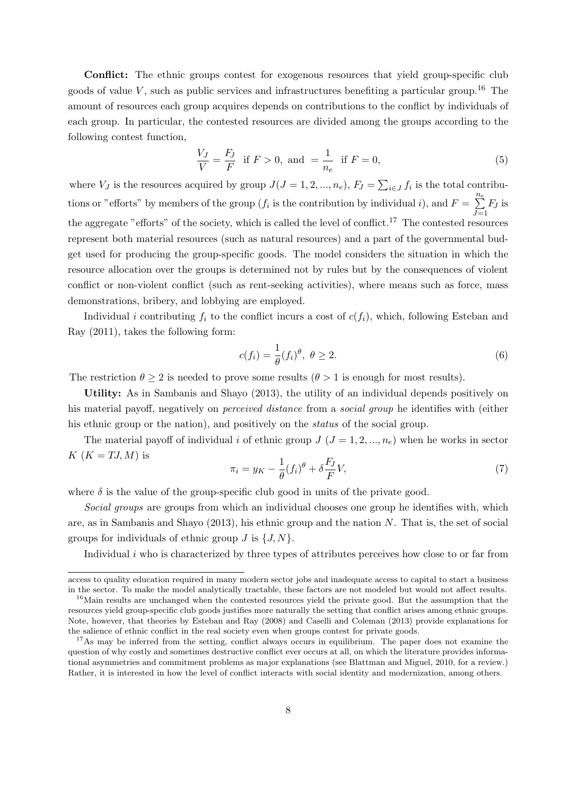**Conflict:** The ethnic groups contest for exogenous resources that yield group-specific club goods of value *V* , such as public services and infrastructures benefiting a particular group.<sup>16</sup> The amount of resources each group acquires depends on contributions to the conflict by individuals of each group. In particular, the contested resources are divided among the groups according to the following contest function,

$$
\frac{V_J}{V} = \frac{F_J}{F} \text{ if } F > 0, \text{ and } = \frac{1}{n_e} \text{ if } F = 0,
$$
 (5)

where  $V_J$  is the resources acquired by group  $J(J = 1, 2, ..., n_e)$ ,  $F_J = \sum_{i \in J} f_i$  is the total contributions or "efforts" by members of the group ( $f_i$  is the contribution by individual *i*), and  $F = \sum_{i=1}^{n_e}$ *J*=1 *F<sup>J</sup>* is the aggregate "efforts" of the society, which is called the level of conflict.<sup>17</sup> The contested resources represent both material resources (such as natural resources) and a part of the governmental budget used for producing the group-specific goods. The model considers the situation in which the resource allocation over the groups is determined not by rules but by the consequences of violent conflict or non-violent conflict (such as rent-seeking activities), where means such as force, mass demonstrations, bribery, and lobbying are employed.

Individual *i* contributing  $f_i$  to the conflict incurs a cost of  $c(f_i)$ , which, following Esteban and Ray (2011), takes the following form:

$$
c(f_i) = \frac{1}{\theta}(f_i)^{\theta}, \ \theta \ge 2. \tag{6}
$$

The restriction  $\theta \geq 2$  is needed to prove some results ( $\theta > 1$  is enough for most results).

**Utility:** As in Sambanis and Shayo (2013), the utility of an individual depends positively on his material payoff, negatively on *perceived distance* from a *social group* he identifies with (either his ethnic group or the nation), and positively on the *status* of the social group.

The material payoff of individual *i* of ethnic group  $J(J = 1, 2, \ldots, n_e)$  when he works in sector  $K(K = TJ, M)$  is

$$
\pi_i = y_K - \frac{1}{\theta} (f_i)^{\theta} + \delta \frac{F_J}{F} V,\tag{7}
$$

where  $\delta$  is the value of the group-specific club good in units of the private good.

*Social groups* are groups from which an individual chooses one group he identifies with, which are, as in Sambanis and Shayo (2013), his ethnic group and the nation *N*. That is, the set of social groups for individuals of ethnic group *J* is *{J, N}.*

Individual *i* who is characterized by three types of attributes perceives how close to or far from

access to quality education required in many modern sector jobs and inadequate access to capital to start a business in the sector. To make the model analytically tractable, these factors are not modeled but would not affect results. <sup>16</sup>Main results are unchanged when the contested resources yield the private good. But the assumption that the

resources yield group-specific club goods justifies more naturally the setting that conflict arises among ethnic groups. Note, however, that theories by Esteban and Ray (2008) and Caselli and Coleman (2013) provide explanations for the salience of ethnic conflict in the real society even when groups contest for private goods.

<sup>&</sup>lt;sup>17</sup>As may be inferred from the setting, conflict always occurs in equilibrium. The paper does not examine the question of why costly and sometimes destructive conflict ever occurs at all, on which the literature provides informational asymmetries and commitment problems as major explanations (see Blattman and Miguel, 2010, for a review.) Rather, it is interested in how the level of conflict interacts with social identity and modernization, among others.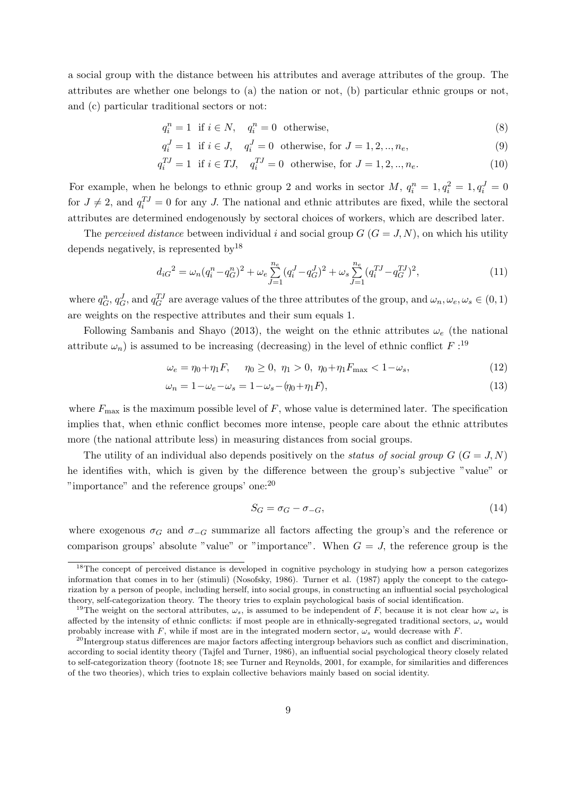a social group with the distance between his attributes and average attributes of the group. The attributes are whether one belongs to (a) the nation or not, (b) particular ethnic groups or not, and (c) particular traditional sectors or not:

$$
q_i^n = 1 \text{ if } i \in N, \quad q_i^n = 0 \text{ otherwise,}
$$
 (8)

$$
q_i^J = 1
$$
 if  $i \in J$ ,  $q_i^J = 0$  otherwise, for  $J = 1, 2, ..., n_e$ , (9)

$$
q_i^{TJ} = 1
$$
 if  $i \in TJ$ ,  $q_i^{TJ} = 0$  otherwise, for  $J = 1, 2, ..., n_e$ . (10)

For example, when he belongs to ethnic group 2 and works in sector M,  $q_i^n = 1, q_i^2 = 1, q_i^J = 0$ for  $J \neq 2$ , and  $q_i^{TJ} = 0$  for any *J*. The national and ethnic attributes are fixed, while the sectoral attributes are determined endogenously by sectoral choices of workers, which are described later.

The *perceived distance* between individual *i* and social group  $G$  ( $G = J, N$ ), on which his utility depends negatively, is represented by<sup>18</sup>

$$
d_{iG}^{2} = \omega_{n}(q_{i}^{n} - q_{G}^{n})^{2} + \omega_{e} \sum_{J=1}^{n_{e}} (q_{i}^{J} - q_{G}^{J})^{2} + \omega_{s} \sum_{J=1}^{n_{e}} (q_{i}^{TJ} - q_{G}^{TJ})^{2},
$$
\n(11)

where  $q_G^n, q_G^J$ , and  $q_G^{TJ}$  are average values of the three attributes of the group, and  $\omega_n, \omega_e, \omega_s \in (0,1)$ are weights on the respective attributes and their sum equals 1.

Following Sambanis and Shayo (2013), the weight on the ethnic attributes  $\omega_e$  (the national attribute  $\omega_n$ ) is assumed to be increasing (decreasing) in the level of ethnic conflict  $F:$ <sup>19</sup>

$$
\omega_e = \eta_0 + \eta_1 F, \quad \eta_0 \ge 0, \ \eta_1 > 0, \ \eta_0 + \eta_1 F_{\text{max}} < 1 - \omega_s,
$$
\n(12)

$$
\omega_n = 1 - \omega_e - \omega_s = 1 - \omega_s - (\eta_0 + \eta_1 F),\tag{13}
$$

where  $F_{\text{max}}$  is the maximum possible level of  $F$ , whose value is determined later. The specification implies that, when ethnic conflict becomes more intense, people care about the ethnic attributes more (the national attribute less) in measuring distances from social groups.

The utility of an individual also depends positively on the *status of social group*  $G$  ( $G = J, N$ ) he identifies with, which is given by the difference between the group's subjective "value" or "importance" and the reference groups' one:<sup>20</sup>

$$
S_G = \sigma_G - \sigma_{-G},\tag{14}
$$

where exogenous  $\sigma_G$  and  $\sigma_{-G}$  summarize all factors affecting the group's and the reference or comparison groups' absolute "value" or "importance". When  $G = J$ , the reference group is the

<sup>&</sup>lt;sup>18</sup>The concept of perceived distance is developed in cognitive psychology in studying how a person categorizes information that comes in to her (stimuli) (Nosofsky, 1986). Turner et al. (1987) apply the concept to the categorization by a person of people, including herself, into social groups, in constructing an influential social psychological theory, self-categorization theory. The theory tries to explain psychological basis of social identification.

<sup>&</sup>lt;sup>19</sup>The weight on the sectoral attributes,  $\omega_s$ , is assumed to be independent of *F*, because it is not clear how  $\omega_s$  is affected by the intensity of ethnic conflicts: if most people are in ethnically-segregated traditional sectors,  $\omega_s$  would probably increase with *F*, while if most are in the integrated modern sector,  $\omega_s$  would decrease with *F*.

 $^{20}$ Intergroup status differences are major factors affecting intergroup behaviors such as conflict and discrimination, according to social identity theory (Tajfel and Turner, 1986), an influential social psychological theory closely related to self-categorization theory (footnote 18; see Turner and Reynolds, 2001, for example, for similarities and differences of the two theories), which tries to explain collective behaviors mainly based on social identity.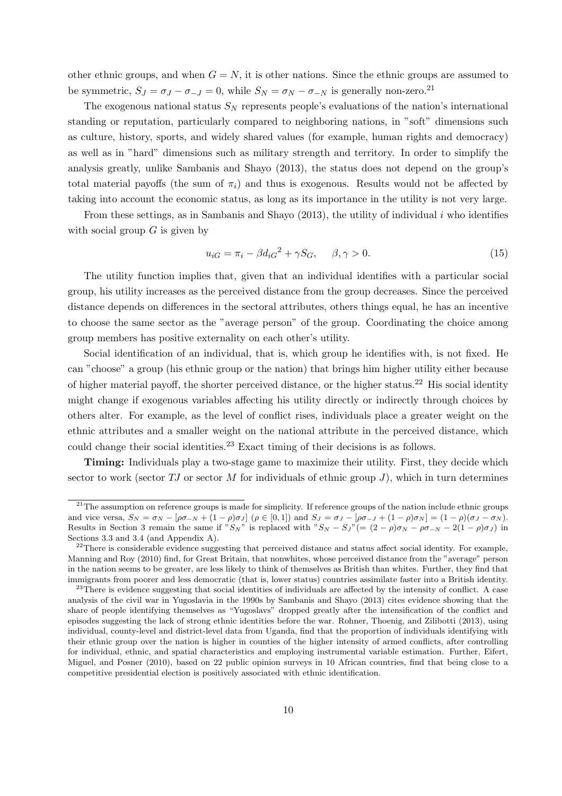other ethnic groups, and when  $G = N$ , it is other nations. Since the ethnic groups are assumed to be symmetric,  $S_J = \sigma_J - \sigma_{-J} = 0$ , while  $S_N = \sigma_N - \sigma_{-N}$  is generally non-zero.<sup>21</sup>

The exogenous national status  $S_N$  represents people's evaluations of the nation's international standing or reputation, particularly compared to neighboring nations, in "soft" dimensions such as culture, history, sports, and widely shared values (for example, human rights and democracy) as well as in "hard" dimensions such as military strength and territory. In order to simplify the analysis greatly, unlike Sambanis and Shayo (2013), the status does not depend on the group's total material payoffs (the sum of  $\pi_i$ ) and thus is exogenous. Results would not be affected by taking into account the economic status, as long as its importance in the utility is not very large.

From these settings, as in Sambanis and Shayo (2013), the utility of individual *i* who identifies with social group *G* is given by

$$
u_{iG} = \pi_i - \beta d_{iG}^2 + \gamma S_G, \quad \beta, \gamma > 0.
$$
\n
$$
(15)
$$

The utility function implies that, given that an individual identifies with a particular social group, his utility increases as the perceived distance from the group decreases. Since the perceived distance depends on differences in the sectoral attributes, others things equal, he has an incentive to choose the same sector as the "average person" of the group. Coordinating the choice among group members has positive externality on each other's utility.

Social identification of an individual, that is, which group he identifies with, is not fixed. He can "choose" a group (his ethnic group or the nation) that brings him higher utility either because of higher material payoff, the shorter perceived distance, or the higher status.<sup>22</sup> His social identity might change if exogenous variables affecting his utility directly or indirectly through choices by others alter. For example, as the level of conflict rises, individuals place a greater weight on the ethnic attributes and a smaller weight on the national attribute in the perceived distance, which could change their social identities.<sup>23</sup> Exact timing of their decisions is as follows.

**Timing:** Individuals play a two-stage game to maximize their utility. First, they decide which sector to work (sector *TJ* or sector *M* for individuals of ethnic group *J*), which in turn determines

 $^{21}$ The assumption on reference groups is made for simplicity. If reference groups of the nation include ethnic groups and vice versa,  $S_N = \sigma_N - [\rho \sigma_{-N} + (1 - \rho) \sigma_{-N}]$  ( $\rho \in [0,1]$ ) and  $S_N = \sigma_N - [\rho \sigma_{-N} + (1 - \rho) \sigma_N] = (1 - \rho)(\sigma_N - \sigma_N)$ . Results in Section 3 remain the same if " $S_N$ " is replaced with " $S_N - S_J$ "  $= (2 - \rho)\sigma_N - \rho\sigma_{-N} - 2(1 - \rho)\sigma_J$ ) in Sections 3.3 and 3.4 (and Appendix A).

 $^{22}$ There is considerable evidence suggesting that perceived distance and status affect social identity. For example, Manning and Roy (2010) find, for Great Britain, that nonwhites, whose perceived distance from the "average" person in the nation seems to be greater, are less likely to think of themselves as British than whites. Further, they find that immigrants from poorer and less democratic (that is, lower status) countries assimilate faster into a British identity.

 $^{23}$ There is evidence suggesting that social identities of individuals are affected by the intensity of conflict. A case analysis of the civil war in Yugoslavia in the 1990s by Sambanis and Shayo (2013) cites evidence showing that the share of people identifying themselves as "Yugoslavs" dropped greatly after the intensification of the conflict and episodes suggesting the lack of strong ethnic identities before the war. Rohner, Thoenig, and Zilibotti (2013), using individual, county-level and district-level data from Uganda, find that the proportion of individuals identifying with their ethnic group over the nation is higher in counties of the higher intensity of armed conflicts, after controlling for individual, ethnic, and spatial characteristics and employing instrumental variable estimation. Further, Eifert, Miguel, and Posner (2010), based on 22 public opinion surveys in 10 African countries, find that being close to a competitive presidential election is positively associated with ethnic identification.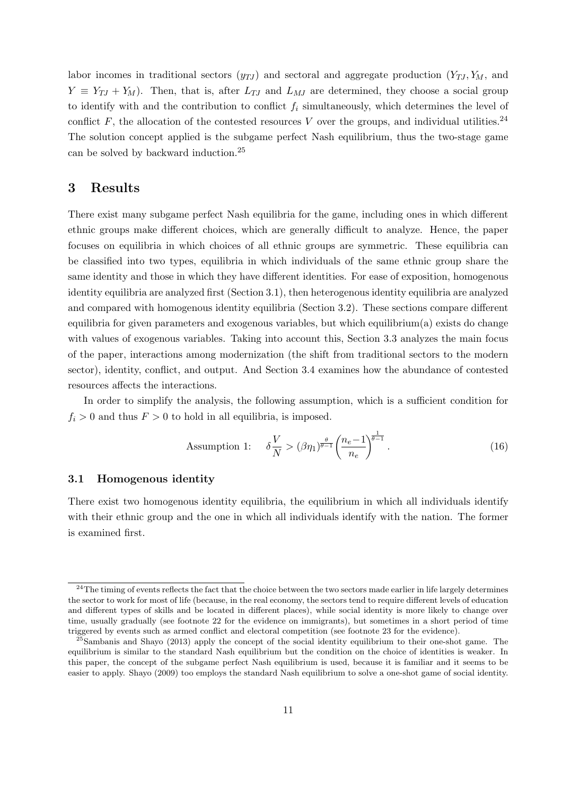labor incomes in traditional sectors  $(y_{TJ})$  and sectoral and aggregate production  $(Y_{TJ}, Y_M,$  and  $Y \equiv Y_{TJ} + Y_M$ ). Then, that is, after  $L_{TJ}$  and  $L_{MJ}$  are determined, they choose a social group to identify with and the contribution to conflict *f<sup>i</sup>* simultaneously, which determines the level of conflict  $F$ , the allocation of the contested resources  $V$  over the groups, and individual utilities.<sup>24</sup> The solution concept applied is the subgame perfect Nash equilibrium, thus the two-stage game can be solved by backward induction.<sup>25</sup>

### **3 Results**

There exist many subgame perfect Nash equilibria for the game, including ones in which different ethnic groups make different choices, which are generally difficult to analyze. Hence, the paper focuses on equilibria in which choices of all ethnic groups are symmetric. These equilibria can be classified into two types, equilibria in which individuals of the same ethnic group share the same identity and those in which they have different identities. For ease of exposition, homogenous identity equilibria are analyzed first (Section 3.1), then heterogenous identity equilibria are analyzed and compared with homogenous identity equilibria (Section 3.2). These sections compare different equilibria for given parameters and exogenous variables, but which equilibrium(a) exists do change with values of exogenous variables. Taking into account this, Section 3.3 analyzes the main focus of the paper, interactions among modernization (the shift from traditional sectors to the modern sector), identity, conflict, and output. And Section 3.4 examines how the abundance of contested resources affects the interactions.

In order to simplify the analysis, the following assumption, which is a sufficient condition for  $f_i > 0$  and thus  $F > 0$  to hold in all equilibria, is imposed.

Assumption 1: 
$$
\delta \frac{V}{N} > (\beta \eta_1)^{\frac{\theta}{\theta - 1}} \left(\frac{n_e - 1}{n_e}\right)^{\frac{1}{\theta - 1}}.
$$
 (16)

### **3.1 Homogenous identity**

There exist two homogenous identity equilibria, the equilibrium in which all individuals identify with their ethnic group and the one in which all individuals identify with the nation. The former is examined first.

 $24$ The timing of events reflects the fact that the choice between the two sectors made earlier in life largely determines the sector to work for most of life (because, in the real economy, the sectors tend to require different levels of education and different types of skills and be located in different places), while social identity is more likely to change over time, usually gradually (see footnote 22 for the evidence on immigrants), but sometimes in a short period of time triggered by events such as armed conflict and electoral competition (see footnote 23 for the evidence).

 $^{25}$ Sambanis and Shayo (2013) apply the concept of the social identity equilibrium to their one-shot game. The equilibrium is similar to the standard Nash equilibrium but the condition on the choice of identities is weaker. In this paper, the concept of the subgame perfect Nash equilibrium is used, because it is familiar and it seems to be easier to apply. Shayo (2009) too employs the standard Nash equilibrium to solve a one-shot game of social identity.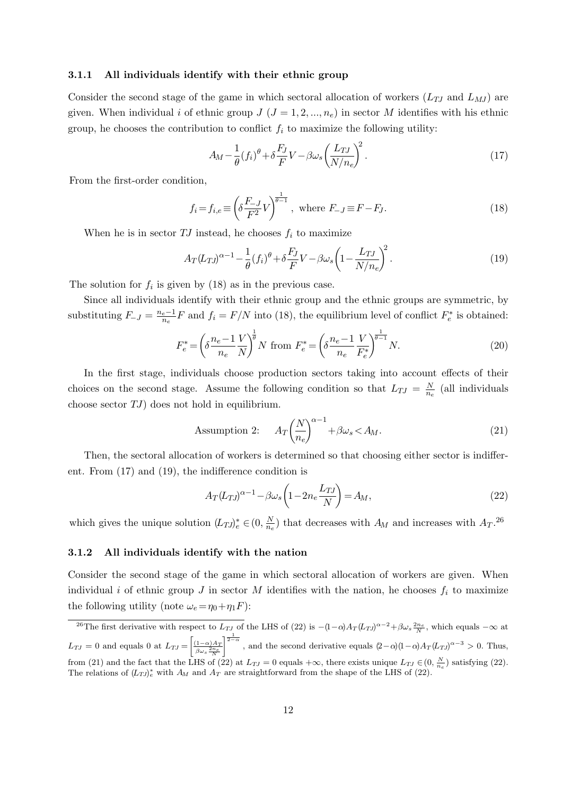### **3.1.1 All individuals identify with their ethnic group**

Consider the second stage of the game in which sectoral allocation of workers (*LTJ* and *LMJ* ) are given. When individual *i* of ethnic group  $J$  ( $J = 1, 2, ..., n_e$ ) in sector  $M$  identifies with his ethnic group, he chooses the contribution to conflict  $f_i$  to maximize the following utility:

$$
A_M - \frac{1}{\theta} (f_i)^{\theta} + \delta \frac{F_J}{F} V - \beta \omega_s \left(\frac{L_{TJ}}{N/n_e}\right)^2.
$$
 (17)

From the first-order condition,

$$
f_i = f_{i,e} \equiv \left(\delta \frac{F_{-J}}{F^2} V\right)^{\frac{1}{\theta - 1}}, \text{ where } F_{-J} \equiv F - F_J.
$$
 (18)

When he is in sector  $TJ$  instead, he chooses  $f_i$  to maximize

$$
A_T(L_{TJ})^{\alpha-1} - \frac{1}{\theta} (f_i)^{\theta} + \delta \frac{F_J}{F} V - \beta \omega_s \left( 1 - \frac{L_{TJ}}{N/n_e} \right)^2.
$$
 (19)

The solution for  $f_i$  is given by  $(18)$  as in the previous case.

Since all individuals identify with their ethnic group and the ethnic groups are symmetric, by substituting  $F_{-J} = \frac{n_e - 1}{n_e} F$  and  $f_i = F/N$  into (18), the equilibrium level of conflict  $F_e^*$  is obtained:

$$
F_e^* = \left(\delta \frac{n_e - 1}{n_e} \frac{V}{N}\right)^{\frac{1}{\theta}} N \text{ from } F_e^* = \left(\delta \frac{n_e - 1}{n_e} \frac{V}{F_e^*}\right)^{\frac{1}{\theta - 1}} N. \tag{20}
$$

In the first stage, individuals choose production sectors taking into account effects of their choices on the second stage. Assume the following condition so that  $L_{TJ} = \frac{N}{n_d}$  $\frac{N}{n_e}$  (all individuals choose sector *TJ*) does not hold in equilibrium.

Assumption 2: 
$$
A_T \left(\frac{N}{n_e}\right)^{\alpha - 1} + \beta \omega_s < A_M.
$$
 (21)

Then, the sectoral allocation of workers is determined so that choosing either sector is indifferent. From (17) and (19), the indifference condition is

$$
A_T(L_{TJ})^{\alpha-1} - \beta \omega_s \left( 1 - 2n_e \frac{L_{TJ}}{N} \right) = A_M,
$$
\n(22)

which gives the unique solution  $(L_{TJ})_e^* \in (0, \frac{N}{n_e})$  $\frac{N}{n_e}$ ) that decreases with  $A_M$  and increases with  $A_T$ .<sup>26</sup>

### **3.1.2 All individuals identify with the nation**

Consider the second stage of the game in which sectoral allocation of workers are given. When individual *i* of ethnic group *J* in sector *M* identifies with the nation, he chooses  $f_i$  to maximize the following utility (note  $\omega_e = \eta_0 + \eta_1 F$ ):

<sup>&</sup>lt;sup>26</sup>The first derivative with respect to  $L_{TJ}$  of the LHS of (22) is  $-(1-\alpha)A_T(L_{TJ})^{\alpha-2}+\beta\omega_s\frac{2n_e}{N}$ , which equals  $-\infty$  at *N*  $L_{TJ} = 0$  and equals 0 at  $L_{TJ} = \left[\frac{(1-\alpha)A_T}{\beta \omega_s \frac{2n_e}{N}}\right]$  $\int_{0}^{\frac{1}{2-\alpha}}$ , and the second derivative equals  $(2-\alpha)(1-\alpha)A_T(L_T)^{\alpha-3} > 0$ . Thus, from (21) and the fact that the LHS of (22) at  $L_{TJ} = 0$  equals  $+\infty$ , there exists unique  $L_{TJ} \in (0, \frac{N}{n_e})$  satisfying (22). The relations of  $(L_T)_e^*$  with  $A_M$  and  $A_T$  are straightforward from the shape of the LHS of (22).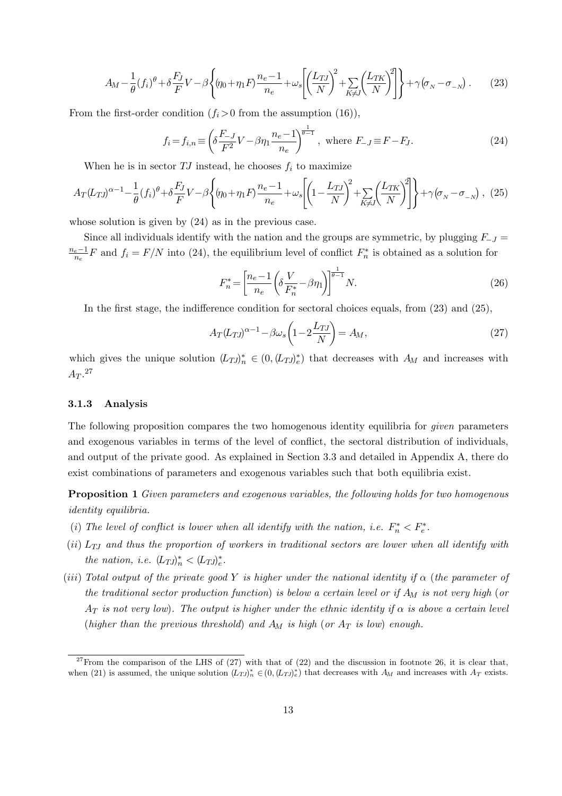$$
A_M - \frac{1}{\theta} (f_i)^{\theta} + \delta \frac{F_J}{F} V - \beta \left\{ (\eta_0 + \eta_1 F) \frac{n_e - 1}{n_e} + \omega_s \left[ \left( \frac{L_{TJ}}{N} \right)^2 + \sum_{K \neq J} \left( \frac{L_{TK}}{N} \right)^2 \right] \right\} + \gamma (\sigma_N - \sigma_{-N}). \tag{23}
$$

From the first-order condition  $(f_i > 0$  from the assumption  $(16)$ ),

$$
f_i = f_{i,n} \equiv \left( \delta \frac{F_{-J}}{F^2} V - \beta \eta_1 \frac{n_e - 1}{n_e} \right)^{\frac{1}{\theta - 1}}, \text{ where } F_{-J} \equiv F - F_J.
$$
 (24)

When he is in sector  $TJ$  instead, he chooses  $f_i$  to maximize

$$
A_T (L_{TJ})^{\alpha - 1} - \frac{1}{\theta} (f_i)^{\theta} + \delta \frac{F_J}{F} V - \beta \left\{ (\eta_0 + \eta_1 F) \frac{n_e - 1}{n_e} + \omega_s \left[ \left( 1 - \frac{L_{TJ}}{N} \right)^2 + \sum_{K \neq J} \left( \frac{L_{TK}}{N} \right)^2 \right] \right\} + \gamma (\sigma_N - \sigma_{-N}), \tag{25}
$$

whose solution is given by (24) as in the previous case.

Since all individuals identify with the nation and the groups are symmetric, by plugging  $F$ <sup>*−*</sup> $J$  =  $\frac{n_e-1}{n_e}F$  and  $f_i = F/N$  into (24), the equilibrium level of conflict  $F_n^*$  is obtained as a solution for

$$
F_n^* = \left[\frac{n_e - 1}{n_e} \left(\delta \frac{V}{F_n^*} - \beta \eta_1\right)\right]^{\frac{1}{\theta - 1}} N. \tag{26}
$$

In the first stage, the indifference condition for sectoral choices equals, from (23) and (25),

$$
A_T(L_{TJ})^{\alpha-1} - \beta \omega_s \left( 1 - 2\frac{L_{TJ}}{N} \right) = A_M,\tag{27}
$$

which gives the unique solution  $(L_{TJ})^*_{n} \in (0, (L_{TJ})^*_{e})$  that decreases with  $A_M$  and increases with  $A_T$ .<sup>27</sup>

#### **3.1.3 Analysis**

The following proposition compares the two homogenous identity equilibria for *given* parameters and exogenous variables in terms of the level of conflict, the sectoral distribution of individuals, and output of the private good. As explained in Section 3.3 and detailed in Appendix A, there do exist combinations of parameters and exogenous variables such that both equilibria exist.

**Proposition 1** *Given parameters and exogenous variables, the following holds for two homogenous identity equilibria.*

- (*i*) The level of conflict is lower when all identify with the nation, i.e.  $F_n^* < F_e^*$ .
- (*ii*) *LTJ and thus the proportion of workers in traditional sectors are lower when all identify with the nation, i.e.*  $(L_{TJ})_n^* < (L_{TJ})_e^*$ .
- (*iii*) *Total output of the private good*  $Y$  *is higher under the national identity if*  $\alpha$  (*the parameter of the traditional sector production function*) *is below a certain level or if A<sup>M</sup> is not very high* (*or*  $A_T$  *is not very low*). The output is higher under the ethnic identity if  $\alpha$  *is above a certain level* (*higher than the previous threshold*) *and A<sup>M</sup> is high* (*or A<sup>T</sup> is low*) *enough.*

<sup>&</sup>lt;sup>27</sup>From the comparison of the LHS of  $(27)$  with that of  $(22)$  and the discussion in footnote 26, it is clear that, when (21) is assumed, the unique solution  $(L_{TJ})^*_{n} \in (0, (L_{TJ})^*_{e})$  that decreases with  $A_M$  and increases with  $A_T$  exists.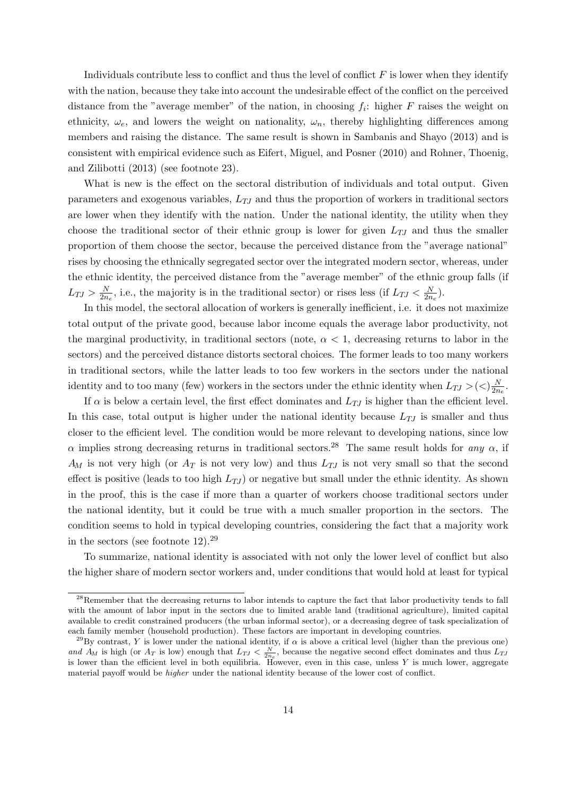Individuals contribute less to conflict and thus the level of conflict *F* is lower when they identify with the nation, because they take into account the undesirable effect of the conflict on the perceived distance from the "average member" of the nation, in choosing  $f_i$ : higher  $F$  raises the weight on ethnicity,  $\omega_e$ , and lowers the weight on nationality,  $\omega_n$ , thereby highlighting differences among members and raising the distance. The same result is shown in Sambanis and Shayo (2013) and is consistent with empirical evidence such as Eifert, Miguel, and Posner (2010) and Rohner, Thoenig, and Zilibotti (2013) (see footnote 23).

What is new is the effect on the sectoral distribution of individuals and total output. Given parameters and exogenous variables, *LTJ* and thus the proportion of workers in traditional sectors are lower when they identify with the nation. Under the national identity, the utility when they choose the traditional sector of their ethnic group is lower for given *LTJ* and thus the smaller proportion of them choose the sector, because the perceived distance from the "average national" rises by choosing the ethnically segregated sector over the integrated modern sector, whereas, under the ethnic identity, the perceived distance from the "average member" of the ethnic group falls (if  $L_{TJ} > \frac{N}{2n}$  $\frac{N}{2n_e}$ , i.e., the majority is in the traditional sector) or rises less (if  $L_{TJ} < \frac{N}{2n_e}$ ).

In this model, the sectoral allocation of workers is generally inefficient, i.e. it does not maximize total output of the private good, because labor income equals the average labor productivity, not the marginal productivity, in traditional sectors (note,  $\alpha < 1$ , decreasing returns to labor in the sectors) and the perceived distance distorts sectoral choices. The former leads to too many workers in traditional sectors, while the latter leads to too few workers in the sectors under the national identity and to too many (few) workers in the sectors under the ethnic identity when  $L_{TJ}$  > (<) $\frac{N}{2n_e}$ .

If  $\alpha$  is below a certain level, the first effect dominates and  $L_{TJ}$  is higher than the efficient level. In this case, total output is higher under the national identity because  $L_{TJ}$  is smaller and thus closer to the efficient level. The condition would be more relevant to developing nations, since low *α* implies strong decreasing returns in traditional sectors.<sup>28</sup> The same result holds for *any α*, if  $A_M$  is not very high (or  $A_T$  is not very low) and thus  $L_{TJ}$  is not very small so that the second effect is positive (leads to too high *LTJ* ) or negative but small under the ethnic identity. As shown in the proof, this is the case if more than a quarter of workers choose traditional sectors under the national identity, but it could be true with a much smaller proportion in the sectors. The condition seems to hold in typical developing countries, considering the fact that a majority work in the sectors (see footnote  $12$ ).<sup>29</sup>

To summarize, national identity is associated with not only the lower level of conflict but also the higher share of modern sector workers and, under conditions that would hold at least for typical

 $^{28}$ Remember that the decreasing returns to labor intends to capture the fact that labor productivity tends to fall with the amount of labor input in the sectors due to limited arable land (traditional agriculture), limited capital available to credit constrained producers (the urban informal sector), or a decreasing degree of task specialization of each family member (household production). These factors are important in developing countries.

<sup>&</sup>lt;sup>29</sup>By contrast, *Y* is lower under the national identity, if  $\alpha$  is above a critical level (higher than the previous one) and  $A_M$  is high (or  $A_T$  is low) enough that  $L_{TJ} < \frac{N}{2n_e}$ , because the negative second effect dominates and thus  $L_{TJ}$ is lower than the efficient level in both equilibria. However, even in this case, unless *Y* is much lower, aggregate material payoff would be *higher* under the national identity because of the lower cost of conflict.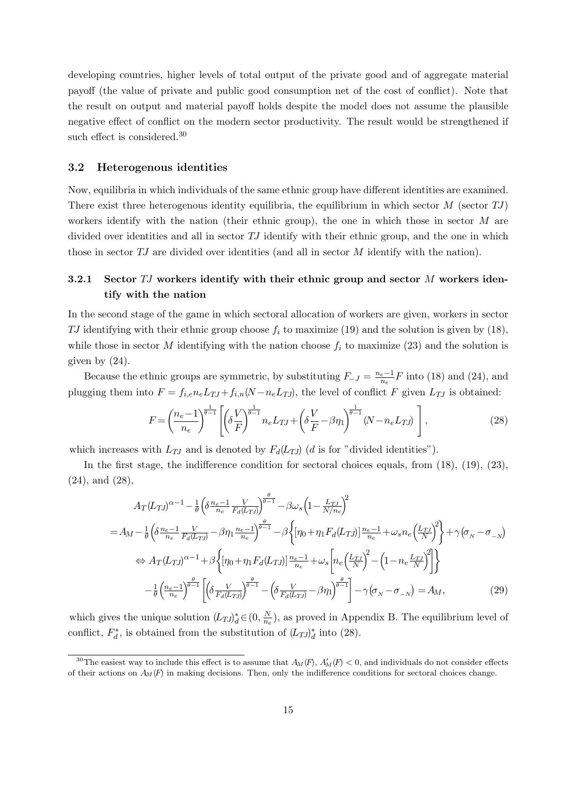developing countries, higher levels of total output of the private good and of aggregate material payoff (the value of private and public good consumption net of the cost of conflict). Note that the result on output and material payoff holds despite the model does not assume the plausible negative effect of conflict on the modern sector productivity. The result would be strengthened if such effect is considered.<sup>30</sup>

### **3.2 Heterogenous identities**

Now, equilibria in which individuals of the same ethnic group have different identities are examined. There exist three heterogenous identity equilibria, the equilibrium in which sector *M* (sector *TJ*) workers identify with the nation (their ethnic group), the one in which those in sector *M* are divided over identities and all in sector *TJ* identify with their ethnic group, and the one in which those in sector *TJ* are divided over identities (and all in sector *M* identify with the nation)*.*

### **3.2.1 Sector** *TJ* **workers identify with their ethnic group and sector** *M* **workers identify with the nation**

In the second stage of the game in which sectoral allocation of workers are given, workers in sector *TJ* identifying with their ethnic group choose  $f_i$  to maximize (19) and the solution is given by (18), while those in sector *M* identifying with the nation choose  $f_i$  to maximize (23) and the solution is given by  $(24)$ .

Because the ethnic groups are symmetric, by substituting  $F_{-J} = \frac{n_e - 1}{n_e} F$  into (18) and (24), and plugging them into  $F = f_{i,e} n_e L_{TJ} + f_{i,n} (N - n_e L_{TJ})$ , the level of conflict *F* given  $L_{TJ}$  is obtained:

$$
F = \left(\frac{n_e - 1}{n_e}\right)^{\frac{1}{\theta - 1}} \left[ \left(\delta \frac{V}{F}\right)^{\frac{1}{\theta - 1}} n_e L_{TJ} + \left(\delta \frac{V}{F} - \beta \eta_1\right)^{\frac{1}{\theta - 1}} (N - n_e L_{TJ}) \right],
$$
\n(28)

which increases with  $L_{TJ}$  and is denoted by  $F_d(L_{TJ})$  (*d* is for "divided identities").

In the first stage, the indifference condition for sectoral choices equals, from (18), (19), (23), (24), and (28),

$$
A_{T}(L_{TJ})^{\alpha-1} - \frac{1}{\theta} \left( \delta \frac{n_{e}-1}{n_{e}} \frac{V}{F_{d}(L_{TJ})} \right)^{\frac{\theta}{\theta-1}} - \beta \omega_{s} \left( 1 - \frac{L_{TJ}}{N/n_{e}} \right)^{2}
$$
  
=  $A_{M} - \frac{1}{\theta} \left( \delta \frac{n_{e}-1}{n_{e}} \frac{V}{F_{d}(L_{TJ})} - \beta \eta_{1} \frac{n_{e}-1}{n_{e}} \right)^{\frac{\theta}{\theta-1}} - \beta \left\{ \left[ \eta_{0} + \eta_{1} F_{d}(L_{TJ}) \right] \frac{n_{e}-1}{n_{e}} + \omega_{s} n_{e} \left( \frac{L_{TJ}}{N} \right)^{2} \right\} + \gamma \left( \sigma_{N} - \sigma_{-N} \right)$   

$$
\Leftrightarrow A_{T}(L_{TJ})^{\alpha-1} + \beta \left\{ \left[ \eta_{0} + \eta_{1} F_{d}(L_{TJ}) \right] \frac{n_{e}-1}{n_{e}} + \omega_{s} \left[ n_{e} \left( \frac{L_{TJ}}{N} \right)^{2} - \left( 1 - n_{e} \frac{L_{TJ}}{N} \right)^{2} \right] \right\}
$$
  

$$
- \frac{1}{\theta} \left( \frac{n_{e}-1}{n_{e}} \right)^{\frac{\theta}{\theta-1}} \left[ \left( \delta \frac{V}{F_{d}(L_{TJ})} \right)^{\frac{\theta}{\theta-1}} - \left( \delta \frac{V}{F_{d}(L_{TJ})} - \beta \eta_{1} \right)^{\frac{\theta}{\theta-1}} \right] - \gamma \left( \sigma_{N} - \sigma_{-N} \right) = A_{M}, \tag{29}
$$

which gives the unique solution  $(L_{TJ})^*_{d} \in (0, \frac{N}{n_e})$  $\frac{N}{n_e}$ ), as proved in Appendix B. The equilibrium level of conflict,  $F_d^*$ , is obtained from the substitution of  $(L_T)_d^*$  into (28).

<sup>&</sup>lt;sup>30</sup>The easiest way to include this effect is to assume that  $A_M(F)$ ,  $A'_M(F) < 0$ , and individuals do not consider effects of their actions on  $A_M(F)$  in making decisions. Then, only the indifference conditions for sectoral choices change.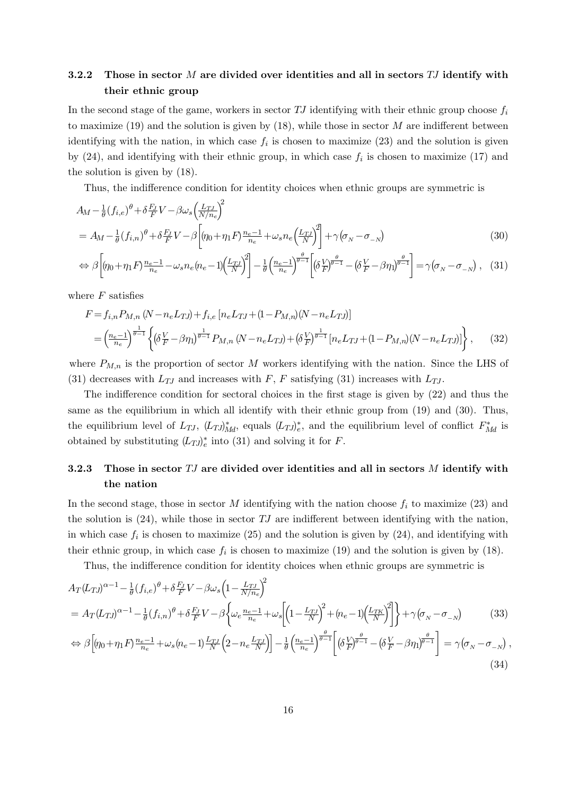### **3.2.2 Those in sector** *M* **are divided over identities and all in sectors** *TJ* **identify with their ethnic group**

In the second stage of the game, workers in sector  $TJ$  identifying with their ethnic group choose  $f_i$ to maximize (19) and the solution is given by (18), while those in sector *M* are indifferent between identifying with the nation, in which case *f<sup>i</sup>* is chosen to maximize (23) and the solution is given by  $(24)$ , and identifying with their ethnic group, in which case  $f_i$  is chosen to maximize  $(17)$  and the solution is given by (18).

Thus, the indifference condition for identity choices when ethnic groups are symmetric is

$$
A_M - \frac{1}{\theta} (f_{i,e})^{\theta} + \delta \frac{F_J}{F} V - \beta \omega_s \left(\frac{L_{TJ}}{N/n_e}\right)^2
$$
  
= 
$$
A_M - \frac{1}{\theta} (f_{i,n})^{\theta} + \delta \frac{F_J}{F} V - \beta \left[ (\eta_0 + \eta_1 F) \frac{n_e - 1}{n_e} + \omega_s n_e \left(\frac{L_{TJ}}{N}\right)^2 \right] + \gamma (\sigma_N - \sigma_{-N})
$$
 (30)

$$
\Leftrightarrow \beta \left[ (\eta_0 + \eta_1 F)^{\frac{n_e - 1}{n_e}} - \omega_s n_e (n_e - 1) \left( \frac{L_{TI}}{N} \right)^2 \right] - \frac{1}{\theta} \left( \frac{n_e - 1}{n_e} \right)^{\frac{\theta}{\theta - 1}} \left[ \left( \delta \frac{V}{F} \right)^{\frac{\theta}{\theta - 1}} - \left( \delta \frac{V}{F} - \beta \eta_1 \right)^{\frac{\theta}{\theta - 1}} \right] = \gamma \left( \sigma_N - \sigma_{-N} \right), \tag{31}
$$

where *F* satisfies

$$
F = f_{i,n} P_{M,n} (N - n_e L_{TJ}) + f_{i,e} [n_e L_{TJ} + (1 - P_{M,n})(N - n_e L_{TJ})]
$$
  
=  $\left(\frac{n_e - 1}{n_e}\right)^{\frac{1}{\theta - 1}} \left\{ (\delta \frac{V}{F} - \beta \eta_1)^{\frac{1}{\theta - 1}} P_{M,n} (N - n_e L_{TJ}) + (\delta \frac{V}{F})^{\frac{1}{\theta - 1}} [n_e L_{TJ} + (1 - P_{M,n})(N - n_e L_{TJ})] \right\},$  (32)

where  $P_{M,n}$  is the proportion of sector M workers identifying with the nation. Since the LHS of (31) decreases with  $L_{TJ}$  and increases with *F*, *F* satisfying (31) increases with  $L_{TJ}$ .

The indifference condition for sectoral choices in the first stage is given by (22) and thus the same as the equilibrium in which all identify with their ethnic group from (19) and (30). Thus, the equilibrium level of  $L_{TJ}$ ,  $(L_{TJ})^*_{Md}$ , equals  $(L_{TJ})^*_{e}$ , and the equilibrium level of conflict  $F^*_{Md}$  is obtained by substituting  $(L_{TJ})_e^*$  into (31) and solving it for *F*.

# **3.2.3 Those in sector** *TJ* **are divided over identities and all in sectors** *M* **identify with the nation**

In the second stage, those in sector  $M$  identifying with the nation choose  $f_i$  to maximize (23) and the solution is (24), while those in sector *TJ* are indifferent between identifying with the nation, in which case  $f_i$  is chosen to maximize (25) and the solution is given by (24), and identifying with their ethnic group, in which case  $f_i$  is chosen to maximize  $(19)$  and the solution is given by  $(18)$ .

Thus, the indifference condition for identity choices when ethnic groups are symmetric is

$$
A_T(L_{TJ})^{\alpha-1} - \frac{1}{\theta} (f_{i,e})^{\theta} + \delta \frac{F_I}{F} V - \beta \omega_s \left(1 - \frac{L_{TJ}}{N/n_e}\right)^2
$$
  
=  $A_T(L_{TJ})^{\alpha-1} - \frac{1}{\theta} (f_{i,n})^{\theta} + \delta \frac{F_I}{F} V - \beta \left\{ \omega_e \frac{n_e - 1}{n_e} + \omega_s \left[ \left(1 - \frac{L_{TJ}}{N}\right)^2 + (n_e - 1) \left(\frac{L_{TK}}{N}\right)^2 \right] \right\} + \gamma \left(\sigma_N - \sigma_{-N}\right)$  (33)  

$$
\Leftrightarrow \beta \left[ (\eta_0 + \eta_1 F) \frac{n_e - 1}{n_e} + \omega_s (n_e - 1) \frac{L_{TJ}}{N} \left( 2 - n_e \frac{L_{TJ}}{N} \right) \right] - \frac{1}{\theta} \left( \frac{n_e - 1}{n_e} \right)^{\frac{\theta}{\theta - 1}} \left[ \left(\delta \frac{V}{F}\right)^{\frac{\theta}{\theta - 1}} - \left(\delta \frac{V}{F} - \beta \eta_1 \right)^{\frac{\theta}{\theta - 1}} \right] = \gamma \left(\sigma_N - \sigma_{-N}\right)
$$

$$
(\beta + \eta_1 F)^{\frac{n_e - 1}{n_e}} + \omega_s (n_e - 1)^{\frac{LTJ}{N}} \left(2 - n_e \frac{LTJ}{N}\right) - \frac{1}{\theta} \left(\frac{n_e - 1}{n_e}\right)^{\sigma - 1} \left[ \left(\delta \frac{V}{F}\right)^{\theta - 1} - \left(\delta \frac{V}{F} - \beta \eta_1\right)^{\theta - 1} \right] = \gamma \left(\sigma_N - \sigma_{-N}\right),\tag{34}
$$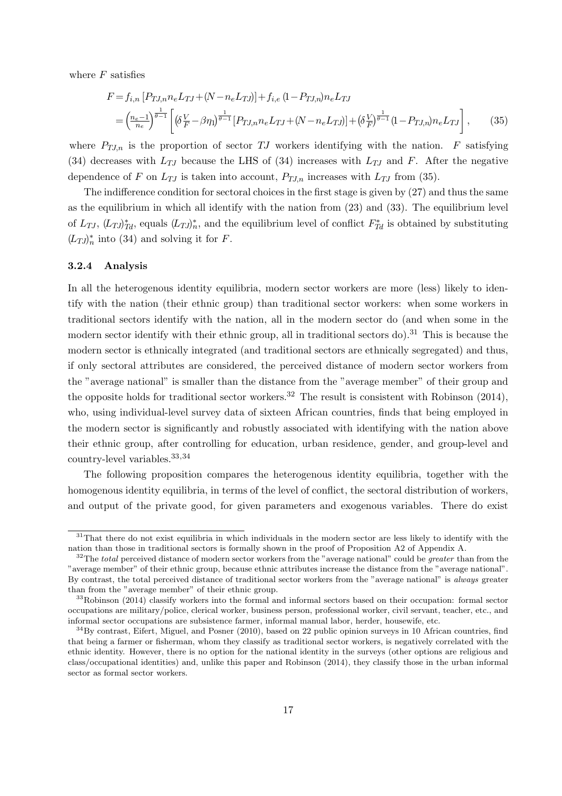where *F* satisfies

$$
F = f_{i,n} \left[ P_{TJ,n} n_e L_{TJ} + (N - n_e L_{TJ}) \right] + f_{i,e} \left( 1 - P_{TJ,n} \right) n_e L_{TJ}
$$
  
=  $\left( \frac{n_e - 1}{n_e} \right)^{\frac{1}{\theta - 1}} \left[ \left( \delta \frac{V}{F} - \beta \eta_1 \right)^{\frac{1}{\theta - 1}} \left[ P_{TJ,n} n_e L_{TJ} + (N - n_e L_{TJ}) \right] + \left( \delta \frac{V}{F} \right)^{\frac{1}{\theta - 1}} (1 - P_{TJ,n}) n_e L_{TJ} \right],$  (35)

where  $P_{TJ,n}$  is the proportion of sector TJ workers identifying with the nation. F satisfying (34) decreases with  $L_{TJ}$  because the LHS of (34) increases with  $L_{TJ}$  and *F*. After the negative dependence of *F* on  $L_{TJ}$  is taken into account,  $P_{TJ,n}$  increases with  $L_{TJ}$  from (35).

The indifference condition for sectoral choices in the first stage is given by (27) and thus the same as the equilibrium in which all identify with the nation from (23) and (33). The equilibrium level of  $L_{TJ}$ ,  $(L_{TJ})_{Td}^*$ , equals  $(L_{TJ})_n^*$ , and the equilibrium level of conflict  $F_{Td}^*$  is obtained by substituting  $(L_{TJ})_n^*$  into (34) and solving it for *F*.

#### **3.2.4 Analysis**

In all the heterogenous identity equilibria, modern sector workers are more (less) likely to identify with the nation (their ethnic group) than traditional sector workers: when some workers in traditional sectors identify with the nation, all in the modern sector do (and when some in the modern sector identify with their ethnic group, all in traditional sectors do).<sup>31</sup> This is because the modern sector is ethnically integrated (and traditional sectors are ethnically segregated) and thus, if only sectoral attributes are considered, the perceived distance of modern sector workers from the "average national" is smaller than the distance from the "average member" of their group and the opposite holds for traditional sector workers.<sup>32</sup> The result is consistent with Robinson  $(2014)$ , who, using individual-level survey data of sixteen African countries, finds that being employed in the modern sector is significantly and robustly associated with identifying with the nation above their ethnic group, after controlling for education, urban residence, gender, and group-level and country-level variables.33*,*<sup>34</sup>

The following proposition compares the heterogenous identity equilibria, together with the homogenous identity equilibria, in terms of the level of conflict, the sectoral distribution of workers, and output of the private good, for given parameters and exogenous variables. There do exist

<sup>&</sup>lt;sup>31</sup>That there do not exist equilibria in which individuals in the modern sector are less likely to identify with the nation than those in traditional sectors is formally shown in the proof of Proposition A2 of Appendix A.

<sup>32</sup>The *total* perceived distance of modern sector workers from the "average national" could be *greater* than from the "average member" of their ethnic group, because ethnic attributes increase the distance from the "average national". By contrast, the total perceived distance of traditional sector workers from the "average national" is *always* greater than from the "average member" of their ethnic group.

<sup>&</sup>lt;sup>33</sup>Robinson (2014) classify workers into the formal and informal sectors based on their occupation: formal sector occupations are military/police, clerical worker, business person, professional worker, civil servant, teacher, etc., and informal sector occupations are subsistence farmer, informal manual labor, herder, housewife, etc.

 $34\text{By contrast, Eifert, Miguel, and Posner (2010), based on 22 public opinion surveys in 10 African countries, find}$ that being a farmer or fisherman, whom they classify as traditional sector workers, is negatively correlated with the ethnic identity. However, there is no option for the national identity in the surveys (other options are religious and class/occupational identities) and, unlike this paper and Robinson (2014), they classify those in the urban informal sector as formal sector workers.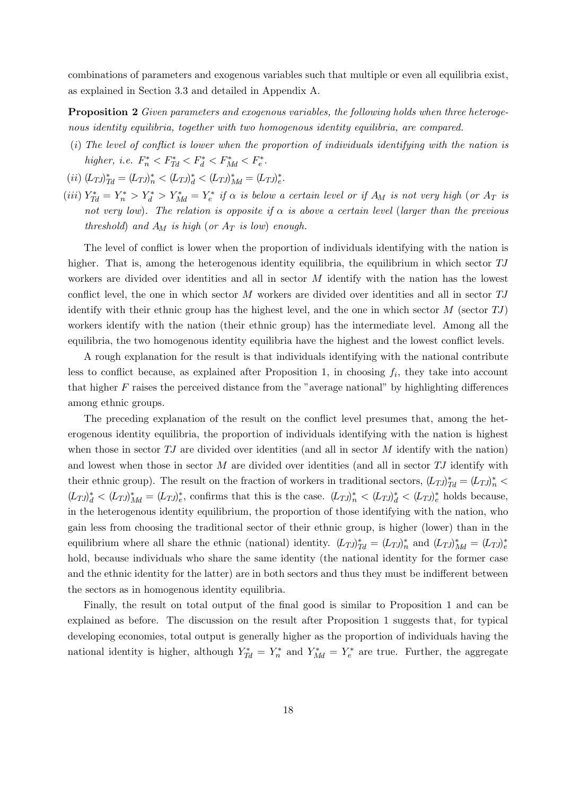combinations of parameters and exogenous variables such that multiple or even all equilibria exist, as explained in Section 3.3 and detailed in Appendix A.

**Proposition 2** *Given parameters and exogenous variables, the following holds when three heterogenous identity equilibria, together with two homogenous identity equilibria, are compared.*

- (*i*) *The level of conflict is lower when the proportion of individuals identifying with the nation is higher, i.e.*  $F_n^* < F_{Td}^* < F_d^* < F_{Md}^* < F_e^*$ .
- (*ii*)  $(L_{TJ})_{Td}^* = (L_{TJ})_n^* < (L_{TJ})_d^* < (L_{TJ})_{Md}^* = (L_{TJ})_e^*$ .
- (iii)  $Y_{Td}^* = Y_n^* > Y_d^* > Y_{Md}^* = Y_e^*$  if  $\alpha$  is below a certain level or if  $A_M$  is not very high (or  $A_T$  is *not very low*)*. The relation is opposite if α is above a certain level* (*larger than the previous threshold*) *and*  $A_M$  *is high* (*or*  $A_T$  *is low*) *enough.*

The level of conflict is lower when the proportion of individuals identifying with the nation is higher. That is, among the heterogenous identity equilibria, the equilibrium in which sector *TJ* workers are divided over identities and all in sector *M* identify with the nation has the lowest conflict level, the one in which sector *M* workers are divided over identities and all in sector *TJ* identify with their ethnic group has the highest level, and the one in which sector *M* (sector *TJ*) workers identify with the nation (their ethnic group) has the intermediate level. Among all the equilibria, the two homogenous identity equilibria have the highest and the lowest conflict levels.

A rough explanation for the result is that individuals identifying with the national contribute less to conflict because, as explained after Proposition 1, in choosing *f<sup>i</sup>* , they take into account that higher *F* raises the perceived distance from the "average national" by highlighting differences among ethnic groups.

The preceding explanation of the result on the conflict level presumes that, among the heterogenous identity equilibria, the proportion of individuals identifying with the nation is highest when those in sector *TJ* are divided over identities (and all in sector *M* identify with the nation) and lowest when those in sector *M* are divided over identities (and all in sector *TJ* identify with their ethnic group). The result on the fraction of workers in traditional sectors,  $(L_{TJ})_{Td}^* = (L_{TJ})_n^* <$  $(L_{TJ})^*_{d} < (L_{TJ})^*_{Md} = (L_{TJ})^*_{e}$ , confirms that this is the case.  $(L_{TJ})^*_{n} < (L_{TJ})^*_{d} < (L_{TJ})^*_{e}$  holds because, in the heterogenous identity equilibrium, the proportion of those identifying with the nation, who gain less from choosing the traditional sector of their ethnic group, is higher (lower) than in the equilibrium where all share the ethnic (national) identity.  $(L_{TJ})_{Td}^* = (L_{TJ})_{nd}^* = (L_{TJ})_{Md}^* = (L_{TJ})_{e}^*$ hold, because individuals who share the same identity (the national identity for the former case and the ethnic identity for the latter) are in both sectors and thus they must be indifferent between the sectors as in homogenous identity equilibria.

Finally, the result on total output of the final good is similar to Proposition 1 and can be explained as before. The discussion on the result after Proposition 1 suggests that, for typical developing economies, total output is generally higher as the proportion of individuals having the national identity is higher, although  $Y_{Td}^* = Y_n^*$  and  $Y_{Md}^* = Y_e^*$  are true. Further, the aggregate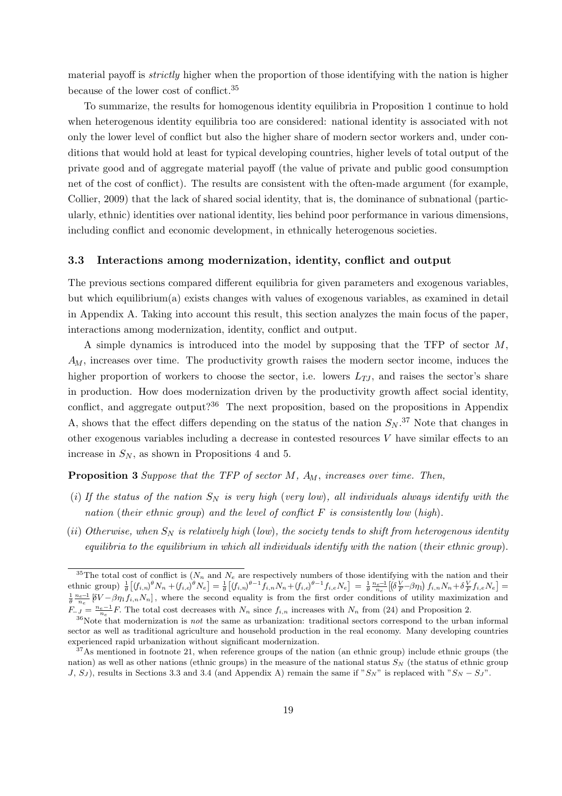material payoff is *strictly* higher when the proportion of those identifying with the nation is higher because of the lower cost of conflict.<sup>35</sup>

To summarize, the results for homogenous identity equilibria in Proposition 1 continue to hold when heterogenous identity equilibria too are considered: national identity is associated with not only the lower level of conflict but also the higher share of modern sector workers and, under conditions that would hold at least for typical developing countries, higher levels of total output of the private good and of aggregate material payoff (the value of private and public good consumption net of the cost of conflict). The results are consistent with the often-made argument (for example, Collier, 2009) that the lack of shared social identity, that is, the dominance of subnational (particularly, ethnic) identities over national identity, lies behind poor performance in various dimensions, including conflict and economic development, in ethnically heterogenous societies.

### **3.3 Interactions among modernization, identity, conflict and output**

The previous sections compared different equilibria for given parameters and exogenous variables, but which equilibrium(a) exists changes with values of exogenous variables, as examined in detail in Appendix A. Taking into account this result, this section analyzes the main focus of the paper, interactions among modernization, identity, conflict and output.

A simple dynamics is introduced into the model by supposing that the TFP of sector *M*, *AM,* increases over time. The productivity growth raises the modern sector income, induces the higher proportion of workers to choose the sector, i.e. lowers  $L_{TJ}$ , and raises the sector's share in production. How does modernization driven by the productivity growth affect social identity, conflict, and aggregate output?<sup>36</sup> The next proposition, based on the propositions in Appendix A, shows that the effect differs depending on the status of the nation  $S_N$ .<sup>37</sup> Note that changes in other exogenous variables including a decrease in contested resources *V* have similar effects to an increase in *S<sup>N</sup> ,* as shown in Propositions 4 and 5*.*

**Proposition 3** *Suppose that the TFP of sector M, AM, increases over time. Then,*

- (*i*) *If the status of the nation S<sup>N</sup> is very high* (*very low*)*, all individuals always identify with the nation* (*their ethnic group*) *and the level of conflict F is consistently low* (*high*)*.*
- (*ii*) *Otherwise, when S<sup>N</sup> is relatively high* (*low*)*, the society tends to shift from heterogenous identity equilibria to the equilibrium in which all individuals identify with the nation* (*their ethnic group*)*.*

<sup>&</sup>lt;sup>35</sup>The total cost of conflict is  $(N_n$  and  $N_e$  are respectively numbers of those identifying with the nation and their ethnic group)  $\frac{1}{\theta} [(f_{i,n})^{\theta} N_n + (f_{i,e})^{\theta} N_e] = \frac{1}{\theta} [(f_{i,n})^{\theta-1} \hat{f}_{i,n} N_n + (f_{i,e})^{\theta-1} f_{i,e} N_e] = \frac{1}{\theta} \frac{n_e - 1}{n_e} [(\delta \frac{V}{F} - \beta \eta_1) \hat{f}_{i,n} N_n + \delta \frac{V}{F} f_{i,e} N_e] =$  $\frac{1}{\theta} \frac{n_e-1}{n_e} \left[ \delta V - \beta \eta_1 f_{i,n} N_n \right]$ , where the second equality is from the first order conditions of utility maximization and  $F_{-J} = \frac{n_e - 1}{n_e} F$ . The total cost decreases with  $N_n$  since  $f_{i,n}$  increases with  $N_n$  from (24) and Proposition 2.

<sup>&</sup>lt;sup>36</sup>Note that modernization is *not* the same as urbanization: traditional sectors correspond to the urban informal sector as well as traditional agriculture and household production in the real economy. Many developing countries experienced rapid urbanization without significant modernization.

 $37$ As mentioned in footnote 21, when reference groups of the nation (an ethnic group) include ethnic groups (the nation) as well as other nations (ethnic groups) in the measure of the national status  $S_N$  (the status of ethnic group *J*, *S*<sub>J</sub>), results in Sections 3.3 and 3.4 (and Appendix A) remain the same if " $S_N$ " is replaced with " $S_N - S_J$ ".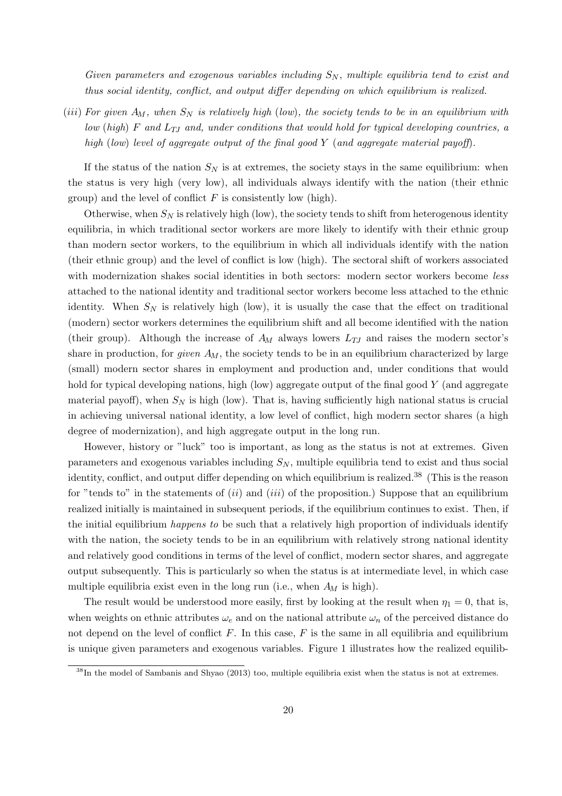*Given parameters and exogenous variables including S<sup>N</sup> , multiple equilibria tend to exist and thus social identity, conflict, and output differ depending on which equilibrium is realized.*

(*iii*) *For given AM, when S<sup>N</sup> is relatively high* (*low*)*, the society tends to be in an equilibrium with low* (*high*) *F and LTJ and, under conditions that would hold for typical developing countries, a high* (*low*) *level of aggregate output of the final good Y* (*and aggregate material payoff*)*.*

If the status of the nation  $S_N$  is at extremes, the society stays in the same equilibrium: when the status is very high (very low), all individuals always identify with the nation (their ethnic group) and the level of conflict *F* is consistently low (high)*.*

Otherwise, when *S<sup>N</sup>* is relatively high (low), the society tends to shift from heterogenous identity equilibria, in which traditional sector workers are more likely to identify with their ethnic group than modern sector workers, to the equilibrium in which all individuals identify with the nation (their ethnic group) and the level of conflict is low (high). The sectoral shift of workers associated with modernization shakes social identities in both sectors: modern sector workers become *less* attached to the national identity and traditional sector workers become less attached to the ethnic identity. When  $S_N$  is relatively high (low), it is usually the case that the effect on traditional (modern) sector workers determines the equilibrium shift and all become identified with the nation (their group). Although the increase of *A<sup>M</sup>* always lowers *LTJ* and raises the modern sector's share in production, for *given AM*, the society tends to be in an equilibrium characterized by large (small) modern sector shares in employment and production and, under conditions that would hold for typical developing nations, high (low) aggregate output of the final good *Y* (and aggregate material payoff), when  $S_N$  is high (low). That is, having sufficiently high national status is crucial in achieving universal national identity, a low level of conflict, high modern sector shares (a high degree of modernization), and high aggregate output in the long run.

However, history or "luck" too is important, as long as the status is not at extremes. Given parameters and exogenous variables including *S<sup>N</sup> ,* multiple equilibria tend to exist and thus social identity, conflict, and output differ depending on which equilibrium is realized.<sup>38</sup> (This is the reason for "tends to" in the statements of (*ii*) and (*iii*) of the proposition.) Suppose that an equilibrium realized initially is maintained in subsequent periods, if the equilibrium continues to exist. Then, if the initial equilibrium *happens to* be such that a relatively high proportion of individuals identify with the nation, the society tends to be in an equilibrium with relatively strong national identity and relatively good conditions in terms of the level of conflict, modern sector shares, and aggregate output subsequently. This is particularly so when the status is at intermediate level, in which case multiple equilibria exist even in the long run (i.e., when *A<sup>M</sup>* is high).

The result would be understood more easily, first by looking at the result when  $\eta_1 = 0$ , that is, when weights on ethnic attributes  $\omega_e$  and on the national attribute  $\omega_n$  of the perceived distance do not depend on the level of conflict *F*. In this case, *F* is the same in all equilibria and equilibrium is unique given parameters and exogenous variables. Figure 1 illustrates how the realized equilib-

<sup>&</sup>lt;sup>38</sup>In the model of Sambanis and Shyao (2013) too, multiple equilibria exist when the status is not at extremes.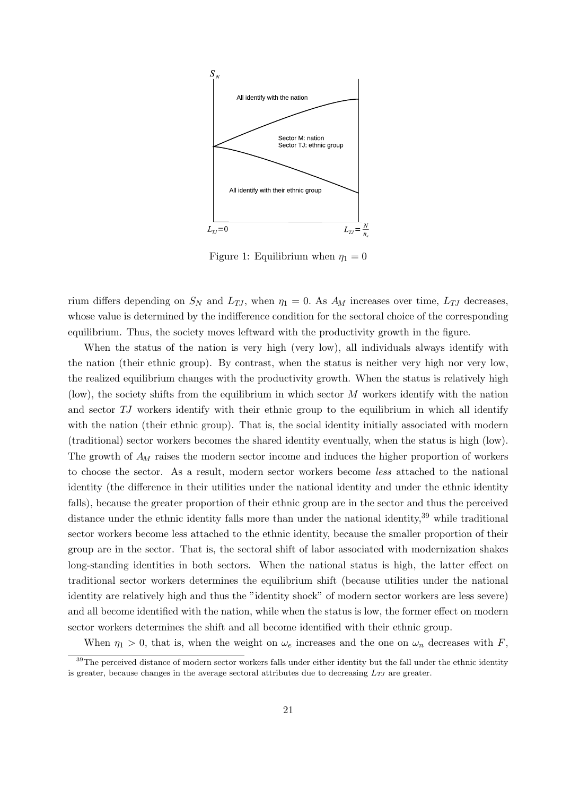

Figure 1: Equilibrium when  $\eta_1 = 0$ 

rium differs depending on  $S_N$  and  $L_{TJ}$ , when  $\eta_1 = 0$ . As  $A_M$  increases over time,  $L_{TJ}$  decreases, whose value is determined by the indifference condition for the sectoral choice of the corresponding equilibrium. Thus, the society moves leftward with the productivity growth in the figure.

When the status of the nation is very high (very low), all individuals always identify with the nation (their ethnic group). By contrast, when the status is neither very high nor very low, the realized equilibrium changes with the productivity growth. When the status is relatively high (low), the society shifts from the equilibrium in which sector *M* workers identify with the nation and sector *TJ* workers identify with their ethnic group to the equilibrium in which all identify with the nation (their ethnic group). That is, the social identity initially associated with modern (traditional) sector workers becomes the shared identity eventually, when the status is high (low). The growth of *A<sup>M</sup>* raises the modern sector income and induces the higher proportion of workers to choose the sector. As a result, modern sector workers become *less* attached to the national identity (the difference in their utilities under the national identity and under the ethnic identity falls), because the greater proportion of their ethnic group are in the sector and thus the perceived distance under the ethnic identity falls more than under the national identity,<sup>39</sup> while traditional sector workers become less attached to the ethnic identity, because the smaller proportion of their group are in the sector. That is, the sectoral shift of labor associated with modernization shakes long-standing identities in both sectors. When the national status is high, the latter effect on traditional sector workers determines the equilibrium shift (because utilities under the national identity are relatively high and thus the "identity shock" of modern sector workers are less severe) and all become identified with the nation, while when the status is low, the former effect on modern sector workers determines the shift and all become identified with their ethnic group.

When  $\eta_1 > 0$ , that is, when the weight on  $\omega_e$  increases and the one on  $\omega_n$  decreases with *F*,

<sup>&</sup>lt;sup>39</sup>The perceived distance of modern sector workers falls under either identity but the fall under the ethnic identity is greater, because changes in the average sectoral attributes due to decreasing *LTJ* are greater.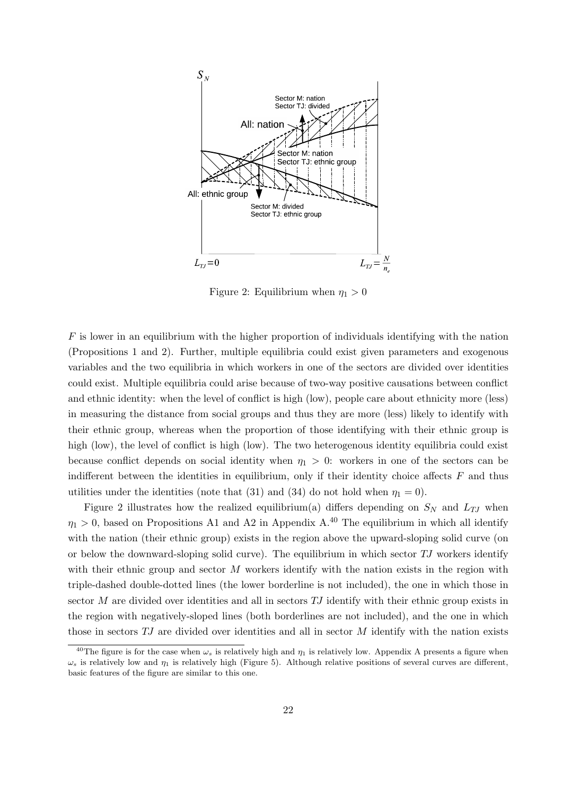

Figure 2: Equilibrium when  $\eta_1 > 0$ 

*F* is lower in an equilibrium with the higher proportion of individuals identifying with the nation (Propositions 1 and 2). Further, multiple equilibria could exist given parameters and exogenous variables and the two equilibria in which workers in one of the sectors are divided over identities could exist. Multiple equilibria could arise because of two-way positive causations between conflict and ethnic identity: when the level of conflict is high (low), people care about ethnicity more (less) in measuring the distance from social groups and thus they are more (less) likely to identify with their ethnic group, whereas when the proportion of those identifying with their ethnic group is high (low), the level of conflict is high (low). The two heterogenous identity equilibria could exist because conflict depends on social identity when  $\eta_1 > 0$ : workers in one of the sectors can be indifferent between the identities in equilibrium, only if their identity choice affects *F* and thus utilities under the identities (note that (31) and (34) do not hold when  $\eta_1 = 0$ ).

Figure 2 illustrates how the realized equilibrium(a) differs depending on  $S_N$  and  $L_{TJ}$  when  $\eta_1 > 0$ , based on Propositions A1 and A2 in Appendix A.<sup>40</sup> The equilibrium in which all identify with the nation (their ethnic group) exists in the region above the upward-sloping solid curve (on or below the downward-sloping solid curve). The equilibrium in which sector *TJ* workers identify with their ethnic group and sector M workers identify with the nation exists in the region with triple-dashed double-dotted lines (the lower borderline is not included), the one in which those in sector *M* are divided over identities and all in sectors *TJ* identify with their ethnic group exists in the region with negatively-sloped lines (both borderlines are not included), and the one in which those in sectors *TJ* are divided over identities and all in sector *M* identify with the nation exists

<sup>&</sup>lt;sup>40</sup>The figure is for the case when  $\omega_s$  is relatively high and  $\eta_1$  is relatively low. Appendix A presents a figure when  $\omega_s$  is relatively low and  $\eta_1$  is relatively high (Figure 5). Although relative positions of several curves are different, basic features of the figure are similar to this one.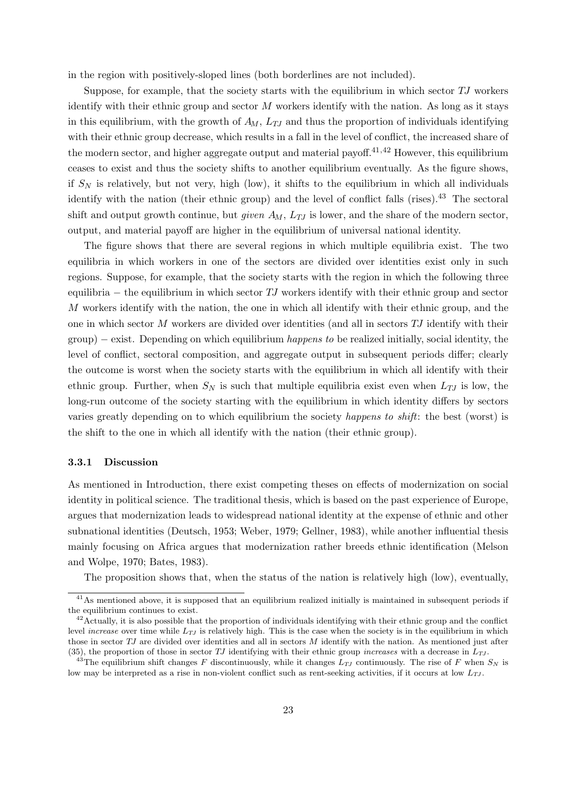in the region with positively-sloped lines (both borderlines are not included).

Suppose, for example, that the society starts with the equilibrium in which sector *TJ* workers identify with their ethnic group and sector *M* workers identify with the nation. As long as it stays in this equilibrium, with the growth of *AM*, *LTJ* and thus the proportion of individuals identifying with their ethnic group decrease, which results in a fall in the level of conflict, the increased share of the modern sector, and higher aggregate output and material payoff.41*,*<sup>42</sup> However, this equilibrium ceases to exist and thus the society shifts to another equilibrium eventually. As the figure shows, if  $S_N$  is relatively, but not very, high (low), it shifts to the equilibrium in which all individuals identify with the nation (their ethnic group) and the level of conflict falls (rises).<sup>43</sup> The sectoral shift and output growth continue, but *given AM*, *LTJ* is lower, and the share of the modern sector, output, and material payoff are higher in the equilibrium of universal national identity.

The figure shows that there are several regions in which multiple equilibria exist. The two equilibria in which workers in one of the sectors are divided over identities exist only in such regions. Suppose, for example, that the society starts with the region in which the following three equilibria *−* the equilibrium in which sector *TJ* workers identify with their ethnic group and sector *M* workers identify with the nation, the one in which all identify with their ethnic group, and the one in which sector *M* workers are divided over identities (and all in sectors *TJ* identify with their group) *−* exist. Depending on which equilibrium *happens to* be realized initially, social identity, the level of conflict, sectoral composition, and aggregate output in subsequent periods differ; clearly the outcome is worst when the society starts with the equilibrium in which all identify with their ethnic group. Further, when  $S_N$  is such that multiple equilibria exist even when  $L_{TJ}$  is low, the long-run outcome of the society starting with the equilibrium in which identity differs by sectors varies greatly depending on to which equilibrium the society *happens to shift*: the best (worst) is the shift to the one in which all identify with the nation (their ethnic group).

#### **3.3.1 Discussion**

As mentioned in Introduction, there exist competing theses on effects of modernization on social identity in political science. The traditional thesis, which is based on the past experience of Europe, argues that modernization leads to widespread national identity at the expense of ethnic and other subnational identities (Deutsch, 1953; Weber, 1979; Gellner, 1983), while another influential thesis mainly focusing on Africa argues that modernization rather breeds ethnic identification (Melson and Wolpe, 1970; Bates, 1983).

The proposition shows that, when the status of the nation is relatively high (low), eventually,

 $41$ As mentioned above, it is supposed that an equilibrium realized initially is maintained in subsequent periods if the equilibrium continues to exist.

 $42$ Actually, it is also possible that the proportion of individuals identifying with their ethnic group and the conflict level *increase* over time while  $L_{TI}$  is relatively high. This is the case when the society is in the equilibrium in which those in sector *TJ* are divided over identities and all in sectors *M* identify with the nation. As mentioned just after (35), the proportion of those in sector *TJ* identifying with their ethnic group *increases* with a decrease in  $L_{TJ}$ .

<sup>&</sup>lt;sup>43</sup>The equilibrium shift changes *F* discontinuously, while it changes  $L_{TJ}$  continuously. The rise of *F* when  $S_N$  is low may be interpreted as a rise in non-violent conflict such as rent-seeking activities, if it occurs at low  $L_{TJ}$ .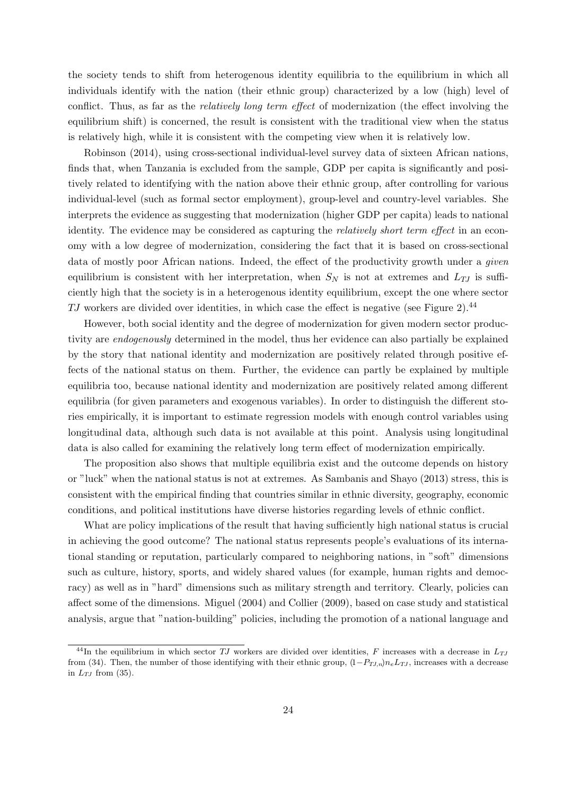the society tends to shift from heterogenous identity equilibria to the equilibrium in which all individuals identify with the nation (their ethnic group) characterized by a low (high) level of conflict. Thus, as far as the *relatively long term effect* of modernization (the effect involving the equilibrium shift) is concerned, the result is consistent with the traditional view when the status is relatively high, while it is consistent with the competing view when it is relatively low.

Robinson (2014), using cross-sectional individual-level survey data of sixteen African nations, finds that, when Tanzania is excluded from the sample, GDP per capita is significantly and positively related to identifying with the nation above their ethnic group, after controlling for various individual-level (such as formal sector employment), group-level and country-level variables. She interprets the evidence as suggesting that modernization (higher GDP per capita) leads to national identity. The evidence may be considered as capturing the *relatively short term effect* in an economy with a low degree of modernization, considering the fact that it is based on cross-sectional data of mostly poor African nations. Indeed, the effect of the productivity growth under a *given* equilibrium is consistent with her interpretation, when  $S_N$  is not at extremes and  $L_{TJ}$  is sufficiently high that the society is in a heterogenous identity equilibrium, except the one where sector *TJ* workers are divided over identities, in which case the effect is negative (see Figure 2).<sup>44</sup>

However, both social identity and the degree of modernization for given modern sector productivity are *endogenously* determined in the model, thus her evidence can also partially be explained by the story that national identity and modernization are positively related through positive effects of the national status on them. Further, the evidence can partly be explained by multiple equilibria too, because national identity and modernization are positively related among different equilibria (for given parameters and exogenous variables). In order to distinguish the different stories empirically, it is important to estimate regression models with enough control variables using longitudinal data, although such data is not available at this point. Analysis using longitudinal data is also called for examining the relatively long term effect of modernization empirically.

The proposition also shows that multiple equilibria exist and the outcome depends on history or "luck" when the national status is not at extremes. As Sambanis and Shayo (2013) stress, this is consistent with the empirical finding that countries similar in ethnic diversity, geography, economic conditions, and political institutions have diverse histories regarding levels of ethnic conflict.

What are policy implications of the result that having sufficiently high national status is crucial in achieving the good outcome? The national status represents people's evaluations of its international standing or reputation, particularly compared to neighboring nations, in "soft" dimensions such as culture, history, sports, and widely shared values (for example, human rights and democracy) as well as in "hard" dimensions such as military strength and territory. Clearly, policies can affect some of the dimensions. Miguel (2004) and Collier (2009), based on case study and statistical analysis, argue that "nation-building" policies, including the promotion of a national language and

 $^{44}$ In the equilibrium in which sector *TJ* workers are divided over identities, *F* increases with a decrease in  $L_{TJ}$ from (34). Then, the number of those identifying with their ethnic group, (1*−PTJ,n*)*neLTJ ,* increases with a decrease in  $L_{TJ}$  from (35).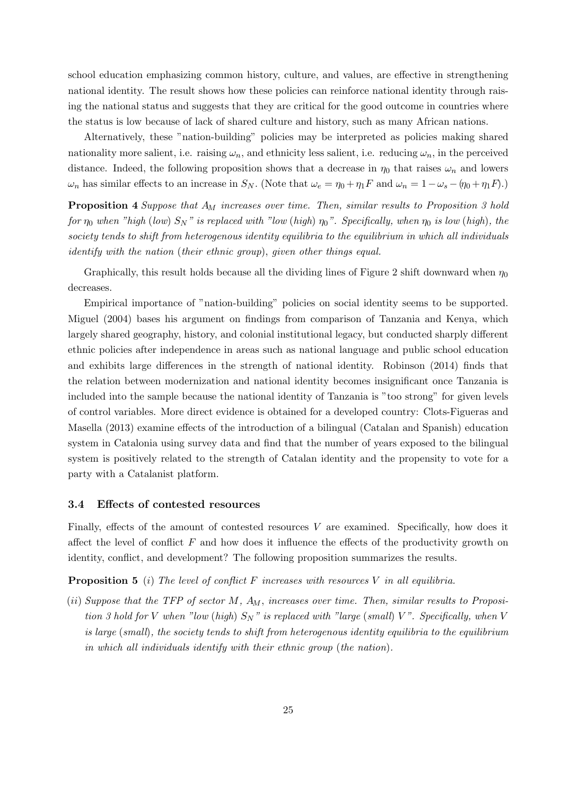school education emphasizing common history, culture, and values, are effective in strengthening national identity. The result shows how these policies can reinforce national identity through raising the national status and suggests that they are critical for the good outcome in countries where the status is low because of lack of shared culture and history, such as many African nations.

Alternatively, these "nation-building" policies may be interpreted as policies making shared nationality more salient, i.e. raising  $\omega_n$ , and ethnicity less salient, i.e. reducing  $\omega_n$ , in the perceived distance. Indeed, the following proposition shows that a decrease in  $\eta_0$  that raises  $\omega_n$  and lowers  $\omega_n$  has similar effects to an increase in  $S_N$ . (Note that  $\omega_e = \eta_0 + \eta_1 F$  and  $\omega_n = 1 - \omega_s - (\eta_0 + \eta_1 F)$ .)

**Proposition 4** *Suppose that A<sup>M</sup> increases over time. Then, similar results to Proposition 3 hold for η*<sup>0</sup> *when "high* (*low*) *S<sup>N</sup> " is replaced with "low* (*high*) *η*0*". Specifically, when η*<sup>0</sup> *is low* (*high*)*, the society tends to shift from heterogenous identity equilibria to the equilibrium in which all individuals identify with the nation* (*their ethnic group*)*, given other things equal.*

Graphically, this result holds because all the dividing lines of Figure 2 shift downward when  $\eta_0$ decreases.

Empirical importance of "nation-building" policies on social identity seems to be supported. Miguel (2004) bases his argument on findings from comparison of Tanzania and Kenya, which largely shared geography, history, and colonial institutional legacy, but conducted sharply different ethnic policies after independence in areas such as national language and public school education and exhibits large differences in the strength of national identity. Robinson (2014) finds that the relation between modernization and national identity becomes insignificant once Tanzania is included into the sample because the national identity of Tanzania is "too strong" for given levels of control variables. More direct evidence is obtained for a developed country: Clots-Figueras and Masella (2013) examine effects of the introduction of a bilingual (Catalan and Spanish) education system in Catalonia using survey data and find that the number of years exposed to the bilingual system is positively related to the strength of Catalan identity and the propensity to vote for a party with a Catalanist platform.

#### **3.4 Effects of contested resources**

Finally, effects of the amount of contested resources *V* are examined. Specifically, how does it affect the level of conflict F and how does it influence the effects of the productivity growth on identity, conflict, and development? The following proposition summarizes the results.

**Proposition 5** (*i*) *The level of conflict F increases with resources V in all equilibria.*

(*ii*) *Suppose that the TFP of sector M, AM, increases over time. Then, similar results to Proposition 3 hold for V when "low* (*high*) *S<sup>N</sup> " is replaced with "large* (*small*) *V ". Specifically, when V is large* (*small*)*, the society tends to shift from heterogenous identity equilibria to the equilibrium in which all individuals identify with their ethnic group* (*the nation*)*.*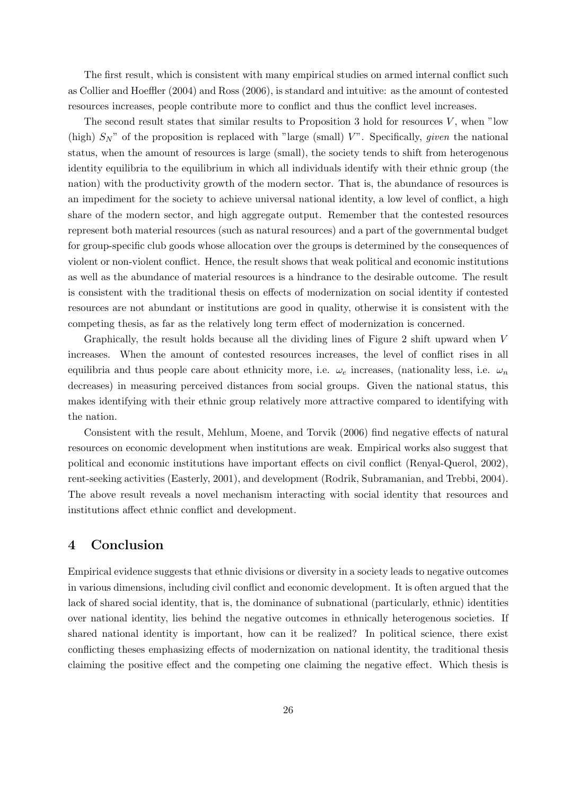The first result, which is consistent with many empirical studies on armed internal conflict such as Collier and Hoeffler (2004) and Ross (2006), is standard and intuitive: as the amount of contested resources increases, people contribute more to conflict and thus the conflict level increases.

The second result states that similar results to Proposition 3 hold for resources *V* , when "low (high)  $S_N$ " of the proposition is replaced with "large (small) *V*". Specifically, *given* the national status, when the amount of resources is large (small), the society tends to shift from heterogenous identity equilibria to the equilibrium in which all individuals identify with their ethnic group (the nation) with the productivity growth of the modern sector. That is, the abundance of resources is an impediment for the society to achieve universal national identity, a low level of conflict, a high share of the modern sector, and high aggregate output. Remember that the contested resources represent both material resources (such as natural resources) and a part of the governmental budget for group-specific club goods whose allocation over the groups is determined by the consequences of violent or non-violent conflict. Hence, the result shows that weak political and economic institutions as well as the abundance of material resources is a hindrance to the desirable outcome. The result is consistent with the traditional thesis on effects of modernization on social identity if contested resources are not abundant or institutions are good in quality, otherwise it is consistent with the competing thesis, as far as the relatively long term effect of modernization is concerned.

Graphically, the result holds because all the dividing lines of Figure 2 shift upward when *V* increases. When the amount of contested resources increases, the level of conflict rises in all equilibria and thus people care about ethnicity more, i.e.  $\omega_e$  increases, (nationality less, i.e.  $\omega_n$ decreases) in measuring perceived distances from social groups. Given the national status, this makes identifying with their ethnic group relatively more attractive compared to identifying with the nation.

Consistent with the result, Mehlum, Moene, and Torvik (2006) find negative effects of natural resources on economic development when institutions are weak. Empirical works also suggest that political and economic institutions have important effects on civil conflict (Renyal-Querol, 2002), rent-seeking activities (Easterly, 2001), and development (Rodrik, Subramanian, and Trebbi, 2004). The above result reveals a novel mechanism interacting with social identity that resources and institutions affect ethnic conflict and development.

### **4 Conclusion**

Empirical evidence suggests that ethnic divisions or diversity in a society leads to negative outcomes in various dimensions, including civil conflict and economic development. It is often argued that the lack of shared social identity, that is, the dominance of subnational (particularly, ethnic) identities over national identity, lies behind the negative outcomes in ethnically heterogenous societies. If shared national identity is important, how can it be realized? In political science, there exist conflicting theses emphasizing effects of modernization on national identity, the traditional thesis claiming the positive effect and the competing one claiming the negative effect. Which thesis is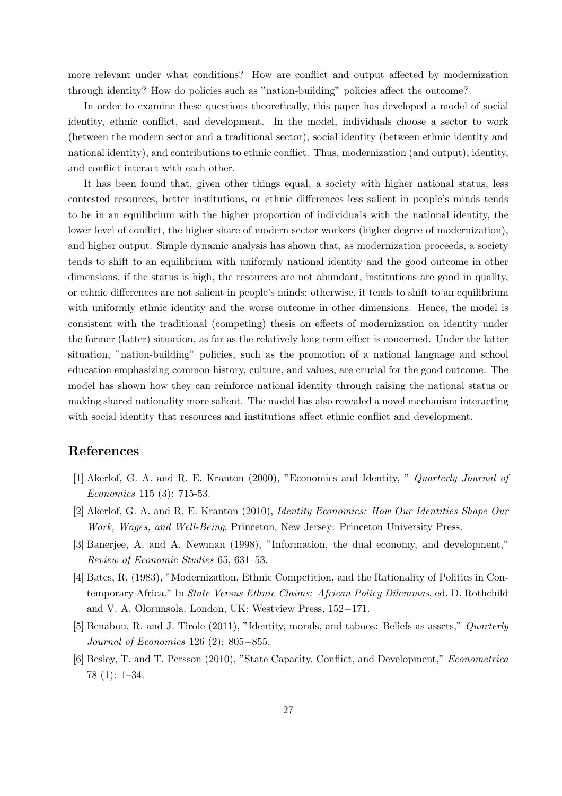more relevant under what conditions? How are conflict and output affected by modernization through identity? How do policies such as "nation-building" policies affect the outcome?

In order to examine these questions theoretically, this paper has developed a model of social identity, ethnic conflict, and development. In the model, individuals choose a sector to work (between the modern sector and a traditional sector), social identity (between ethnic identity and national identity), and contributions to ethnic conflict. Thus, modernization (and output), identity, and conflict interact with each other.

It has been found that, given other things equal, a society with higher national status, less contested resources, better institutions, or ethnic differences less salient in people's minds tends to be in an equilibrium with the higher proportion of individuals with the national identity, the lower level of conflict, the higher share of modern sector workers (higher degree of modernization), and higher output. Simple dynamic analysis has shown that, as modernization proceeds, a society tends to shift to an equilibrium with uniformly national identity and the good outcome in other dimensions, if the status is high, the resources are not abundant, institutions are good in quality, or ethnic differences are not salient in people's minds; otherwise, it tends to shift to an equilibrium with uniformly ethnic identity and the worse outcome in other dimensions. Hence, the model is consistent with the traditional (competing) thesis on effects of modernization on identity under the former (latter) situation, as far as the relatively long term effect is concerned. Under the latter situation, "nation-building" policies, such as the promotion of a national language and school education emphasizing common history, culture, and values, are crucial for the good outcome. The model has shown how they can reinforce national identity through raising the national status or making shared nationality more salient. The model has also revealed a novel mechanism interacting with social identity that resources and institutions affect ethnic conflict and development.

# **References**

- [1] Akerlof, G. A. and R. E. Kranton (2000), "Economics and Identity, " *Quarterly Journal of Economics* 115 (3): 715-53.
- [2] Akerlof, G. A. and R. E. Kranton (2010), *Identity Economics: How Our Identities Shape Our Work, Wages, and Well-Being*, Princeton, New Jersey: Princeton University Press.
- [3] Banerjee, A. and A. Newman (1998), "Information, the dual economy, and development," *Review of Economic Studies* 65, 631–53.
- [4] Bates, R. (1983), "Modernization, Ethnic Competition, and the Rationality of Politics in Contemporary Africa." In *State Versus Ethnic Claims: African Policy Dilemmas*, ed. D. Rothchild and V. A. Olorunsola. London, UK: Westview Press, 152*−*171.
- [5] Benabou, R. and J. Tirole (2011), "Identity, morals, and taboos: Beliefs as assets," *Quarterly Journal of Economics* 126 (2): 805*−*855.
- [6] Besley, T. and T. Persson (2010), "State Capacity, Conflict, and Development," *Econometrica* 78 (1): 1–34.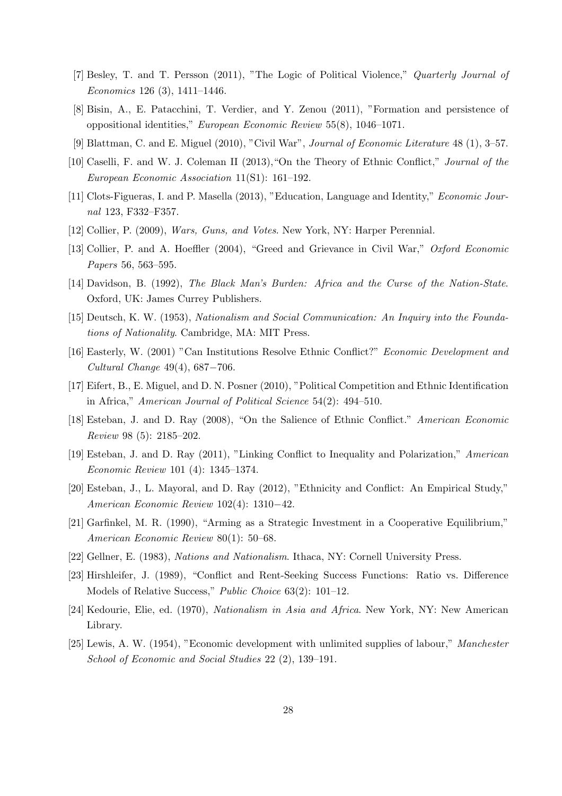- [7] Besley, T. and T. Persson (2011), "The Logic of Political Violence," *Quarterly Journal of Economics* 126 (3), 1411–1446.
- [8] Bisin, A., E. Patacchini, T. Verdier, and Y. Zenou (2011), "Formation and persistence of oppositional identities," *European Economic Review* 55(8), 1046–1071.
- [9] Blattman, C. and E. Miguel (2010), "Civil War", *Journal of Economic Literature* 48 (1), 3–57.
- [10] Caselli, F. and W. J. Coleman II (2013),"On the Theory of Ethnic Conflict," *Journal of the European Economic Association* 11(S1): 161–192.
- [11] Clots-Figueras, I. and P. Masella (2013), "Education, Language and Identity," *Economic Journal* 123, F332–F357.
- [12] Collier, P. (2009), *Wars, Guns, and Votes*. New York, NY: Harper Perennial.
- [13] Collier, P. and A. Hoeffler (2004), "Greed and Grievance in Civil War," *Oxford Economic Papers* 56, 563–595.
- [14] Davidson, B. (1992), *The Black Man's Burden: Africa and the Curse of the Nation-State*. Oxford, UK: James Currey Publishers.
- [15] Deutsch, K. W. (1953), *Nationalism and Social Communication: An Inquiry into the Foundations of Nationality*. Cambridge, MA: MIT Press.
- [16] Easterly, W. (2001) "Can Institutions Resolve Ethnic Conflict?" *Economic Development and Cultural Change* 49(4), 687*−*706.
- [17] Eifert, B., E. Miguel, and D. N. Posner (2010), "Political Competition and Ethnic Identification in Africa," *American Journal of Political Science* 54(2): 494–510.
- [18] Esteban, J. and D. Ray (2008), "On the Salience of Ethnic Conflict." *American Economic Review* 98 (5): 2185–202.
- [19] Esteban, J. and D. Ray (2011), "Linking Conflict to Inequality and Polarization," *American Economic Review* 101 (4): 1345–1374.
- [20] Esteban, J., L. Mayoral, and D. Ray (2012), "Ethnicity and Conflict: An Empirical Study," *American Economic Review* 102(4): 1310*−*42.
- [21] Garfinkel, M. R. (1990), "Arming as a Strategic Investment in a Cooperative Equilibrium," *American Economic Review* 80(1): 50–68.
- [22] Gellner, E. (1983), *Nations and Nationalism*. Ithaca, NY: Cornell University Press.
- [23] Hirshleifer, J. (1989), "Conflict and Rent-Seeking Success Functions: Ratio vs. Difference Models of Relative Success," *Public Choice* 63(2): 101–12.
- [24] Kedourie, Elie, ed. (1970), *Nationalism in Asia and Africa*. New York, NY: New American Library.
- [25] Lewis, A. W. (1954), "Economic development with unlimited supplies of labour," *Manchester School of Economic and Social Studies* 22 (2), 139–191.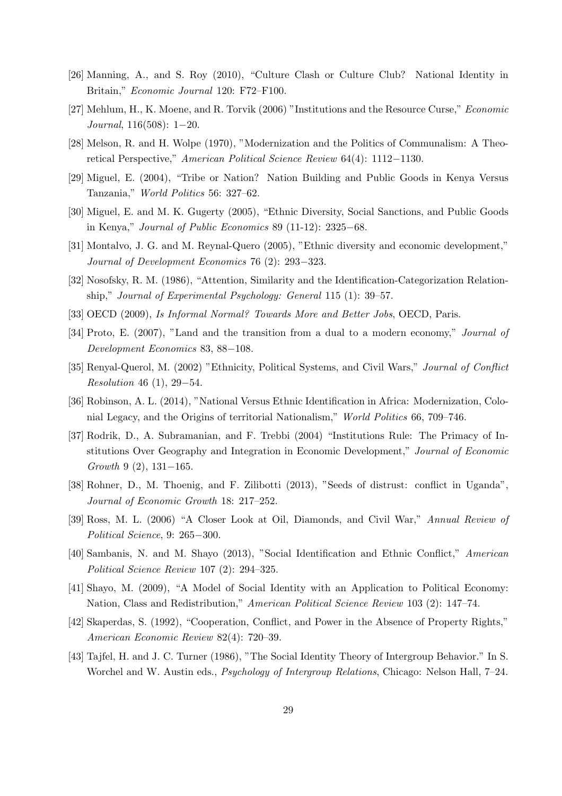- [26] Manning, A., and S. Roy (2010), "Culture Clash or Culture Club? National Identity in Britain," *Economic Journal* 120: F72–F100.
- [27] Mehlum, H., K. Moene, and R. Torvik (2006) "Institutions and the Resource Curse," *Economic Journal*, 116(508): 1*−*20.
- [28] Melson, R. and H. Wolpe (1970), "Modernization and the Politics of Communalism: A Theoretical Perspective," *American Political Science Review* 64(4): 1112*−*1130.
- [29] Miguel, E. (2004), "Tribe or Nation? Nation Building and Public Goods in Kenya Versus Tanzania," *World Politics* 56: 327–62.
- [30] Miguel, E. and M. K. Gugerty (2005), "Ethnic Diversity, Social Sanctions, and Public Goods in Kenya," *Journal of Public Economics* 89 (11-12): 2325*−*68.
- [31] Montalvo, J. G. and M. Reynal-Quero (2005), "Ethnic diversity and economic development," *Journal of Development Economics* 76 (2): 293*−*323.
- [32] Nosofsky, R. M. (1986), "Attention, Similarity and the Identification-Categorization Relationship," *Journal of Experimental Psychology: General* 115 (1): 39–57.
- [33] OECD (2009), *Is Informal Normal? Towards More and Better Jobs*, OECD, Paris.
- [34] Proto, E. (2007), "Land and the transition from a dual to a modern economy," *Journal of Development Economics* 83, 88*−*108.
- [35] Renyal-Querol, M. (2002) "Ethnicity, Political Systems, and Civil Wars," *Journal of Conflict Resolution* 46 (1), 29*−*54.
- [36] Robinson, A. L. (2014), "National Versus Ethnic Identification in Africa: Modernization, Colonial Legacy, and the Origins of territorial Nationalism," *World Politics* 66, 709–746.
- [37] Rodrik, D., A. Subramanian, and F. Trebbi (2004) "Institutions Rule: The Primacy of Institutions Over Geography and Integration in Economic Development," *Journal of Economic Growth* 9 (2), 131*−*165.
- [38] Rohner, D., M. Thoenig, and F. Zilibotti (2013), "Seeds of distrust: conflict in Uganda", *Journal of Economic Growth* 18: 217–252.
- [39] Ross, M. L. (2006) "A Closer Look at Oil, Diamonds, and Civil War," *Annual Review of Political Science*, 9: 265*−*300.
- [40] Sambanis, N. and M. Shayo (2013), "Social Identification and Ethnic Conflict," *American Political Science Review* 107 (2): 294–325.
- [41] Shayo, M. (2009), "A Model of Social Identity with an Application to Political Economy: Nation, Class and Redistribution," *American Political Science Review* 103 (2): 147–74.
- [42] Skaperdas, S. (1992), "Cooperation, Conflict, and Power in the Absence of Property Rights," *American Economic Review* 82(4): 720–39.
- [43] Tajfel, H. and J. C. Turner (1986), "The Social Identity Theory of Intergroup Behavior." In S. Worchel and W. Austin eds., *Psychology of Intergroup Relations*, Chicago: Nelson Hall, 7–24.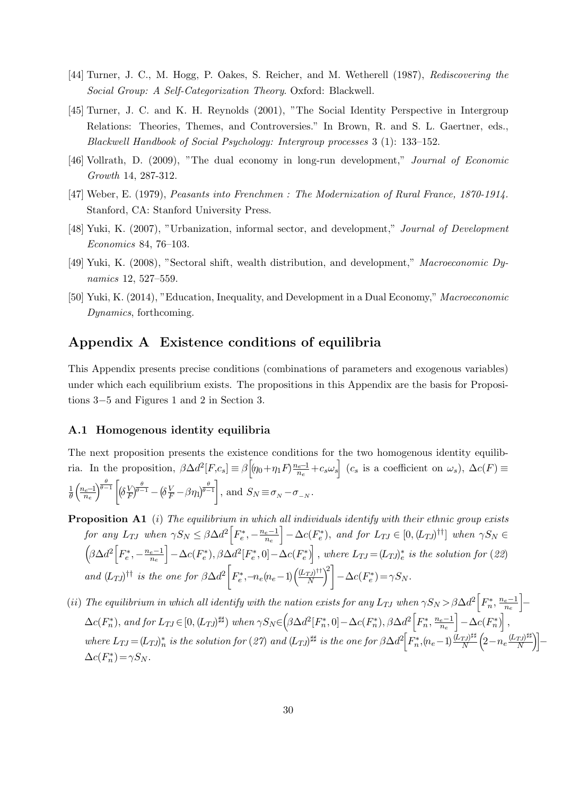- [44] Turner, J. C., M. Hogg, P. Oakes, S. Reicher, and M. Wetherell (1987), *Rediscovering the Social Group: A Self-Categorization Theory*. Oxford: Blackwell.
- [45] Turner, J. C. and K. H. Reynolds (2001), "The Social Identity Perspective in Intergroup Relations: Theories, Themes, and Controversies." In Brown, R. and S. L. Gaertner, eds., *Blackwell Handbook of Social Psychology: Intergroup processes* 3 (1): 133–152.
- [46] Vollrath, D. (2009), "The dual economy in long-run development," *Journal of Economic Growth* 14, 287-312.
- [47] Weber, E. (1979), *Peasants into Frenchmen : The Modernization of Rural France, 1870-1914.* Stanford, CA: Stanford University Press.
- [48] Yuki, K. (2007), "Urbanization, informal sector, and development," *Journal of Development Economics* 84, 76–103.
- [49] Yuki, K. (2008), "Sectoral shift, wealth distribution, and development," *Macroeconomic Dynamics* 12, 527–559.
- [50] Yuki, K. (2014), "Education, Inequality, and Development in a Dual Economy," *Macroeconomic Dynamics*, forthcoming.

# **Appendix A Existence conditions of equilibria**

This Appendix presents precise conditions (combinations of parameters and exogenous variables) under which each equilibrium exists. The propositions in this Appendix are the basis for Propositions 3*−*5 and Figures 1 and 2 in Section 3.

### **A.1 Homogenous identity equilibria**

The next proposition presents the existence conditions for the two homogenous identity equilibria. In the proposition,  $\beta \Delta d^2[F,c_s] \equiv \beta \left[ (\eta_0 + \eta_1 F) \frac{n_e - 1}{n_e} + c_s \omega_s \right]$  (*c<sub>s</sub>* is a coefficient on  $\omega_s$ ),  $\Delta c(F) \equiv$ 1  $\frac{1}{\theta}\left(\frac{n_{e}-1}{n_{e}}\right)^{\frac{\theta}{\theta}-1}\left[\left(\delta\frac{V}{F}\right)\right]$  $\left[\frac{V}{F}\right]^{\frac{\theta}{\theta-1}} - \left(\delta \frac{V}{F} - \beta \eta_1\right]^{\frac{\theta}{\theta-1}}\right]$ , and  $S_N \equiv \sigma_N - \sigma_{-N}$ .

- **Proposition A1** (*i*) *The equilibrium in which all individuals identify with their ethnic group exists* for any  $L_{TJ}$  when  $\gamma S_N \leq \beta \Delta d^2 \left[ F_e^*, -\frac{n_e-1}{n_e} \right] - \Delta c(F_e^*),$  and for  $L_{TJ} \in [0, (L_{TJ})^{\dagger \dagger}]$  when  $\gamma S_N \in$  $\left(\beta\Delta d^2\Big[F_e^*,-\frac{n_e-1}{n_e}\Big]-\Delta c(F_e^*),\beta\Delta d^2[F_e^*,0]-\Delta c(F_e^*)\right]$ , where  $L_{TJ}=(L_{TJ})_e^*$  is the solution for (22) *and*  $(L_{TJ})^{\dagger\dagger}$  *is the one for*  $\beta \Delta d^2 \left[ F_e^* , -n_e (n_e-1) \left( \frac{(L_{TJ})^{\dagger\dagger}}{N} \right) \right]$  $\left[\frac{L}{N}\right]^{\dagger\dagger}\right)^{2}$  $-\Delta c(F_{e}^{*}) = \gamma S_{N}$ .
- (ii) The equilibrium in which all identify with the nation exists for any  $L_{TJ}$  when  $\gamma S_N > \beta \Delta d^2 \left[ F_n^*, \frac{n_e-1}{n_e} \right]$  $\Delta c(F_n^*)$ , and for  $L_{TJ} \in [0,(L_{TJ})^{\sharp\sharp})$  when  $\gamma S_N \in (\beta \Delta d^2[F_n^*,0]-\Delta c(F_n^*),\beta \Delta d^2\left[F_n^*,\frac{n_e-1}{n_e}\right]-\Delta c(F_n^*)$ , where  $L_{TJ} = (L_{TJ})_n^*$  is the solution for (27) and  $(L_{TJ})^{\sharp\sharp}$  is the one for  $\beta \Delta d^2 \Big[ F_n^*, (n_e - 1) \frac{(L_{TJ})^{\sharp\sharp}}{N}$ *N* ( 2*−n<sup>e</sup>* (*LTJ*) *♯♯*  $\binom{L}{N}^{\sharp\sharp}$  ) –  $\Delta c(F_n^*) = \gamma S_N$ .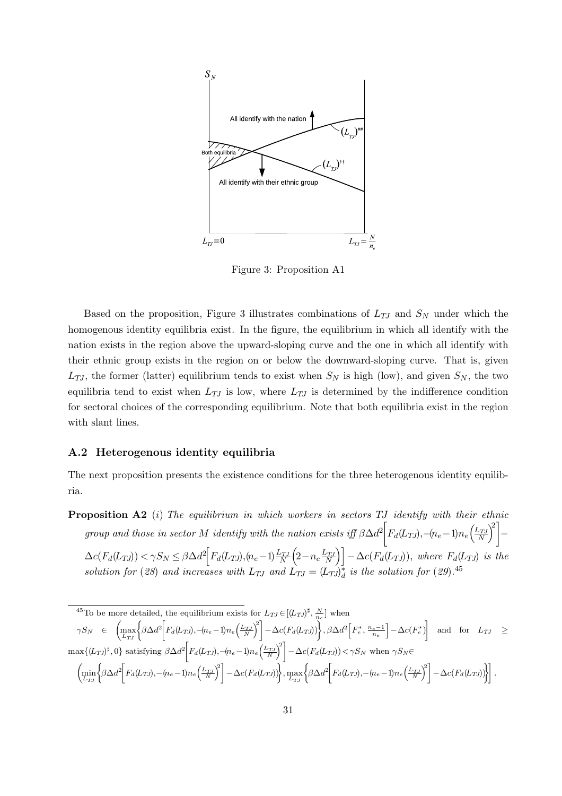

Figure 3: Proposition A1

Based on the proposition, Figure 3 illustrates combinations of *LTJ* and *S<sup>N</sup>* under which the homogenous identity equilibria exist. In the figure, the equilibrium in which all identify with the nation exists in the region above the upward-sloping curve and the one in which all identify with their ethnic group exists in the region on or below the downward-sloping curve. That is, given  $L_{TJ}$ , the former (latter) equilibrium tends to exist when  $S_N$  is high (low), and given  $S_N$ , the two equilibria tend to exist when  $L_{TJ}$  is low, where  $L_{TJ}$  is determined by the indifference condition for sectoral choices of the corresponding equilibrium. Note that both equilibria exist in the region with slant lines.

### **A.2 Heterogenous identity equilibria**

The next proposition presents the existence conditions for the three heterogenous identity equilibria.

**Proposition A2** (*i*) *The equilibrium in which workers in sectors TJ identify with their ethnic* group and those in sector M identify with the nation exists iff  $\beta\Delta d^2\Big[F_d(L_{TJ}),-(n_e-1)n_e\Big(\frac{L_{TJ}}{N}\Big)^2\Big] \Delta c(F_d(L_{TJ})) < \gamma S_N \leq \beta \Delta d^2 \Big[ F_d(L_{TJ}), (n_e-1) \frac{L_{TJ}}{N} \Big(2-n_e\frac{L_{TJ}}{N}\Big) \Big] - \Delta c(F_d(L_{TJ}))$ , where  $F_d(L_{TJ})$  is the *solution for* (*28*) *and increases with*  $L_{TJ}$  *and*  $L_{TJ} = (L_{TJ})^*_{d}$  *is the solution for* (*29*).<sup>45</sup>

$$
{}^{45}\text{To be more detailed, the equilibrium exists for } L_{TJ} \in [(L_{TJ})^{\sharp}, \frac{N}{n_e}] \text{ when}
$$
\n
$$
\gamma S_N \in \left( \max_{L_{TJ}} \left\{ \beta \Delta d^2 \bigg[ F_d(L_{TJ}), -(n_e - 1) n_e \bigg( \frac{L_{TJ}}{N} \bigg)^2 \bigg] - \Delta c (F_d(L_{TJ})) \right\}, \beta \Delta d^2 \bigg[ F_e^*, \frac{n_e - 1}{n_e} \bigg] - \Delta c (F_e^*) \right] \text{ and for } L_{TJ} \geq \max\{ (L_{TJ})^{\sharp}, 0 \} \text{ satisfying } \beta \Delta d^2 \bigg[ F_d(L_{TJ}), -(n_e - 1) n_e \bigg( \frac{L_{TJ}}{N} \bigg)^2 \bigg] - \Delta c (F_d(L_{TJ})) < \gamma S_N \text{ when } \gamma S_N \in \left( \min_{L_{TJ}} \left\{ \beta \Delta d^2 \bigg[ F_d(L_{TJ}), -(n_e - 1) n_e \bigg( \frac{L_{TJ}}{N} \bigg)^2 \bigg] - \Delta c (F_d(L_{TJ})) \right\}, \max_{L_{TJ}} \left\{ \beta \Delta d^2 \bigg[ F_d(L_{TJ}), -(n_e - 1) n_e \bigg( \frac{L_{TJ}}{N} \bigg)^2 \bigg] - \Delta c (F_d(L_{TJ})) \right\}.
$$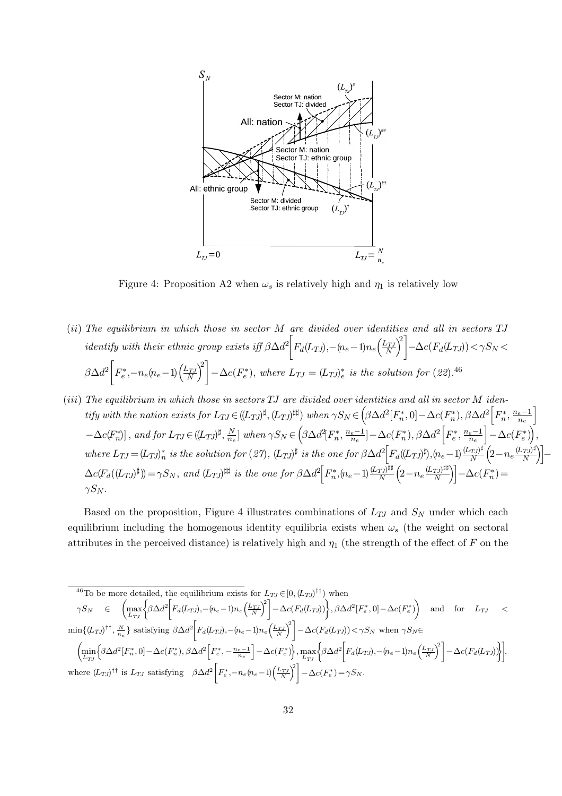

Figure 4: Proposition A2 when  $\omega_s$  is relatively high and  $\eta_1$  is relatively low

- (*ii*) *The equilibrium in which those in sector M are divided over identities and all in sectors TJ* identify with their ethnic group exists iff  $\beta \Delta d^2\Bigl[ F_d(L_{TJ}), -(n_e-1) n_e \Bigl(\frac{L_{TJ}}{N}\Bigr)^2 \Bigr] - \Delta c(F_d(L_{TJ})) < \gamma S_N <$  $\beta \Delta d^2 \left[ F_e^* , -n_e(n_e-1) \Big(\frac{L_{TI}}{N}\Big)^{\!2} \right] - \Delta c(F_e^*) ,$  where  $L_{TI} = (L_{TI})_e^*$  is the solution for (22).<sup>46</sup>
- (*iii*) *The equilibrium in which those in sectors TJ are divided over identities and all in sector M iden*tify with the nation exists for  $L_{TJ} \in ((L_{TJ})^{\sharp}, (L_{TJ})^{\sharp \sharp})$  when  $\gamma S_N \in (\beta \Delta d^2[F_n^*, 0] - \Delta c(F_n^*), \beta \Delta d^2 \left[ F_n^*, \frac{n_e - 1}{n_e} \right]$  $-\Delta c(F_n^*)$ ], and for  $L_{TJ} \in ((L_{TJ})^{\sharp}, \frac{N}{n_e})$  $\frac{N}{n_e}$ ] when  $\gamma S_N \in (\beta \Delta d^2 [F_n^*, \frac{n_e-1}{n_e}]-\Delta c(F_n^*), \beta \Delta d^2 \Big[F_e^*, \frac{n_e-1}{n_e}-\Delta c(F_e^*)\Big],$ where  $L_{TJ} = (L_{TJ})_n^*$  is the solution for (27),  $(L_{TJ})^{\sharp}$  is the one for  $\beta \Delta d^2 \Big[ F_d((L_{TJ})^{\sharp})$ ,  $(n_e-1) \frac{(L_{TJ})^{\sharp}}{N}$  $\frac{(T J)^\sharp}{N} \Big( 2 - n_e \frac{(L_{T J})^\sharp}{N}$  $\binom{TJ}{}^{#}$  $\Delta c(F_d((L_{IJ})^{\sharp})) = \gamma S_N$ , and  $(L_{IJ})^{\sharp\sharp}$  is the one for  $\beta \Delta d^2 \Big[ F_n^* , (n_e - 1) \frac{(L_{IJ})^{\sharp\sharp}}{N}$  $\frac{(L_T J)^{\sharp\sharp}}{N}$   $\left(2-n_e\frac{(L_{TJ})^{\sharp\sharp}}{N}\right)$  $\left[\frac{L(T)^{\sharp\sharp}}{N}\right]\left[-\Delta c(F_{n}^{*})\right]=$  $\gamma S_N$ *.*

Based on the proposition, Figure 4 illustrates combinations of  $L_{TJ}$  and  $S_N$  under which each equilibrium including the homogenous identity equilibria exists when  $\omega_s$  (the weight on sectoral attributes in the perceived distance) is relatively high and  $\eta_1$  (the strength of the effect of *F* on the

$$
{}^{46}\text{To be more detailed, the equilibrium exists for } L_{TJ} \in [0, (L_{TJ})^{\dagger\dagger}) \text{ when}
$$
\n
$$
\gamma S_N \in \left( \max_{L_{TJ}} \left\{ \beta \Delta d^2 \Big[ F_d(L_{TJ}), -(n_e - 1)n_e \Big( \frac{L_{TJ}}{N} \Big)^2 \Big] - \Delta c (F_d(L_{TJ})) \right\}, \beta \Delta d^2 [F_e^*, 0] - \Delta c (F_e^*) \right) \text{ and for } L_{TJ} \n\min \{ (L_{TJ})^{\dagger\dagger}, \frac{N}{n_e} \} \text{ satisfying } \beta \Delta d^2 \Big[ F_d(L_{TJ}), -(n_e - 1)n_e \Big( \frac{L_{TJ}}{N} \Big)^2 \Big] - \Delta c (F_d(L_{TJ})) < \gamma S_N \text{ when } \gamma S_N \in
$$
\n
$$
\left( \min_{L_{TJ}} \left\{ \beta \Delta d^2 [F_n^*, 0] - \Delta c (F_n^*), \beta \Delta d^2 \Big[ F_e^*, -\frac{n_e - 1}{n_e} \Big] - \Delta c (F_e^*) \right\}, \max_{L_{TJ}} \left\{ \beta \Delta d^2 \Big[ F_d(L_{TJ}), -(n_e - 1)n_e \Big( \frac{L_{TJ}}{N} \Big)^2 \Big] - \Delta c (F_d(L_{TJ})) \right\},
$$
\nwhere  $(L_{TJ})^{\dagger\dagger}$  is  $L_{TJ}$  satisfying  $\beta \Delta d^2 \Big[ F_e^*, -n_e(n_e - 1) \Big( \frac{L_{TJ}}{N} \Big)^2 \Big] - \Delta c (F_e^*) = \gamma S_N.$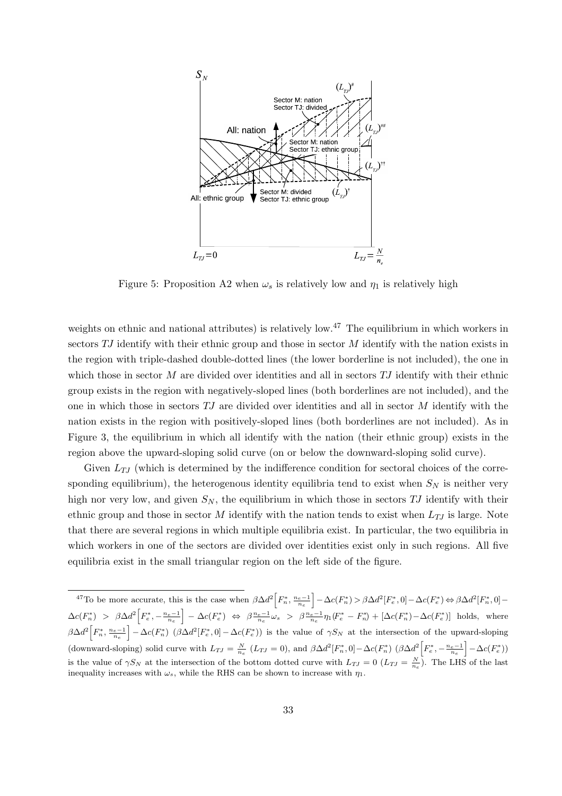

Figure 5: Proposition A2 when  $\omega_s$  is relatively low and  $\eta_1$  is relatively high

weights on ethnic and national attributes) is relatively low.<sup>47</sup> The equilibrium in which workers in sectors *TJ* identify with their ethnic group and those in sector *M* identify with the nation exists in the region with triple-dashed double-dotted lines (the lower borderline is not included), the one in which those in sector *M* are divided over identities and all in sectors *TJ* identify with their ethnic group exists in the region with negatively-sloped lines (both borderlines are not included), and the one in which those in sectors *TJ* are divided over identities and all in sector *M* identify with the nation exists in the region with positively-sloped lines (both borderlines are not included). As in Figure 3, the equilibrium in which all identify with the nation (their ethnic group) exists in the region above the upward-sloping solid curve (on or below the downward-sloping solid curve).

Given  $L_{TJ}$  (which is determined by the indifference condition for sectoral choices of the corresponding equilibrium), the heterogenous identity equilibria tend to exist when  $S_N$  is neither very high nor very low, and given  $S_N$ , the equilibrium in which those in sectors  $TJ$  identify with their ethnic group and those in sector *M* identify with the nation tends to exist when  $L_{TI}$  is large. Note that there are several regions in which multiple equilibria exist. In particular, the two equilibria in which workers in one of the sectors are divided over identities exist only in such regions. All five equilibria exist in the small triangular region on the left side of the figure.

<sup>&</sup>lt;sup>47</sup>To be more accurate, this is the case when  $\beta \Delta d^2 \left[ F_n^*, \frac{n_e - 1}{n_e} \right]$  $\Big]-\Delta c(F_n^*)>\beta \Delta d^2 [F_e^*,0]-\Delta c(F_e^*)\Leftrightarrow \beta \Delta d^2 [F_n^*,0] \Delta c(F_n^*)$  >  $\beta \Delta d^2 \left[ F_e^* , - \frac{n_e - 1}{n_e} \right]$  $\Big] - \Delta c(F_e^*) \Leftrightarrow \beta \frac{n_e - 1}{n_e} \omega_s > \beta \frac{n_e - 1}{n_e} \eta_1(F_e^* - F_n^*) + [\Delta c(F_n^*) - \Delta c(F_e^*)]$  holds, where  $\beta \Delta d^2 \left[ F_n^*, \frac{n_e - 1}{n_e} \right]$  $\Big[-\Delta c(F_n^*)\ (\beta \Delta d^2[F_e^*,0] - \Delta c(F_e^*))\Big]$  is the value of  $\gamma S_N$  at the intersection of the upward-sloping (downward-sloping) solid curve with  $L_{TJ} = \frac{N}{n_e} (L_{TJ} = 0)$ , and  $\beta \Delta d^2 [F_n^*, 0] - \Delta c (F_n^*) (\beta \Delta d^2 [F_e^*, -\frac{n_e-1}{n_e})]$  $-\Delta c(F_e^*))$ is the value of  $\gamma S_N$  at the intersection of the bottom dotted curve with  $L_{TJ} = 0$  ( $L_{TJ} = \frac{N}{n_e}$ ). The LHS of the last inequality increases with  $\omega_s$ , while the RHS can be shown to increase with  $\eta_1$ .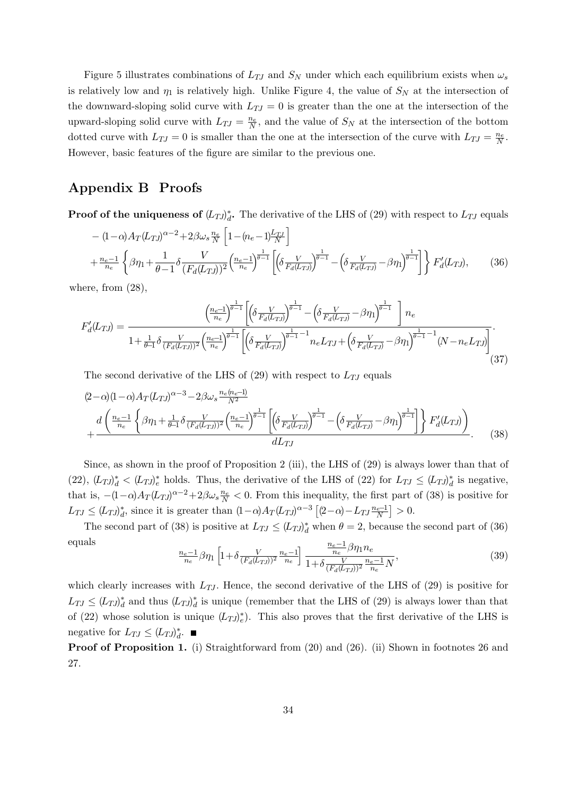Figure 5 illustrates combinations of  $L_{TJ}$  and  $S_N$  under which each equilibrium exists when  $\omega_s$ is relatively low and  $\eta_1$  is relatively high. Unlike Figure 4, the value of  $S_N$  at the intersection of the downward-sloping solid curve with  $L_{TJ} = 0$  is greater than the one at the intersection of the upward-sloping solid curve with  $L_{TJ} = \frac{n_e}{N}$ , and the value of  $S_N$  at the intersection of the bottom dotted curve with  $L_{TJ} = 0$  is smaller than the one at the intersection of the curve with  $L_{TJ} = \frac{n_e}{N}$ . However, basic features of the figure are similar to the previous one.

# **Appendix B Proofs**

**Proof of the uniqueness of**  $(L_{TJ})_{d}^{*}$ . The derivative of the LHS of (29) with respect to  $L_{TJ}$  equals

$$
- (1 - \alpha) A_T (L_{TJ})^{\alpha - 2} + 2\beta \omega_s \frac{n_e}{N} \left[ 1 - (n_e - 1) \frac{L_{TJ}}{N} \right] + \frac{n_e - 1}{n_e} \left\{ \beta \eta_1 + \frac{1}{\theta - 1} \delta \frac{V}{(F_d (L_{TJ}))^2} \left( \frac{n_e - 1}{n_e} \right)^{\frac{1}{\theta - 1}} \left[ \left( \delta \frac{V}{F_d (L_{TJ})} \right)^{\frac{1}{\theta - 1}} - \left( \delta \frac{V}{F_d (L_{TJ})} - \beta \eta_1 \right)^{\frac{1}{\theta - 1}} \right] \right\} F'_d(L_{TJ}), \tag{36}
$$

where, from (28),

$$
F'_{d}(L_{TJ}) = \frac{\left(\frac{n_{e}-1}{n_{e}}\right)^{\frac{1}{\theta-1}} \left[\left(\delta \frac{V}{F_{d}(L_{TJ})}\right)^{\frac{1}{\theta-1}} - \left(\delta \frac{V}{F_{d}(L_{TJ})} - \beta \eta_{1}\right)^{\frac{1}{\theta-1}}\right] n_{e}}{1 + \frac{1}{\theta-1} \delta \frac{V}{(F_{d}(L_{TJ}))^{2}} \left(\frac{n_{e}-1}{n_{e}}\right)^{\frac{1}{\theta-1}} \left[\left(\delta \frac{V}{F_{d}(L_{TJ})}\right)^{\frac{1}{\theta-1}-1} n_{e} L_{TJ} + \left(\delta \frac{V}{F_{d}(L_{TJ})} - \beta \eta_{1}\right)^{\frac{1}{\theta-1}-1} (N - n_{e} L_{TJ})\right]} (37)
$$

The second derivative of the LHS of  $(29)$  with respect to  $L_{TJ}$  equals

$$
(2-\alpha)(1-\alpha)A_T(L_{TJ})^{\alpha-3} - 2\beta\omega_s \frac{n_e(n_e-1)}{N^2}
$$

$$
+ \frac{d\left(\frac{n_e-1}{n_e}\left\{\beta\eta_1 + \frac{1}{\theta-1}\delta\frac{V}{(F_d(L_{TJ}))^2}\left(\frac{n_e-1}{n_e}\right)^{\overline{\theta-1}}\left[\left(\delta\frac{V}{F_d(L_{TJ})}\right)^{\overline{\theta-1}} - \left(\delta\frac{V}{F_d(L_{TJ})} - \beta\eta_1\right)^{\overline{\theta-1}}\right]\right\}F_d'(L_{TJ})}{dL_{TJ}}.
$$
(38)

Since, as shown in the proof of Proposition 2 (iii), the LHS of (29) is always lower than that of  $(22)$ ,  $(L_{TJ})^*_{d} < (L_{TJ})^*_{e}$  holds. Thus, the derivative of the LHS of (22) for  $L_{TJ} \leq (L_{TJ})^*_{d}$  is negative, that is,  $-(1-\alpha)A_T(L_T J)^{\alpha-2}+2\beta\omega_s\frac{n_e}{N}<0$ . From this inequality, the first part of (38) is positive for  $L_{TJ} \leq (L_{TJ})^*_{d}$ , since it is greater than  $(1-\alpha)A_T(L_{TJ})^{\alpha-3}\left[ (2-\alpha) - L_{TJ}\frac{n_e-1}{N} \right] > 0$ .

The second part of (38) is positive at  $L_{TJ} \leq (L_{TJ})^*_{d}$  when  $\theta = 2$ , because the second part of (36) equals  $n_e-1$   $\alpha$ 

$$
\frac{n_e - 1}{n_e} \beta \eta_1 \left[ 1 + \delta \frac{V}{(F_d(L_{TJ}))^2} \frac{n_e - 1}{n_e} \right] \frac{\frac{n_e - 1}{n_e} \beta \eta_1 n_e}{1 + \delta \frac{V}{(F_d(L_{TJ}))^2} \frac{n_e - 1}{n_e} N},\tag{39}
$$

which clearly increases with  $L_{TJ}$ . Hence, the second derivative of the LHS of  $(29)$  is positive for  $L_{TJ} \leq (L_{TJ})^*_{d}$  and thus  $(L_{TJ})^*_{d}$  is unique (remember that the LHS of (29) is always lower than that of (22) whose solution is unique  $(L_{TJ})_e^*$ ). This also proves that the first derivative of the LHS is negative for  $L_{TJ} \leq (L_{TJ})^*_{d}$ .

**Proof of Proposition 1.** (i) Straightforward from (20) and (26). (ii) Shown in footnotes 26 and 27.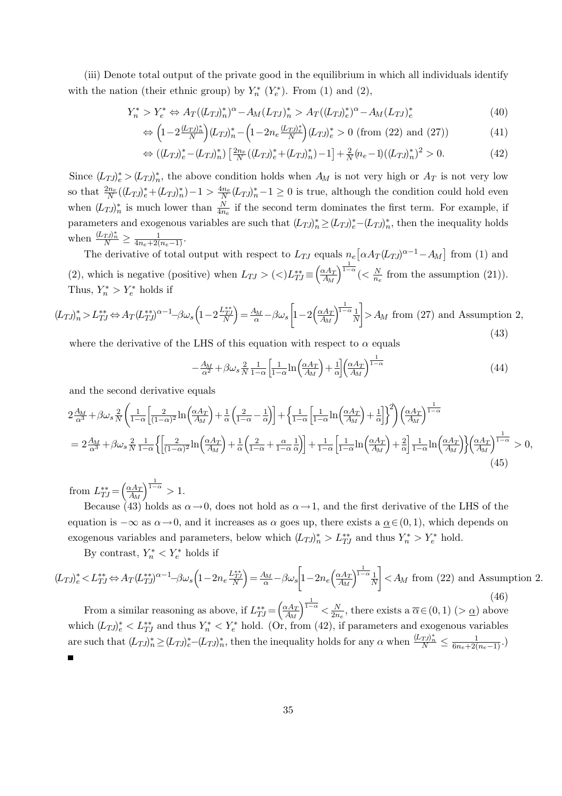(iii) Denote total output of the private good in the equilibrium in which all individuals identify with the nation (their ethnic group) by  $Y_n^*$  ( $Y_e^*$ ). From (1) and (2),

$$
Y_n^* > Y_e^* \Leftrightarrow A_T((L_{TJ})_n^*)^{\alpha} - A_M(L_{TJ})_n^* > A_T((L_{TJ})_e^*)^{\alpha} - A_M(L_{TJ})_e^* \tag{40}
$$

$$
\Leftrightarrow \left(1 - 2\frac{(L_{TJ})_n^*}{N}\right)(L_{TJ})_n^* - \left(1 - 2n_e \frac{(L_{TJ})_e^*}{N}\right)(L_{TJ})_e^* > 0 \text{ (from (22) and (27))} \tag{41}
$$

$$
\Leftrightarrow ((L_{TJ})_e^* - (L_{TJ})_n^*) \left[ \frac{2n_e}{N} ((L_{TJ})_e^* + (L_{TJ})_n^*) - 1 \right] + \frac{2}{N} (n_e - 1) ((L_{TJ})_n^*)^2 > 0. \tag{42}
$$

Since  $(L_T)^*$   $\geq$   $(L_T)^*$ , the above condition holds when  $A_M$  is not very high or  $A_T$  is not very low so that  $\frac{2n_e}{N}((L_{TJ})_e^* + (L_{TJ})_n^*) - 1 > \frac{4n_e}{N}(L_{TJ})_n^* - 1 \ge 0$  is true, although the condition could hold even when  $(L_{TJ})^*_{n}$  is much lower than  $\frac{N}{4n_e}$  if the second term dominates the first term. For example, if parameters and exogenous variables are such that  $(L_{TJ})_n^* \ge (L_{TJ})_e^* - (L_{TJ})_n^*$ , then the inequality holds when  $\frac{(L_{TJ})_n^*}{N} \geq \frac{1}{4n_e+2(n_e-1)}$ .

The derivative of total output with respect to  $L_{TJ}$  equals  $n_e \left[ \alpha A_T (L_{TJ})^{\alpha - 1} - A_M \right]$  from (1) and (2), which is negative (positive) when  $L_{TJ} > (<) L_{TJ}^{**} \equiv \left(\frac{\alpha A_T}{A_M}\right)$ *A<sup>M</sup>*  $\int_0^{\frac{1}{1-\alpha}}$  (<  $\frac{N}{n}$  $\frac{N}{n_e}$  from the assumption (21)). Thus,  $Y_n^* > Y_e^*$  holds if

$$
(L_{TJ})_n^* > L_{TJ}^{**} \Leftrightarrow A_T (L_{TJ}^{**})^{\alpha - 1} - \beta \omega_s \left( 1 - 2\frac{L_{TJ}^{**}}{N} \right) = \frac{A_M}{\alpha} - \beta \omega_s \left[ 1 - 2\left(\frac{\alpha A_T}{A_M}\right)^{\frac{1}{1 - \alpha}} \frac{1}{N} \right] > A_M \text{ from (27) and Assumption 2,}
$$
\n
$$
(43)
$$

where the derivative of the LHS of this equation with respect to  $\alpha$  equals

$$
-\frac{A_M}{\alpha^2} + \beta \omega_s \frac{2}{N} \frac{1}{1-\alpha} \left[ \frac{1}{1-\alpha} \ln \left( \frac{\alpha A_T}{A_M} \right) + \frac{1}{\alpha} \right] \left( \frac{\alpha A_T}{A_M} \right)^{\frac{1}{1-\alpha}}
$$
(44)

and the second derivative equals

$$
2\frac{A_M}{\alpha^3} + \beta\omega_s \frac{2}{N} \left( \frac{1}{1-\alpha} \left[ \frac{2}{(1-\alpha)^2} \ln\left(\frac{\alpha A_T}{A_M}\right) + \frac{1}{\alpha} \left( \frac{2}{1-\alpha} - \frac{1}{\alpha} \right) \right] + \left\{ \frac{1}{1-\alpha} \left[ \frac{1}{1-\alpha} \ln\left(\frac{\alpha A_T}{A_M}\right) + \frac{1}{\alpha} \right] \right\}^2 \right) \left( \frac{\alpha A_T}{A_M} \right)^{\frac{1}{1-\alpha}}
$$
  
= 
$$
2\frac{A_M}{\alpha^3} + \beta\omega_s \frac{2}{N} \frac{1}{1-\alpha} \left\{ \left[ \frac{2}{(1-\alpha)^2} \ln\left(\frac{\alpha A_T}{A_M}\right) + \frac{1}{\alpha} \left( \frac{2}{1-\alpha} + \frac{\alpha}{1-\alpha} \frac{1}{\alpha} \right) \right] + \frac{1}{1-\alpha} \left[ \frac{1}{1-\alpha} \ln\left(\frac{\alpha A_T}{A_M}\right) + \frac{2}{\alpha} \right] \frac{1}{1-\alpha} \ln\left(\frac{\alpha A_T}{A_M}\right) \right\} \left( \frac{\alpha A_T}{A_M} \right)^{\frac{1}{1-\alpha}} > 0,
$$
\n(45)

from  $L_{TJ}^{**} = \left(\frac{\alpha A_T}{A_M}\right)$ *A<sup>M</sup>*  $\int_0^{\frac{1}{1-\alpha}}$  > 1.

Because (43) holds as  $\alpha \rightarrow 0$ , does not hold as  $\alpha \rightarrow 1$ , and the first derivative of the LHS of the equation is  $-\infty$  as  $\alpha \to 0$ , and it increases as  $\alpha$  goes up, there exists a  $\alpha \in (0, 1)$ , which depends on exogenous variables and parameters, below which  $(L_{TJ})_n^* > L_{TJ}^{**}$  and thus  $Y_n^* > Y_e^*$  hold.

By contrast,  $Y_n^* < Y_e^*$  holds if

$$
(L_{TJ})_e^* < L_{TJ}^{**} \Leftrightarrow A_T (L_{TJ}^{**})^{\alpha - 1} - \beta \omega_s \left(1 - 2n_e \frac{L_{TJ}^{**}}{N}\right) = \frac{A_M}{\alpha} - \beta \omega_s \left[1 - 2n_e \left(\frac{\alpha A_T}{A_M}\right)^{\frac{1}{1 - \alpha}} \frac{1}{N}\right] < A_M \text{ from (22) and Assumption 2.}
$$
\n
$$
(46)
$$

From a similar reasoning as above, if  $L_{TJ}^{**} = \left(\frac{\alpha A_T}{A_M}\right)^T$ *A<sup>M</sup>*  $\left(\frac{1}{1-\alpha}\right)^{\frac{1}{1-\alpha}} < \frac{N}{2n_e}$ , there exists a  $\overline{\alpha} \in (0,1)$  ( $>\alpha$ ) above which  $(L_{TJ})_e^* < L_{TJ}^{**}$  and thus  $Y_n^* < Y_e^*$  hold. (Or, from (42), if parameters and exogenous variables are such that  $(L_{TJ})_n^* \ge (L_{TJ})_e^* - (L_{TJ})_n^*$ , then the inequality holds for any  $\alpha$  when  $\frac{(L_{TJ})_n^*}{N} \le \frac{1}{6n_e + 2(n_e - 1)}$ .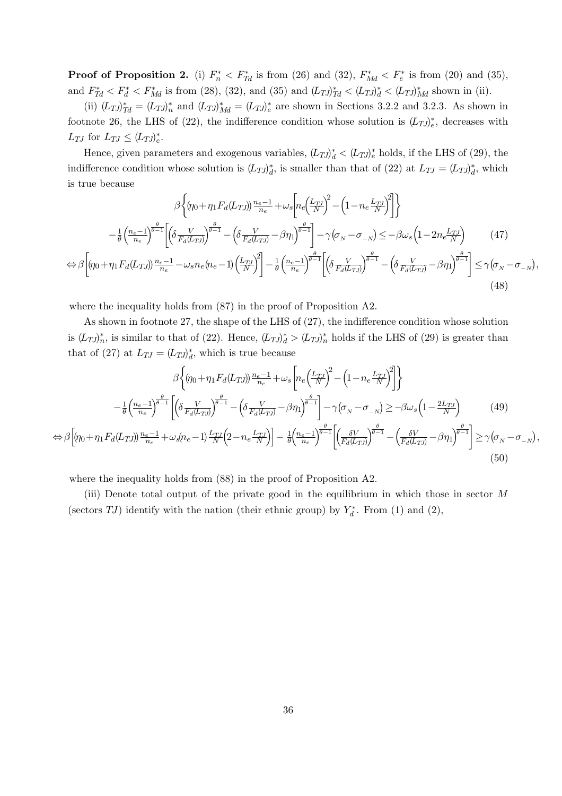**Proof of Proposition 2.** (i)  $F_n^* < F_{Td}^*$  is from (26) and (32),  $F_{Md}^* < F_e^*$  is from (20) and (35), and  $F_{Td}^* < F_d^* < F_{Md}^*$  is from (28), (32), and (35) and  $(L_{TJ})_{Td}^* < (L_{TJ})_{d}^* < (L_{TJ})_{Md}^*$  shown in (ii).

(ii)  $(L_{TJ})_{Td}^* = (L_{TJ})_{n}^*$  and  $(L_{TJ})_{Md}^* = (L_{TJ})_{e}^*$  are shown in Sections 3.2.2 and 3.2.3. As shown in footnote 26, the LHS of (22), the indifference condition whose solution is  $(L_{TJ})<sub>e</sub><sup>*</sup>$ , decreases with *L*<sub>*TJ*</sub> for *L*<sub>*TJ*</sub>  $\leq$  (*L*<sub>*TJ*)<sup> $*$ </sup>*e*.</sub>

Hence, given parameters and exogenous variables,  $(L_{TJ})^*_{d} < (L_{TJ})^*_{e}$  holds, if the LHS of (29), the indifference condition whose solution is  $(L_{TJ})^*_{d}$ , is smaller than that of (22) at  $L_{TJ} = (L_{TJ})^*_{d}$ , which is true because

$$
\beta \left\{ (\eta_0 + \eta_1 F_d(L_{TJ})) \frac{n_e - 1}{n_e} + \omega_s \left[ n_e \left( \frac{L_{TJ}}{N} \right)^2 - \left( 1 - n_e \frac{L_{TJ}}{N} \right)^2 \right] \right\}
$$

$$
- \frac{1}{\theta} \left( \frac{n_e - 1}{n_e} \right)^{\frac{\theta}{\theta - 1}} \left[ \left( \delta \frac{V}{F_d(L_{TJ})} \right)^{\frac{\theta}{\theta - 1}} - \left( \delta \frac{V}{F_d(L_{TJ})} - \beta \eta_1 \right)^{\frac{\theta}{\theta - 1}} \right] - \gamma \left( \sigma_N - \sigma_{-N} \right) \leq -\beta \omega_s \left( 1 - 2n_e \frac{L_{TJ}}{N} \right) \tag{47}
$$

$$
\Leftrightarrow \beta \left[ (\eta_0 + \eta_1 F_d(L_{TJ})) \frac{n_e - 1}{n_e} - \omega_s n_e (n_e - 1) \left( \frac{L_{TJ}}{N} \right)^2 \right] - \frac{1}{\theta} \left( \frac{n_e - 1}{n_e} \right)^{\frac{\theta}{\theta - 1}} \left[ \left( \delta \frac{V}{F_d(L_{TJ})} \right)^{\frac{\theta}{\theta - 1}} - \left( \delta \frac{V}{F_d(L_{TJ})} - \beta \eta_1 \right)^{\frac{\theta}{\theta - 1}} \right] \leq \gamma \left( \sigma_N - \sigma_{-N} \right) \tag{48}
$$

*,*

where the inequality holds from (87) in the proof of Proposition A2.

As shown in footnote 27, the shape of the LHS of (27), the indifference condition whose solution is  $(L_{TJ})_n^*$ , is similar to that of (22). Hence,  $(L_{TJ})_d^* > (L_{TJ})_n^*$  holds if the LHS of (29) is greater than that of (27) at  $L_{TJ} = (L_{TJ})_d^*$ , which is true because

$$
\beta \left\{ (\eta_0 + \eta_1 F_d(L_{TJ})) \frac{n_e - 1}{n_e} + \omega_s \left[ n_e \left( \frac{L_{TJ}}{N} \right)^2 - \left( 1 - n_e \frac{L_{TJ}}{N} \right)^2 \right] \right\}
$$

$$
- \frac{1}{\theta} \left( \frac{n_e - 1}{n_e} \right)^{\frac{\theta}{\theta - 1}} \left[ \left( \delta \frac{V}{F_d(L_{TJ})} \right)^{\frac{\theta}{\theta - 1}} - \left( \delta \frac{V}{F_d(L_{TJ})} - \beta \eta_1 \right)^{\frac{\theta}{\theta - 1}} \right] - \gamma \left( \sigma_N - \sigma_{-N} \right) \ge -\beta \omega_s \left( 1 - \frac{2L_{TJ}}{N} \right) \tag{49}
$$

$$
\Leftrightarrow \beta \left[ (\eta_0 + \eta_1 F_d(L_{TJ})) \frac{n_e - 1}{n_e} + \omega_s (n_e - 1) \frac{L_{TJ}}{N} \left( 2 - n_e \frac{L_{TJ}}{N} \right) \right] - \frac{1}{\theta} \left( \frac{n_e - 1}{n_e} \right)^{\frac{\theta}{\theta - 1}} \left[ \left( \frac{\delta V}{F_d(L_{TJ})} \right)^{\frac{\theta}{\theta - 1}} - \left( \frac{\delta V}{F_d(L_{TJ})} - \beta \eta_1 \right)^{\frac{\theta}{\theta - 1}} \right] \ge \gamma \left( \sigma_N - \sigma_{-N} \right), \tag{50}
$$

where the inequality holds from (88) in the proof of Proposition A2.

(iii) Denote total output of the private good in the equilibrium in which those in sector *M* (sectors *TJ*) identify with the nation (their ethnic group) by  $Y_d^*$ . From (1) and (2),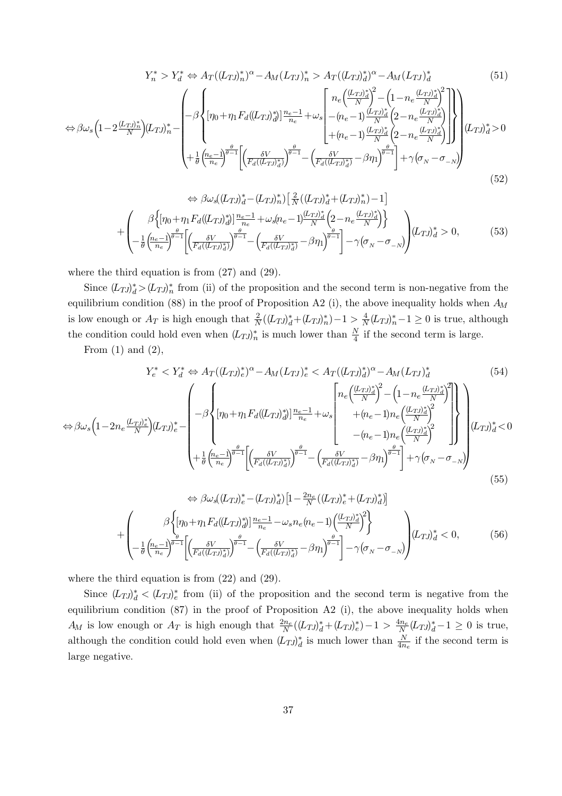$$
Y_{n}^{*} > Y_{d}^{*} \Leftrightarrow A_{T}((L_{TJ})_{n}^{*})^{\alpha} - A_{M}(L_{TJ})_{d}^{*} > A_{T}((L_{TJ})_{d}^{*})^{\alpha} - A_{M}(L_{TJ})_{d}^{*}
$$
\n
$$
\Leftrightarrow \beta \omega_{s} \left(1 - 2\frac{(L_{TJ})_{n}^{*}}{N}\right) (L_{TJ})_{n}^{*} - \left[\beta \left\{ \left[\eta_{0} + \eta_{1} F_{d}((L_{TJ})_{d}^{*}) \frac{n_{e}-1}{n_{e}} + \omega_{s} \left[ \frac{n_{e} \left(\frac{(L_{TJ})_{d}^{*}}{N}\right)^{2} - \left(1 - n_{e} \frac{(L_{TJ})_{d}^{*}}{N}\right)^{2}}{N}\right] \right\}}{\left[ \eta_{0} + \eta_{1} F_{d}((L_{TJ})_{d}^{*}) \frac{n_{e}-1}{n_{e}} + \omega_{s} \left[ \frac{n_{e} \left(\frac{(L_{TJ})_{d}^{*}}{N}\right)^{2} - \left(1 - n_{e} \frac{(L_{TJ})_{d}^{*}}{N}\right)^{2}}{N}\right] \right\}}{\left[ \eta_{0} + \eta_{1} F_{d}((L_{TJ})_{d}^{*}) \frac{n_{e}-1}{n_{e}} + \omega_{s} \left[ \frac{n_{e}-1}{N}\frac{(L_{TJ})_{d}^{*}}{N}\left(2 - n_{e} \frac{(L_{TJ})_{d}^{*}}{N}\right) \right] \right] \right\}} \left(L_{TJ}\right)_{d}^{*} > 0
$$
\n
$$
+ \frac{1}{\theta} \left(\frac{n_{e}-1}{n_{e}}\right)^{\frac{\theta}{\theta-1}} \left[ \left(\frac{\delta V}{F_{d}((L_{TJ})_{d}^{*})}\right)^{\frac{\theta}{\theta-1}} - \left(\frac{\delta V}{F_{d}((L_{TJ})_{d}^{*})} - \beta \eta_{1}\right)^{\frac{\theta}{\theta-1}} \right] + \gamma \left(\sigma_{N} - \sigma_{-N}\right) \right]
$$
\n(52)

$$
\Leftrightarrow \beta \omega_{s} ((L_{TJ})_{d}^{*} - (L_{TJ})_{n}^{*}) \left[ \frac{2}{N} ((L_{TJ})_{d}^{*} + (L_{TJ})_{n}^{*}) - 1 \right] + \left( \frac{\beta \left\{ \left[ \eta_{0} + \eta_{1} F_{d} ((L_{TJ})_{d}^{*}) \right] \frac{n_{e} - 1}{n_{e}} + \omega_{s} (n_{e} - 1) \frac{(L_{TJ})_{d}^{*}}{N} \left( 2 - n_{e} \frac{(L_{TJ})_{d}^{*}}{N} \right) \right\} \right) + \left( \frac{\beta \left\{ \left[ \eta_{0} + \eta_{1} F_{d} ((L_{TJ})_{d}^{*}) \right] \frac{\theta}{n_{e}} - \frac{1}{N} \left( \omega_{s} (L_{TJ})_{d}^{*} \right) \frac{\theta}{n_{e}} - \frac{\beta}{N} \left( 2 - n_{e} \frac{(L_{TJ})_{d}^{*}}{N} \right) \right\} \right) + \left( \frac{\beta \left\{ \left[ \eta_{0} + \eta_{1} F_{d} ((L_{TJ})_{d}^{*}) \right] \frac{\theta}{n_{e}} - \frac{1}{N} \left( \omega_{s} (L_{TJ})_{d}^{*} \right) \frac{\theta}{n_{e}} - \frac{\beta}{N} \left( 2 - n_{e} \frac{(L_{TJ})_{d}^{*}}{N} \right) \right\} \right) + \left( \frac{\beta \left\{ \left[ \eta_{0} + \eta_{1} F_{d} ((L_{TJ})_{d}^{*}) \right] \frac{\theta}{n_{e}} - \frac{1}{N} \left( \omega_{s} (L_{TJ})_{d}^{*} \right) \frac{\theta}{n_{e}} - \frac{\beta}{N} \left( 2 - n_{e} \frac{(L_{TJ})_{d}^{*}}{N} \right) \right\} \right) + \left( \frac{\beta \left\{ \left[ \eta_{0} + \eta_{1} F_{d} ((L_{TJ})_{d}^{*}) \right] \frac{\theta}{n_{e}} - \frac{1}{N} \left( \frac{\delta V}{F_{d} ((L_{TJ})_{d}^{*})} \right) \frac{\theta}{n_{e}} - \frac{\beta}{N} \left( \omega_{s} (L_{TJ})_{d}^{*
$$

where the third equation is from (27) and (29).

Since  $(L_{TJ})^*_{d}$  >  $(L_{TJ})^*_{n}$  from (ii) of the proposition and the second term is non-negative from the equilibrium condition (88) in the proof of Proposition A2 (i)*,* the above inequality holds when *A<sup>M</sup>* is low enough or  $A_T$  is high enough that  $\frac{2}{N}((L_T)_d^* + (L_T)_n^*) - 1 > \frac{4}{N}$  $\frac{4}{N}(L_{TJ})_n^*$ −1 ≥ 0 is true, although the condition could hold even when  $(L_T)_n^*$  is much lower than  $\frac{N}{4}$  if the second term is large.

From  $(1)$  and  $(2)$ ,

$$
Y_{e}^{*} < Y_{d}^{*} \Leftrightarrow A_{T}((L_{TJ})_{e}^{*})^{\alpha} - A_{M}(L_{TJ})_{d}^{*} < A_{T}((L_{TJ})_{d}^{*})^{\alpha} - A_{M}(L_{TJ})_{d}^{*}
$$
\n
$$
\Leftrightarrow \beta \omega_{s} \left(1 - 2n_{e} \frac{(L_{TJ})_{e}^{*}}{N}\right) (L_{TJ})_{e}^{*} - \left(1 - \beta \left\{\n\begin{aligned}\n[\eta_{0} + \eta_{1} F_{d}((L_{TJ})_{d}^{*})\n\end{aligned}\n\right] \frac{n_{e} - 1}{n_{e}} + \omega_{s}\n\left[\n\begin{aligned}\n\eta_{e} \left(\frac{(L_{TJ})_{d}^{*}}{N}\right)^{2} - \left(1 - n_{e} \frac{(L_{TJ})_{d}^{*}}{N}\right)^{2} \\
+ (n_{e} - 1)n_{e} \left(\frac{(L_{TJ})_{d}^{*}}{N}\right)^{2} \\
-(n_{e} - 1)n_{e} \left(\frac{(L_{TJ})_{d}^{*}}{N}\right)^{2}\n\end{aligned}\n\right]\n\right\}
$$
\n
$$
+ \frac{1}{\theta} \left(\n\frac{n_{e} - 1}{n_{e}}\n\left[\n\frac{\delta V}{F_{d}(L_{TJ})_{d}^{*}}\n\right] \frac{\theta}{\theta^{-1}} - \left(\n\frac{\delta V}{F_{d}(L_{TJ})_{d}^{*}} - \beta \eta_{1}\right)\n\left[\n+ \gamma \left(\sigma_{N} - \sigma_{-N}\right)\n\right]\n\right]
$$
\n(55)

$$
\Leftrightarrow \beta \omega_s ( (L_{TJ})_e^* - (L_{TJ})_d^*) \left[ 1 - \frac{2n_e}{N} ((L_{TJ})_e^* + (L_{TJ})_d^*) \right]
$$

$$
+ \left( \frac{\beta \left\{ \left[ \eta_0 + \eta_1 F_d ((L_{TJ})_d^*) \right] \frac{n_e - 1}{n_e} - \omega_s n_e (n_e - 1) \left( \frac{(L_{TJ})_d^*}{N} \right)^2 \right\}}{-\frac{1}{\theta} \left( \frac{n_e - 1}{n_e} \right)^{\frac{\theta}{\theta - 1}}} \left[ \left( \frac{\delta V}{F_d ((L_{TJ})_d^*)} \right)^{\frac{\theta}{\theta - 1}} - \left( \frac{\delta V}{F_d ((L_{TJ})_d^*)} - \beta \eta_1 \right)^{\frac{\theta}{\theta - 1}} \right] - \gamma \left( \sigma_N - \sigma_{-N} \right) \right) (L_{TJ})_d^* < 0, \tag{56}
$$

where the third equation is from (22) and (29).

Since  $(L_{TJ})^*_{d} < (L_{TJ})^*_{e}$  from (ii) of the proposition and the second term is negative from the equilibrium condition (87) in the proof of Proposition A2 (i)*,* the above inequality holds when  $A_M$  is low enough or  $A_T$  is high enough that  $\frac{2n_e}{N}((L_{TJ})^*_d + (L_{TJ})^*_e) - 1 > \frac{4n_e}{N}(L_{TJ})^*_d - 1 \geq 0$  is true, although the condition could hold even when  $(L_{TJ})^*_{d}$  is much lower than  $\frac{N}{4n_e}$  if the second term is large negative.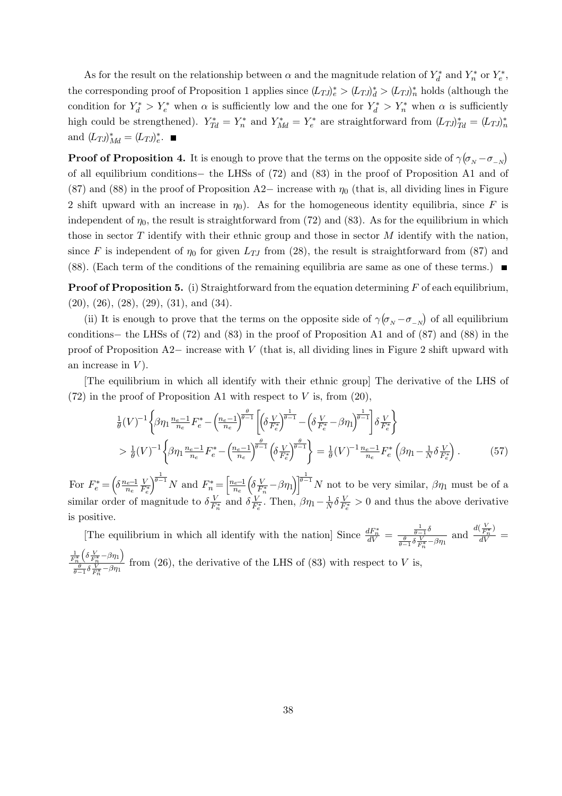As for the result on the relationship between  $\alpha$  and the magnitude relation of  $Y_d^*$  and  $Y_r^*$  or  $Y_e^*$ , the corresponding proof of Proposition 1 applies since  $(L_{TJ})_e^* > (L_{TJ})_d^* > (L_{TJ})_n^*$  holds (although the condition for  $Y_d^* > Y_e^*$  when  $\alpha$  is sufficiently low and the one for  $Y_d^* > Y_n^*$  when  $\alpha$  is sufficiently high could be strengthened).  $Y_{Td}^* = Y_n^*$  and  $Y_{Md}^* = Y_e^*$  are straightforward from  $(L_{TJ})_{Td}^* = (L_{TJ})_n^*$ and  $(L_{TJ})_{Md}^{*} = (L_{TJ})_{e}^{*}$ .

**Proof of Proposition 4.** It is enough to prove that the terms on the opposite side of  $\gamma(\sigma_N - \sigma_{-N})$ of all equilibrium conditions*−* the LHSs of (72) and (83) in the proof of Proposition A1 and of (87) and (88) in the proof of Proposition A2*−* increase with *η*<sup>0</sup> (that is, all dividing lines in Figure 2 shift upward with an increase in  $\eta_0$ ). As for the homogeneous identity equilibria, since *F* is independent of  $\eta_0$ , the result is straightforward from (72) and (83). As for the equilibrium in which those in sector *T* identify with their ethnic group and those in sector *M* identify with the nation, since *F* is independent of  $\eta_0$  for given  $L_{TJ}$  from (28), the result is straightforward from (87) and (88). (Each term of the conditions of the remaining equilibria are same as one of these terms.)

**Proof of Proposition 5.** (i) Straightforward from the equation determining F of each equilibrium,  $(20), (26), (28), (29), (31), \text{ and } (34).$ 

(ii) It is enough to prove that the terms on the opposite side of  $\gamma(\sigma_N - \sigma_{-N})$  of all equilibrium conditions*−* the LHSs of (72) and (83) in the proof of Proposition A1 and of (87) and (88) in the proof of Proposition A2*−* increase with *V* (that is, all dividing lines in Figure 2 shift upward with an increase in *V* ).

[The equilibrium in which all identify with their ethnic group] The derivative of the LHS of (72) in the proof of Proposition A1 with respect to *V* is, from (20),

$$
\frac{1}{\theta}(V)^{-1} \left\{ \beta \eta_1 \frac{n_e - 1}{n_e} F_e^* - \left( \frac{n_e - 1}{n_e} \right)^{\frac{\theta}{\theta - 1}} \left[ \left( \delta \frac{V}{F_e^*} \right)^{\frac{1}{\theta - 1}} - \left( \delta \frac{V}{F_e^*} - \beta \eta_1 \right)^{\frac{1}{\theta - 1}} \right] \delta \frac{V}{F_e^*} \right\} > \frac{1}{\theta}(V)^{-1} \left\{ \beta \eta_1 \frac{n_e - 1}{n_e} F_e^* - \left( \frac{n_e - 1}{n_e} \right)^{\frac{\theta}{\theta - 1}} \left( \delta \frac{V}{F_e^*} \right)^{\frac{\theta}{\theta - 1}} \right\} = \frac{1}{\theta}(V)^{-1} \frac{n_e - 1}{n_e} F_e^* \left( \beta \eta_1 - \frac{1}{N} \delta \frac{V}{F_e^*} \right).
$$
\n(57)

For  $F_e^* = \left(\delta \frac{n_e-1}{n_e}\right)$ *V F∗ e*  $\int_{0}^{\frac{1}{\theta-1}} N$  and  $F_n^* = \left[ \frac{n_e-1}{n_e} \left( \delta \frac{V_n}{F_n} \right) \right]$  $\int_{F_n^*}^V - \beta \eta_1 \Big]_0^{\frac{1}{\theta - 1}} N$  not to be very similar,  $\beta \eta_1$  must be of a similar order of magnitude to  $\delta \frac{V}{F}$  $\frac{V}{F_n^*}$  and  $\delta \frac{V}{F_e}$  $\frac{V}{F_e^*}$ . Then,  $\beta \eta_1 - \frac{1}{N}$  $\frac{1}{N} \delta \frac{V}{F_c}$  $\frac{V}{F_e^*} > 0$  and thus the above derivative is positive.

[The equilibrium in which all identify with the nation] Since  $\frac{dF_n^*}{dV} = \frac{\frac{1}{\theta-1}\delta}{\frac{\theta}{dx} - \delta \frac{V}{dx}}$  $\frac{\frac{1}{\theta-1}\delta}{\frac{\theta'}{F_n^*}-\beta\eta_1}$  and  $\frac{d(\frac{V}{F_n^*})}{dV}$  =  $\frac{1}{F_n^*}$  $\left(\delta \frac{V}{F_n^*} - \beta \eta_1\right)$  $\frac{d\vec{r}}{\vec{\theta}-1}$  *b*<sub>*F*<sup> $*$ </sup><sup>*n*</sup></sub> *-* $\beta$ <sub>*n*</sub><sub>1</sub> from (26), the derivative of the LHS of (83) with respect to *V* is, *n*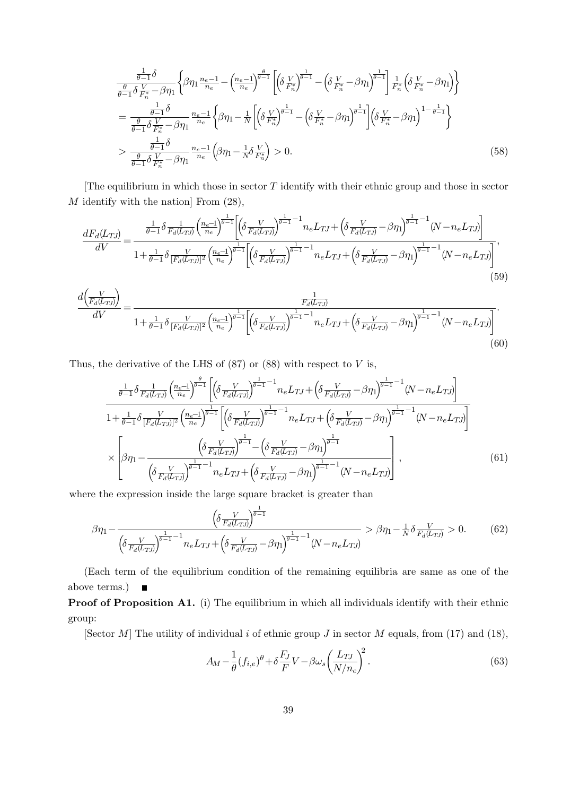$$
\frac{\frac{1}{\theta-1}\delta}{\frac{\theta}{\theta-1}\delta\frac{V}{F_n^*} - \beta\eta_1} \left\{ \beta\eta_1 \frac{n_e-1}{n_e} - \left(\frac{n_e-1}{n_e}\right)^{\frac{\theta}{\theta-1}} \left[ \left(\delta\frac{V}{F_n^*}\right)^{\frac{1}{\theta-1}} - \left(\delta\frac{V}{F_n^*} - \beta\eta_1\right)^{\frac{1}{\theta-1}} \right] \frac{1}{F_n^*} \left(\delta\frac{V}{F_n^*} - \beta\eta_1\right) \right\}
$$
\n
$$
= \frac{\frac{1}{\theta-1}\delta}{\frac{\theta}{\theta-1}\delta\frac{V}{F_n^*} - \beta\eta_1} \frac{n_e-1}{n_e} \left\{ \beta\eta_1 - \frac{1}{N} \left[ \left(\delta\frac{V}{F_n^*}\right)^{\frac{1}{\theta-1}} - \left(\delta\frac{V}{F_n^*} - \beta\eta_1\right)^{\frac{1}{\theta-1}} \right] \left(\delta\frac{V}{F_n^*} - \beta\eta_1\right)^{1-\frac{1}{\theta-1}} \right\}
$$
\n
$$
> \frac{\frac{1}{\theta-1}\delta}{\frac{\theta}{\theta-1}\delta\frac{V}{F_n^*} - \beta\eta_1} \frac{n_e-1}{n_e} \left( \beta\eta_1 - \frac{1}{N}\delta\frac{V}{F_n^*} \right) > 0. \tag{58}
$$

[The equilibrium in which those in sector *T* identify with their ethnic group and those in sector *M* identify with the nation] From (28),

$$
\frac{dF_d(L_{TJ})}{dV} = \frac{\frac{1}{\theta - 1} \delta \frac{1}{F_d(L_{TJ})} \left(\frac{n_e - 1}{n_e}\right)^{\frac{1}{\theta - 1}} \left[ \left(\delta \frac{V}{F_d(L_{TJ})}\right)^{\frac{1}{\theta - 1} - 1} n_e L_{TJ} + \left(\delta \frac{V}{F_d(L_{TJ})} - \beta \eta_1\right)^{\frac{1}{\theta - 1} - 1} (N - n_e L_{TJ}) \right]}{1 + \frac{1}{\theta - 1} \delta \frac{V}{[F_d(L_{TJ})]^2} \left(\frac{n_e - 1}{n_e}\right)^{\frac{1}{\theta - 1}} \left[ \left(\delta \frac{V}{F_d(L_{TJ})}\right)^{\frac{1}{\theta - 1} - 1} n_e L_{TJ} + \left(\delta \frac{V}{F_d(L_{TJ})} - \beta \eta_1\right)^{\frac{1}{\theta - 1} - 1} (N - n_e L_{TJ}) \right]} \tag{59}
$$

$$
\frac{d\left(\frac{V}{F_d(L_{TJ})}\right)}{dV} = \frac{\frac{1}{F_d(L_{TJ})}}{1 + \frac{1}{\theta - 1} \delta \frac{V}{[F_d(L_{TJ})]^2} \left(\frac{n_e - 1}{n_e}\right)^{\frac{1}{\theta - 1}} \left[ \left(\delta \frac{V}{F_d(L_{TJ})}\right)^{\frac{1}{\theta - 1} - 1} n_e L_{TJ} + \left(\delta \frac{V}{F_d(L_{TJ})} - \beta \eta_1\right)^{\frac{1}{\theta - 1} - 1} (N - n_e L_{TJ}) \right]} \tag{60}
$$

Thus, the derivative of the LHS of (87) or (88) with respect to *V* is,

$$
\frac{\frac{1}{\theta-1}\delta \frac{1}{F_d(L_{TJ})} \left(\frac{n_e-1}{n_e}\right)^{\frac{\theta}{\theta-1}} \left[ \left(\delta \frac{V}{F_d(L_{TJ})}\right)^{\frac{1}{\theta-1}-1} n_e L_{TJ} + \left(\delta \frac{V}{F_d(L_{TJ})} - \beta \eta_1\right)^{\frac{1}{\theta-1}-1} (N - n_e L_{TJ}) \right]}{\left(1 + \frac{1}{\theta-1}\delta \frac{V}{[F_d(L_{TJ})]^2} \left(\frac{n_e-1}{n_e}\right)^{\frac{1}{\theta-1}} \left[ \left(\delta \frac{V}{F_d(L_{TJ})}\right)^{\frac{1}{\theta-1}-1} n_e L_{TJ} + \left(\delta \frac{V}{F_d(L_{TJ})} - \beta \eta_1\right)^{\frac{1}{\theta-1}-1} (N - n_e L_{TJ}) \right]} \right] \times \left[ \beta \eta_1 - \frac{\left(\delta \frac{V}{F_d(L_{TJ})}\right)^{\frac{1}{\theta-1}} - \left(\delta \frac{V}{F_d(L_{TJ})} - \beta \eta_1\right)^{\frac{1}{\theta-1}}}{\left(\delta \frac{V}{F_d(L_{TJ})}\right)^{\frac{1}{\theta-1}-1} n_e L_{TJ} + \left(\delta \frac{V}{F_d(L_{TJ})} - \beta \eta_1\right)^{\frac{1}{\theta-1}-1} (N - n_e L_{TJ})} \right],
$$
\n(61)

where the expression inside the large square bracket is greater than

$$
\beta \eta_1 - \frac{\left(\delta \frac{V}{F_d(L_{TJ})}\right)^{\frac{1}{\theta - 1}}}{\left(\delta \frac{V}{F_d(L_{TJ})}\right)^{\frac{1}{\theta - 1} - 1} n_e L_{TJ} + \left(\delta \frac{V}{F_d(L_{TJ})} - \beta \eta_1\right)^{\frac{1}{\theta - 1} - 1} (N - n_e L_{TJ})} > \beta \eta_1 - \frac{1}{N} \delta \frac{V}{F_d(L_{TJ})} > 0. \tag{62}
$$

(Each term of the equilibrium condition of the remaining equilibria are same as one of the above terms.)  $\blacksquare$ 

**Proof of Proposition A1.** (i) The equilibrium in which all individuals identify with their ethnic group:

[Sector *M*] The utility of individual *i* of ethnic group *J* in sector *M* equals, from (17) and (18),

$$
A_M - \frac{1}{\theta} (f_{i,e})^{\theta} + \delta \frac{F_J}{F} V - \beta \omega_s \left(\frac{L_{TJ}}{N/n_e}\right)^2.
$$
 (63)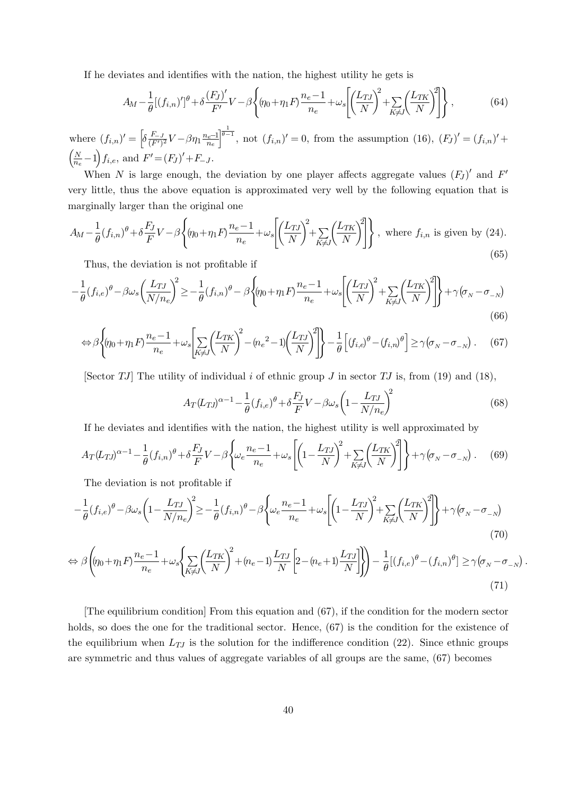If he deviates and identifies with the nation, the highest utility he gets is

$$
A_M - \frac{1}{\theta} [(f_{i,n})']^{\theta} + \delta \frac{(F_J)'}{F'} V - \beta \left\{ (\eta_0 + \eta_1 F) \frac{n_e - 1}{n_e} + \omega_s \left[ \left( \frac{L_{TI}}{N} \right)^2 + \sum_{K \neq J} \left( \frac{L_{TK}}{N} \right)^2 \right] \right\},
$$
(64)

where  $(f_{i,n})' = \left[ \delta \frac{F_{-J}}{(F')^2} V - \beta \eta_1 \frac{n_e-1}{n_e} \right]^{\frac{1}{\theta-1}}$ , not  $(f_{i,n})' = 0$ , from the assumption  $(16)$ ,  $(F_J)' = (f_{i,n})' +$  $\left(\frac{N}{2}\right)$  $\frac{N}{n_e} - 1$ )  $f_{i,e}$ , and  $F' = (F_J)' + F_{-J}$ .

When *N* is large enough, the deviation by one player affects aggregate values  $(F_J)'$  and  $F'$ very little, thus the above equation is approximated very well by the following equation that is marginally larger than the original one

$$
A_M - \frac{1}{\theta} (f_{i,n})^{\theta} + \delta \frac{F_J}{F} V - \beta \left( \eta_0 + \eta_1 F \right) \frac{n_e - 1}{n_e} + \omega_s \left[ \left( \frac{L_{TI}}{N} \right)^2 + \sum_{K \neq J} \left( \frac{L_{TK}}{N} \right)^2 \right] \right\}, \text{ where } f_{i,n} \text{ is given by (24).}
$$
\n
$$
(65)
$$

Thus, the deviation is not profitable if

$$
-\frac{1}{\theta}(f_{i,e})^{\theta} - \beta \omega_s \left(\frac{L_{TJ}}{N/n_e}\right)^2 \ge -\frac{1}{\theta}(f_{i,n})^{\theta} - \beta \left\{ (\eta_0 + \eta_1 F) \frac{n_e - 1}{n_e} + \omega_s \left[ \left(\frac{L_{TJ}}{N}\right)^2 + \sum_{K \neq J} \left(\frac{L_{TK}}{N}\right)^2 \right] \right\} + \gamma \left(\sigma_N - \sigma_{-N}\right) \tag{66}
$$

$$
\Leftrightarrow \beta \left\{ (\eta_0 + \eta_1 F) \frac{n_e - 1}{n_e} + \omega_s \left[ \sum_{K \neq J} \left( \frac{L_{TK}}{N} \right)^2 - (n_e^2 - 1) \left( \frac{L_{IJ}}{N} \right)^2 \right] \right\} - \frac{1}{\theta} \left[ (f_{i,e})^{\theta} - (f_{i,n})^{\theta} \right] \ge \gamma \left( \sigma_N - \sigma_{-N} \right). \tag{67}
$$

[Sector *TJ*] The utility of individual *i* of ethnic group *J* in sector *TJ* is, from (19) and (18),

$$
A_T(L_{TJ})^{\alpha-1} - \frac{1}{\theta} (f_{i,e})^{\theta} + \delta \frac{F_J}{F} V - \beta \omega_s \left( 1 - \frac{L_{TJ}}{N/n_e} \right)^2 \tag{68}
$$

If he deviates and identifies with the nation, the highest utility is well approximated by

$$
A_T(L_{TJ})^{\alpha-1} - \frac{1}{\theta} (f_{i,n})^{\theta} + \delta \frac{F_J}{F} V - \beta \left\{ \omega_e \frac{n_e - 1}{n_e} + \omega_s \left[ \left( 1 - \frac{L_{TJ}}{N} \right)^2 + \sum_{K \neq J} \left( \frac{L_{TK}}{N} \right)^2 \right] \right\} + \gamma \left( \sigma_N - \sigma_{-N} \right). \tag{69}
$$

The deviation is not profitable if

$$
-\frac{1}{\theta}(f_{i,e})^{\theta} - \beta \omega_s \left(1 - \frac{L_{TJ}}{N/n_e}\right)^2 \ge -\frac{1}{\theta}(f_{i,n})^{\theta} - \beta \left\{\omega_e \frac{n_e - 1}{n_e} + \omega_s \left[\left(1 - \frac{L_{TJ}}{N}\right)^2 + \sum_{K \neq J} \left(\frac{L_{TK}}{N}\right)^2\right]\right\} + \gamma \left(\sigma_N - \sigma_{-N}\right) \tag{70}
$$

$$
\Leftrightarrow \beta \left( (\eta_0 + \eta_1 F) \frac{n_e - 1}{n_e} + \omega_s \left\{ \sum_{K \neq J} \left( \frac{L_{TK}}{N} \right)^2 + (n_e - 1) \frac{L_{TJ}}{N} \left[ 2 - (n_e + 1) \frac{L_{TJ}}{N} \right] \right\} \right) - \frac{1}{\theta} [(f_{i,e})^{\theta} - (f_{i,n})^{\theta}] \ge \gamma \left( \sigma_N - \sigma_{-N} \right). \tag{71}
$$

[The equilibrium condition] From this equation and (67), if the condition for the modern sector holds, so does the one for the traditional sector. Hence,  $(67)$  is the condition for the existence of the equilibrium when  $L_{TJ}$  is the solution for the indifference condition  $(22)$ . Since ethnic groups are symmetric and thus values of aggregate variables of all groups are the same, (67) becomes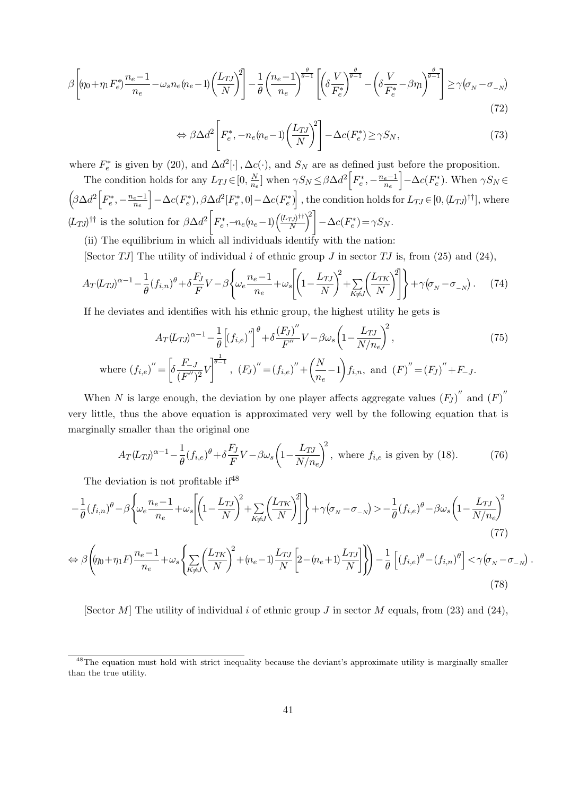$$
\beta \left[ (\eta_0 + \eta_1 F_e^*) \frac{n_e - 1}{n_e} - \omega_s n_e (n_e - 1) \left( \frac{L_{TJ}}{N} \right)^2 \right] - \frac{1}{\theta} \left( \frac{n_e - 1}{n_e} \right)^{\frac{\theta}{\theta - 1}} \left[ \left( \delta \frac{V}{F_e^*} \right)^{\frac{\theta}{\theta - 1}} - \left( \delta \frac{V}{F_e^*} - \beta \eta_1 \right)^{\frac{\theta}{\theta - 1}} \right] \ge \gamma \left( \sigma_N - \sigma_{-N} \right) \tag{72}
$$

$$
\Leftrightarrow \beta \Delta d^2 \left[ F_e^*, -n_e(n_e-1) \left( \frac{L_{TJ}}{N} \right)^2 \right] - \Delta c(F_e^*) \ge \gamma S_N,\tag{73}
$$

where  $F_e^*$  is given by (20), and  $\Delta d^2[\cdot]$ ,  $\Delta c(\cdot)$ , and  $S_N$  are as defined just before the proposition. The condition holds for any  $L_{TJ} \in [0, \frac{N}{n_e}]$  $\frac{N}{n_e}$ ] when  $\gamma S_N \leq \beta \Delta d^2 \left[ F_e^* , -\frac{n_e-1}{n_e} \right] - \Delta c(F_e^*).$  When  $\gamma S_N \in$ 

$$
\left(\beta \Delta d^2 \left[F_e^*, -\frac{n_e-1}{n_e}\right] - \Delta c(F_e^*), \beta \Delta d^2 [F_e^*, 0] - \Delta c(F_e^*)\right],
$$
 the condition holds for  $L_{TJ} \in [0, (L_{TJ})^{\dagger \dagger}]$ , where  

$$
(L_{TJ})^{\dagger \dagger}
$$
 is the solution for  $\beta \Delta d^2 \left[F_e^*, -n_e(n_e-1)\left(\frac{(L_{TJ})^{\dagger \dagger}}{N}\right)^2\right] - \Delta c(F_e^*) = \gamma S_N.$ 

(ii) The equilibrium in which all individuals identify with the nation:

[Sector *TJ*] The utility of individual *i* of ethnic group *J* in sector *TJ* is, from (25) and (24),

$$
A_T(L_{TJ})^{\alpha-1} - \frac{1}{\theta} (f_{i,n})^{\theta} + \delta \frac{F_J}{F} V - \beta \left\{ \omega_e \frac{n_e - 1}{n_e} + \omega_s \left[ \left( 1 - \frac{L_{TJ}}{N} \right)^2 + \sum_{K \neq J} \left( \frac{L_{TK}}{N} \right)^2 \right] \right\} + \gamma \left( \sigma_N - \sigma_{-N} \right). \tag{74}
$$

If he deviates and identifies with his ethnic group, the highest utility he gets is

$$
A_T(L_{TJ})^{\alpha-1} - \frac{1}{\theta} \left[ (f_{i,e})'' \right]^\theta + \delta \frac{(F_J)''}{F''} V - \beta \omega_s \left( 1 - \frac{L_{TJ}}{N/n_e} \right)^2, \qquad (75)
$$
  
where  $(f_{i,e})'' = \left[ \delta \frac{F_{-J}}{(F'')^2} V \right]^{\theta-1}, (F_J)'' = (f_{i,e})'' + \left( \frac{N}{n_e} - 1 \right) f_{i,n}, \text{ and } (F)'' = (F_J)'' + F_{-J}.$ 

When *N* is large enough, the deviation by one player affects aggregate values  $(F_J)$ <sup>"</sup> and  $(F)$ <sup>"</sup> very little, thus the above equation is approximated very well by the following equation that is marginally smaller than the original one

$$
A_T(L_{TJ})^{\alpha-1} - \frac{1}{\theta} (f_{i,e})^{\theta} + \delta \frac{F_J}{F} V - \beta \omega_s \left( 1 - \frac{L_{TJ}}{N/n_e} \right)^2, \text{ where } f_{i,e} \text{ is given by (18).}
$$
 (76)

The deviation is not profitable  $if^{48}$ 

$$
-\frac{1}{\theta}(f_{i,n})^{\theta} - \beta \left\{\omega_e \frac{n_e - 1}{n_e} + \omega_s \left[ \left(1 - \frac{L_{TJ}}{N}\right)^2 + \sum_{K \neq J} \left(\frac{L_{TK}}{N}\right)^2 \right] \right\} + \gamma \left(\sigma_N - \sigma_{-N}\right) > -\frac{1}{\theta} (f_{i,e})^{\theta} - \beta \omega_s \left(1 - \frac{L_{TJ}}{N/n_e}\right)^2 \tag{77}
$$

$$
\Leftrightarrow \beta \left( (\eta_0 + \eta_1 F) \frac{n_e - 1}{n_e} + \omega_s \left\{ \sum_{K \neq J} \left( \frac{L_{TK}}{N} \right)^2 + (n_e - 1) \frac{L_{TJ}}{N} \left[ 2 - (n_e + 1) \frac{L_{TJ}}{N} \right] \right\} \right) - \frac{1}{\theta} \left[ (f_{i,e})^{\theta} - (f_{i,n})^{\theta} \right] < \gamma \left( \sigma_N - \sigma_{-N} \right). \tag{78}
$$

[Sector *M*] The utility of individual *i* of ethnic group *J* in sector *M* equals, from (23) and (24),

<sup>&</sup>lt;sup>48</sup>The equation must hold with strict inequality because the deviant's approximate utility is marginally smaller than the true utility.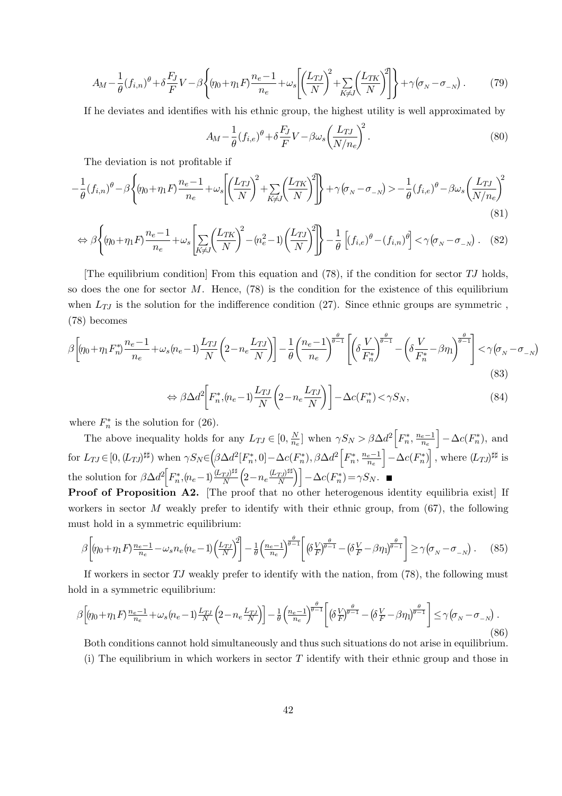$$
A_M - \frac{1}{\theta} (f_{i,n})^{\theta} + \delta \frac{F_J}{F} V - \beta \left\{ (\eta_0 + \eta_1 F) \frac{n_e - 1}{n_e} + \omega_s \left[ \left( \frac{L_{TI}}{N} \right)^2 + \sum_{K \neq J} \left( \frac{L_{TK}}{N} \right)^2 \right] \right\} + \gamma \left( \sigma_N - \sigma_{-N} \right). \tag{79}
$$

If he deviates and identifies with his ethnic group, the highest utility is well approximated by

$$
A_M - \frac{1}{\theta} (f_{i,e})^{\theta} + \delta \frac{F_J}{F} V - \beta \omega_s \left(\frac{L_{TJ}}{N/n_e}\right)^2.
$$
 (80)

The deviation is not profitable if

$$
-\frac{1}{\theta}(f_{i,n})^{\theta} - \beta \left\{ (\eta_0 + \eta_1 F) \frac{n_e - 1}{n_e} + \omega_s \left[ \left( \frac{L_{TJ}}{N} \right)^2 + \sum_{K \neq J} \left( \frac{L_{TK}}{N} \right)^2 \right] \right\} + \gamma \left( \sigma_N - \sigma_{-N} \right) > -\frac{1}{\theta} (f_{i,e})^{\theta} - \beta \omega_s \left( \frac{L_{TJ}}{N/n_e} \right)^2 \tag{81}
$$

$$
\Leftrightarrow \beta \left\{ (\eta_0 + \eta_1 F) \frac{n_e - 1}{n_e} + \omega_s \left[ \sum_{K \neq J} \left( \frac{L_{TK}}{N} \right)^2 - (n_e^2 - 1) \left( \frac{L_{TJ}}{N} \right)^2 \right] \right\} - \frac{1}{\theta} \left[ (f_{i,e})^{\theta} - (f_{i,n})^{\theta} \right] < \gamma \left( \sigma_N - \sigma_{-N} \right). \tag{82}
$$

[The equilibrium condition] From this equation and (78), if the condition for sector *TJ* holds, so does the one for sector  $M$ . Hence,  $(78)$  is the condition for the existence of this equilibrium when  $L_{TI}$  is the solution for the indifference condition (27). Since ethnic groups are symmetric, (78) becomes

$$
\beta \left[ (\eta_0 + \eta_1 F_n^*) \frac{n_e - 1}{n_e} + \omega_s (n_e - 1) \frac{L_{TJ}}{N} \left( 2 - n_e \frac{L_{TJ}}{N} \right) \right] - \frac{1}{\theta} \left( \frac{n_e - 1}{n_e} \right)^{\frac{\theta}{\theta - 1}} \left[ \left( \delta \frac{V}{F_n^*} \right)^{\frac{\theta}{\theta - 1}} - \left( \delta \frac{V}{F_n^*} - \beta \eta_1 \right)^{\frac{\theta}{\theta - 1}} \right] < \gamma \left( \sigma_N - \sigma_{-N} \right) \tag{83}
$$

$$
\Leftrightarrow \beta \Delta d^2 \bigg[ F_n^*(n_e - 1) \frac{L_{TJ}}{N} \bigg( 2 - n_e \frac{L_{TJ}}{N} \bigg) \bigg] - \Delta c(F_n^*) \langle \gamma S_N, \tag{84}
$$

where  $F_n^*$  is the solution for  $(26)$ . *n*

The above inequality holds for any  $L_{TJ} \in [0, \frac{N}{n_c}]$  $\frac{N}{n_e}$  when  $\gamma S_N > \beta \Delta d^2 \left[ F_n^*, \frac{n_e - 1}{n_e} \right] - \Delta c(F_n^*),$  and for  $L_{TJ} \in [0,(L_{TJ})^{\sharp\sharp})$  when  $\gamma S_N \in (\beta \Delta d^2[F_n^*,0] - \Delta c(F_n^*), \beta \Delta d^2 \left[F_n^*, \frac{n_e-1}{n_e}\right] - \Delta c(F_n^*)$ , where  $(L_{TJ})^{\sharp\sharp}$  is the solution for  $\beta \Delta d^2 \left[ F_n^*, (n_e - 1) \frac{(L_{TJ})^{\sharp\sharp}}{N} \right]$ *N* ( 2*−n<sup>e</sup>* (*LTJ*) *♯♯*  $\left[\frac{L}{N}\right]^{\sharp\sharp}\right]-\Delta c(F_n^*)=\gamma S_N.$ 

**Proof of Proposition A2.** [The proof that no other heterogenous identity equilibria exist] If workers in sector M weakly prefer to identify with their ethnic group, from (67), the following must hold in a symmetric equilibrium:

$$
\beta \left[ (\eta_0 + \eta_1 F) \frac{n_e - 1}{n_e} - \omega_s n_e (n_e - 1) \left( \frac{L_{TJ}}{N} \right)^2 \right] - \frac{1}{\theta} \left( \frac{n_e - 1}{n_e} \right)^{\frac{\theta}{\theta - 1}} \left[ \left( \delta \frac{V}{F} \right)^{\frac{\theta}{\theta - 1}} - \left( \delta \frac{V}{F} - \beta \eta_1 \right)^{\frac{\theta}{\theta - 1}} \right] \ge \gamma \left( \sigma_N - \sigma_{-N} \right). \tag{85}
$$

If workers in sector *TJ* weakly prefer to identify with the nation, from (78), the following must hold in a symmetric equilibrium:

$$
\beta \left[ (\eta_0 + \eta_1 F)^{\frac{n_e - 1}{n_e}} + \omega_s (n_e - 1) \frac{L_{TI}}{N} \left( 2 - n_e \frac{L_{TI}}{N} \right) \right] - \frac{1}{\theta} \left( \frac{n_e - 1}{n_e} \right)^{\frac{\theta}{\theta - 1}} \left[ \left( \delta \frac{V}{F} \right)^{\frac{\theta}{\theta - 1}} - \left( \delta \frac{V}{F} - \beta \eta_1 \right)^{\frac{\theta}{\theta - 1}} \right] \le \gamma \left( \sigma_N - \sigma_{-N} \right). \tag{86}
$$

Both conditions cannot hold simultaneously and thus such situations do not arise in equilibrium. (i) The equilibrium in which workers in sector *T* identify with their ethnic group and those in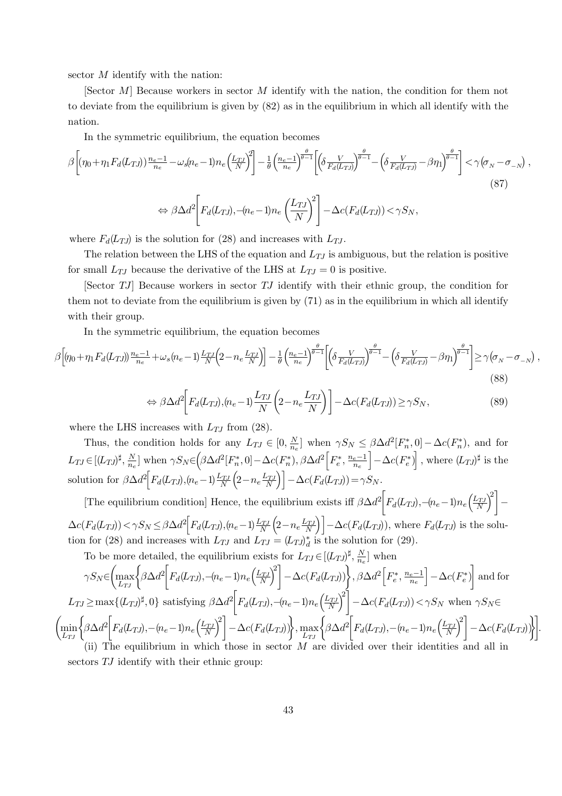sector *M* identify with the nation:

[Sector *M*] Because workers in sector *M* identify with the nation, the condition for them not to deviate from the equilibrium is given by (82) as in the equilibrium in which all identify with the nation.

In the symmetric equilibrium, the equation becomes

$$
\beta \left[ (\eta_0 + \eta_1 F_d(L_{TJ})) \frac{n_e - 1}{n_e} - \omega_s (n_e - 1) n_e \left( \frac{L_{TJ}}{N} \right)^2 \right] - \frac{1}{\theta} \left( \frac{n_e - 1}{n_e} \right)^{\frac{\theta}{\theta - 1}} \left[ \left( \delta \frac{V}{F_d(L_{TJ})} \right)^{\frac{\theta}{\theta - 1}} - \left( \delta \frac{V}{F_d(L_{TJ})} - \beta \eta_1 \right)^{\frac{\theta}{\theta - 1}} \right] < \gamma \left( \sigma_N - \sigma_{-N} \right),
$$
\n
$$
\Leftrightarrow \beta \Delta d^2 \left[ F_d(L_{TJ}), -(n_e - 1) n_e \left( \frac{L_{TJ}}{N} \right)^2 \right] - \Delta c \left( F_d(L_{TJ}) \right) < \gamma S_N,
$$
\n(87)

where  $F_d(L_T)$  is the solution for (28) and increases with  $L_T$ .

The relation between the LHS of the equation and *LTJ* is ambiguous, but the relation is positive for small  $L_{TJ}$  because the derivative of the LHS at  $L_{TJ} = 0$  is positive.

[Sector *TJ*] Because workers in sector *TJ* identify with their ethnic group, the condition for them not to deviate from the equilibrium is given by (71) as in the equilibrium in which all identify with their group.

In the symmetric equilibrium, the equation becomes

$$
\beta \left[ (\eta_0 + \eta_1 F_d(L_{TJ})) \frac{n_e - 1}{n_e} + \omega_s (n_e - 1) \frac{L_{TJ}}{N} \left( 2 - n_e \frac{L_{TJ}}{N} \right) \right] - \frac{1}{\theta} \left( \frac{n_e - 1}{n_e} \right)^{\frac{\theta}{\theta - 1}} \left[ \left( \delta \frac{V}{F_d(L_{TJ})} \right)^{\frac{\theta}{\theta - 1}} - \left( \delta \frac{V}{F_d(L_{TJ})} - \beta \eta_1 \right)^{\frac{\theta}{\theta - 1}} \right] \ge \gamma \left( \sigma_N - \sigma_{-N} \right)
$$
\n(88)

$$
\Leftrightarrow \beta \Delta d^2 \bigg[ F_d(L_{TJ}), (n_e - 1) \frac{L_{TJ}}{N} \bigg( 2 - n_e \frac{L_{TJ}}{N} \bigg) \bigg] - \Delta c (F_d(L_{TJ})) \ge \gamma S_N, \tag{89}
$$

*,*

where the LHS increases with  $L_{TJ}$  from (28).

Thus, the condition holds for any  $L_{TJ} \in [0, \frac{N}{n_c}]$  $\frac{N}{n_e}$  when  $\gamma S_N \leq \beta \Delta d^2 [F_n^*, 0] - \Delta c(F_n^*)$ , and for  $L_{TJ} \in [(L_{TJ})^{\sharp}, \frac{N}{n_{e}}]$  $\frac{N}{n_e}$ ] when  $\gamma S_N \in (\beta \Delta d^2 [F_n^*, 0] - \Delta c(F_n^*), \beta \Delta d^2 \left[ F_e^*, \frac{n_e - 1}{n_e} \right] - \Delta c(F_e^*)$ , where  $(L_{TJ})^{\sharp}$  is the solution for  $\beta \Delta d^2 \Big[ F_d(L_{TJ}), (n_e-1) \frac{L_{TJ}}{N} \Big( 2 - n_e \frac{L_{TJ}}{N} \Big) \Big] - \Delta c(F_d(L_{TJ})) = \gamma S_N.$ 

[The equilibrium condition] Hence, the equilibrium exists iff  $\beta \Delta d^2 \left[ F_d(L_{TJ}), - (n_e - 1) n_e \left( \frac{L_{TJ}}{N} \right)^2 \right]$  $\Delta c(F_d(L_T)) < \gamma S_N \leq \beta \Delta d^2 \Big[ F_d(L_{TJ}), (n_e-1) \frac{L_{TJ}}{N} \Big(2-n_e\frac{L_{TJ}}{N}\Big) \Big] - \Delta c(F_d(L_{TJ}))$ , where  $F_d(L_{TJ})$  is the solution for (28) and increases with  $L_{TJ}$  and  $L_{TJ} = (L_{TJ})^*_{d}$  is the solution for (29).

To be more detailed, the equilibrium exists for  $L_{TJ} \in [(L_{TJ})^{\sharp}, \frac{N}{n_d}]$  $\frac{N}{n_e}$  when

$$
\gamma S_N \in \left( \max_{L_{TJ}} \left\{ \beta \Delta d^2 \Big[ F_d(L_{TJ}), -(n_e - 1) n_e \Big( \frac{L_{TJ}}{N} \Big)^2 \Big] - \Delta c (F_d(L_{TJ})) \right\}, \beta \Delta d^2 \Big[ F_e^*, \frac{n_e - 1}{n_e} \Big] - \Delta c (F_e^*) \right] \text{ and for}
$$
  
\n
$$
L_{TJ} \ge \max \{ (L_{TJ})^\sharp, 0 \} \text{ satisfying } \beta \Delta d^2 \Big[ F_d(L_{TJ}), -(n_e - 1) n_e \Big( \frac{L_{TJ}}{N} \Big)^2 \Big] - \Delta c (F_d(L_{TJ})) < \gamma S_N \text{ when } \gamma S_N \in
$$
  
\n
$$
\left( \min_{L_{TJ}} \left\{ \beta \Delta d^2 \Big[ F_d(L_{TJ}), -(n_e - 1) n_e \Big( \frac{L_{TJ}}{N} \Big)^2 \Big] - \Delta c (F_d(L_{TJ})) \right\}, \max_{L_{TJ}} \left\{ \beta \Delta d^2 \Big[ F_d(L_{TJ}), -(n_e - 1) n_e \Big( \frac{L_{TJ}}{N} \Big)^2 \Big] - \Delta c (F_d(L_{TJ})) \right\}.
$$
  
\n(ii) The equilibrium in which those in sector  $M$  are divided over their identities and all in

sectors *TJ* identify with their ethnic group: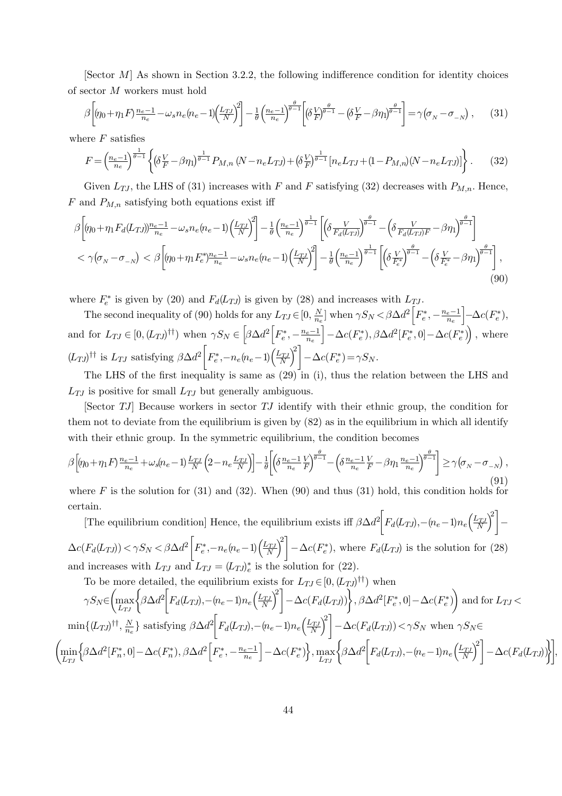[Sector *M*] As shown in Section 3.2.2, the following indifference condition for identity choices of sector *M* workers must hold

$$
\beta \left[ (\eta_0 + \eta_1 F)^{\frac{n_e - 1}{n_e}} - \omega_s n_e (n_e - 1) \left( \frac{L_{TJ}}{N} \right)^2 \right] - \frac{1}{\theta} \left( \frac{n_e - 1}{n_e} \right)^{\frac{\theta}{\theta - 1}} \left[ \left( \delta \frac{V}{F} \right)^{\frac{\theta}{\theta - 1}} - \left( \delta \frac{V}{F} - \beta \eta_1 \right)^{\frac{\theta}{\theta - 1}} \right] = \gamma \left( \sigma_N - \sigma_{-N} \right), \tag{31}
$$

where *F* satisfies

$$
F = \left(\frac{n_e - 1}{n_e}\right)^{\frac{1}{\theta - 1}} \left\{ \left(\delta \frac{V}{F} - \beta \eta_1\right)^{\frac{1}{\theta - 1}} P_{M,n} \left(N - n_e L_{TJ}\right) + \left(\delta \frac{V}{F}\right)^{\frac{1}{\theta - 1}} \left[n_e L_{TJ} + (1 - P_{M,n})(N - n_e L_{TJ})\right] \right\}.
$$
 (32)

Given  $L_{IJ}$ , the LHS of (31) increases with *F* and *F* satisfying (32) decreases with  $P_{M,n}$ . Hence, *F* and *PM,n* satisfying both equations exist iff

$$
\beta \left[ (\eta_0 + \eta_1 F_d(L_{TJ})) \frac{n_e - 1}{n_e} - \omega_s n_e (n_e - 1) \left( \frac{L_{TJ}}{N} \right)^2 \right] - \frac{1}{\theta} \left( \frac{n_e - 1}{n_e} \right)^{\frac{1}{\theta - 1}} \left[ \left( \delta \frac{V}{F_d(L_{TJ})} \right)^{\frac{\theta}{\theta - 1}} - \left( \delta \frac{V}{F_d(L_{TJ})F} - \beta \eta_1 \right)^{\frac{\theta}{\theta - 1}} \right]
$$
  
< 
$$
< \gamma \left( \sigma_N - \sigma_{-N} \right) < \beta \left[ (\eta_0 + \eta_1 F_e^*) \frac{n_e - 1}{n_e} - \omega_s n_e (n_e - 1) \left( \frac{L_{TJ}}{N} \right)^2 \right] - \frac{1}{\theta} \left( \frac{n_e - 1}{n_e} \right)^{\frac{1}{\theta - 1}} \left[ \left( \delta \frac{V}{F_e^*} \right)^{\frac{\theta}{\theta - 1}} - \left( \delta \frac{V}{F_e^*} - \beta \eta_1 \right)^{\frac{\theta}{\theta - 1}} \right],
$$
\n(90)

where  $F_e^*$  is given by (20) and  $F_d(L_{TJ})$  is given by (28) and increases with  $L_{TJ}$ .

The second inequality of (90) holds for any  $L_{TJ} \in [0, \frac{N}{n_c}]$  $\frac{N}{n_e}$ ] when  $\gamma S_N < \beta \Delta d^2 \left[ F_e^* , -\frac{n_e - 1}{n_e} \right] - \Delta c(F_e^*),$ and for  $L_{TJ} \in [0,(L_{TJ})^{\dagger\dagger})$  when  $\gamma S_N \in \left[\beta \Delta d^2 \left[F_e^*,-\frac{n_e-1}{n_e}\right] - \Delta c(F_e^*), \beta \Delta d^2 [F_e^*,0] - \Delta c(F_e^*)\right)$ , where  $(L_{TJ})^{\dagger\dagger}$  is  $L_{TJ}$  satisfying  $\beta \Delta d^2 \left[ F_e^*,-n_e(n_e-1)\left(\frac{L_{TJ}}{N}\right)^2 \right] - \Delta c(F_e^*) = \gamma S_N.$ 

The LHS of the first inequality is same as  $(29)$  in (i), thus the relation between the LHS and *LTJ* is positive for small *LTJ* but generally ambiguous.

[Sector *TJ*] Because workers in sector *TJ* identify with their ethnic group, the condition for them not to deviate from the equilibrium is given by (82) as in the equilibrium in which all identify with their ethnic group. In the symmetric equilibrium, the condition becomes

$$
\beta \left[ (\eta_0 + \eta_1 F)^{\frac{n_e - 1}{n_e}} + \omega_s (n_e - 1) \frac{L_{TJ}}{N} \left( 2 - n_e \frac{L_{TJ}}{N} \right) \right] - \frac{1}{\theta} \left[ \left( \delta \frac{n_e - 1}{n_e} \frac{V}{F} \right)^{\frac{\theta}{\theta - 1}} - \left( \delta \frac{n_e - 1}{n_e} \frac{V}{F} - \beta \eta_1 \frac{n_e - 1}{n_e} \right)^{\frac{\theta}{\theta - 1}} \right] \ge \gamma \left( \sigma_N - \sigma_{-N} \right),\tag{91}
$$

where  $F$  is the solution for (31) and (32). When (90) and thus (31) hold, this condition holds for certain.

[The equilibrium condition] Hence, the equilibrium exists iff  $\beta \Delta d^2 \left[ F_d(L_{TJ}) - (n_e - 1)n_e \left( \frac{L_{TJ}}{N} \right)^2 \right] \Delta c(F_d(L_{TJ})) \langle \gamma S_N \langle \beta \Delta d^2 \left[ F_e^*,-n_e(n_e-1) \left( \frac{L_{TJ}}{N} \right)^2 \right] - \Delta c(F_e^*)$ , where  $F_d(L_{TJ})$  is the solution for (28) and increases with  $L_{TJ}$  and  $L_{TJ} = (L_{TJ})_e^*$  is the solution for (22).

To be more detailed, the equilibrium exists for  $L_{TJ} \in [0, (L_{TJ})^{\dagger \dagger})$  when

$$
\gamma S_N \in \left( \max_{L_{TJ}} \left\{ \beta \Delta d^2 \Big[ F_d(L_{TJ}), - (n_e - 1) n_e \Big( \frac{L_{TJ}}{N} \Big)^2 \Big] - \Delta c (F_d(L_{TJ})) \right\}, \beta \Delta d^2 [F_e^*, 0] - \Delta c (F_e^*) \right) \text{ and for } L_{TJ} \n\min \{ (L_{TJ})^{\dagger \dagger}, \frac{N}{n_e} \} \text{ satisfying } \beta \Delta d^2 \Big[ F_d(L_{TJ}), - (n_e - 1) n_e \Big( \frac{L_{TJ}}{N} \Big)^2 \Big] - \Delta c (F_d(L_{TJ})) < \gamma S_N \text{ when } \gamma S_N \in\n\left( \min_{L_{TJ}} \Big\{ \beta \Delta d^2 [F_n^*, 0] - \Delta c (F_n^*), \beta \Delta d^2 \Big[ F_e^*, -\frac{n_e - 1}{n_e} \Big] - \Delta c (F_e^*) \right\}, \max_{L_{TJ}} \Big\{ \beta \Delta d^2 \Big[ F_d(L_{TJ}), - (n_e - 1) n_e \Big( \frac{L_{TJ}}{N} \Big)^2 \Big] - \Delta c (F_d(L_{TJ})) \Big\} \Big],
$$